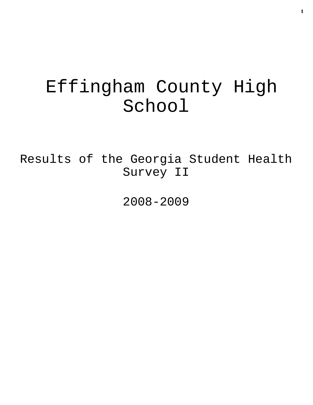# Effingham County High School

Results of the Georgia Student Health Survey II

2008-2009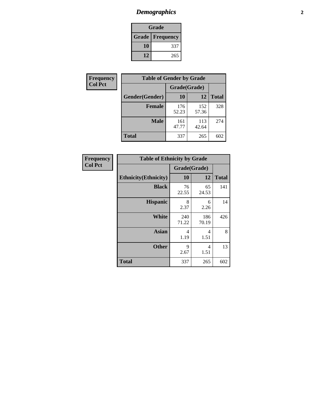## *Demographics* **2**

| Grade                    |     |  |  |  |
|--------------------------|-----|--|--|--|
| <b>Grade   Frequency</b> |     |  |  |  |
| 10                       | 337 |  |  |  |
| 12                       | 265 |  |  |  |

| <b>Frequency</b> | <b>Table of Gender by Grade</b> |              |              |              |  |  |
|------------------|---------------------------------|--------------|--------------|--------------|--|--|
| <b>Col Pct</b>   |                                 | Grade(Grade) |              |              |  |  |
|                  | Gender(Gender)                  | 10           | 12           | <b>Total</b> |  |  |
|                  | <b>Female</b>                   | 176<br>52.23 | 152<br>57.36 | 328          |  |  |
|                  | <b>Male</b>                     | 161<br>47.77 | 113<br>42.64 | 274          |  |  |
|                  | <b>Total</b>                    | 337          | 265          | 602          |  |  |

| Frequency<br>Col Pct |
|----------------------|
|                      |

| <b>Table of Ethnicity by Grade</b> |                        |              |              |  |  |  |
|------------------------------------|------------------------|--------------|--------------|--|--|--|
|                                    | Grade(Grade)           |              |              |  |  |  |
| <b>Ethnicity</b> (Ethnicity)       | 10                     | 12           | <b>Total</b> |  |  |  |
| <b>Black</b>                       | 76<br>22.55            | 65<br>24.53  | 141          |  |  |  |
| <b>Hispanic</b>                    | 8<br>2.37              | 6<br>2.26    | 14           |  |  |  |
| White                              | 240<br>71.22           | 186<br>70.19 | 426          |  |  |  |
| <b>Asian</b>                       | $\overline{4}$<br>1.19 | 4<br>1.51    | 8            |  |  |  |
| <b>Other</b>                       | 9<br>2.67              | 4<br>1.51    | 13           |  |  |  |
| <b>Total</b>                       | 337                    | 265          | 602          |  |  |  |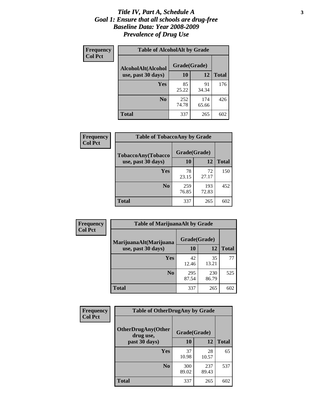#### *Title IV, Part A, Schedule A* **3** *Goal 1: Ensure that all schools are drug-free Baseline Data: Year 2008-2009 Prevalence of Drug Use*

| Frequency<br><b>Col Pct</b> | <b>Table of AlcoholAlt by Grade</b> |              |              |              |  |
|-----------------------------|-------------------------------------|--------------|--------------|--------------|--|
|                             | AlcoholAlt(Alcohol                  | Grade(Grade) |              |              |  |
|                             | use, past 30 days)                  | 10           | 12           | <b>Total</b> |  |
|                             | Yes                                 | 85<br>25.22  | 91<br>34.34  | 176          |  |
|                             | N <sub>0</sub>                      | 252<br>74.78 | 174<br>65.66 | 426          |  |
|                             | Total                               | 337          | 265          | 602          |  |

| Frequency      | <b>Table of TobaccoAny by Grade</b> |              |              |              |  |
|----------------|-------------------------------------|--------------|--------------|--------------|--|
| <b>Col Pct</b> | TobaccoAny(Tobacco                  | Grade(Grade) |              |              |  |
|                | use, past 30 days)                  | 10           | 12           | <b>Total</b> |  |
|                | Yes                                 | 78<br>23.15  | 72<br>27.17  | 150          |  |
|                | N <sub>0</sub>                      | 259<br>76.85 | 193<br>72.83 | 452          |  |
|                | <b>Total</b>                        | 337          | 265          | 602          |  |

| Frequency<br><b>Col Pct</b> | <b>Table of MarijuanaAlt by Grade</b> |              |              |     |  |
|-----------------------------|---------------------------------------|--------------|--------------|-----|--|
|                             | MarijuanaAlt(Marijuana                | Grade(Grade) |              |     |  |
| use, past 30 days)          | 10                                    | 12           | <b>Total</b> |     |  |
|                             | <b>Yes</b>                            | 42<br>12.46  | 35<br>13.21  | 77  |  |
|                             | N <sub>0</sub>                        | 295<br>87.54 | 230<br>86.79 | 525 |  |
|                             | <b>Total</b>                          | 337          | 265          | 602 |  |

| <b>Frequency</b> | <b>Table of OtherDrugAny by Grade</b>  |              |              |              |  |
|------------------|----------------------------------------|--------------|--------------|--------------|--|
| <b>Col Pct</b>   | <b>OtherDrugAny(Other</b><br>drug use, | Grade(Grade) |              |              |  |
|                  | past 30 days)                          | 10           | 12           | <b>Total</b> |  |
|                  | Yes                                    | 37<br>10.98  | 28<br>10.57  | 65           |  |
|                  | N <sub>0</sub>                         | 300<br>89.02 | 237<br>89.43 | 537          |  |
|                  | <b>Total</b>                           | 337          | 265          | 602          |  |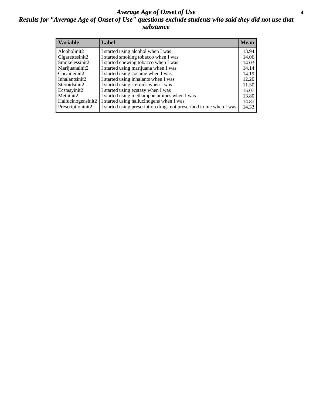#### *Average Age of Onset of Use* **4** *Results for "Average Age of Onset of Use" questions exclude students who said they did not use that substance*

| <b>Variable</b>    | Label                                                              | <b>Mean</b> |
|--------------------|--------------------------------------------------------------------|-------------|
| Alcoholinit2       | I started using alcohol when I was                                 | 13.94       |
| Cigarettesinit2    | I started smoking tobacco when I was                               | 14.06       |
| Smokelessinit2     | I started chewing tobacco when I was                               | 14.03       |
| Marijuanainit2     | I started using marijuana when I was                               | 14.14       |
| Cocaineinit2       | I started using cocaine when I was                                 | 14.19       |
| Inhalantsinit2     | I started using inhalants when I was                               | 12.20       |
| Steroidsinit2      | I started using steroids when I was                                | 11.50       |
| Ecstasyinit2       | I started using ecstasy when I was                                 | 15.07       |
| Methinit2          | I started using methamphetamines when I was                        | 13.80       |
| Hallucinogensinit2 | I started using hallucinogens when I was                           | 14.87       |
| Prescriptioninit2  | I started using prescription drugs not prescribed to me when I was | 14.33       |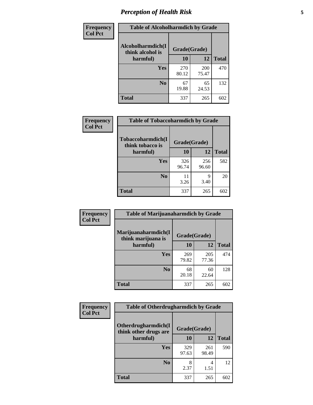### *Perception of Health Risk* **5**

| Frequency      | <b>Table of Alcoholharmdich by Grade</b> |              |       |              |  |
|----------------|------------------------------------------|--------------|-------|--------------|--|
| <b>Col Pct</b> | Alcoholharmdich(I<br>think alcohol is    | Grade(Grade) |       |              |  |
|                | harmful)                                 | 10           | 12    | <b>Total</b> |  |
|                | Yes                                      | 270          | 200   | 470          |  |
|                |                                          | 80.12        | 75.47 |              |  |
|                | N <sub>0</sub>                           | 67           | 65    | 132          |  |
|                |                                          | 19.88        | 24.53 |              |  |
|                | <b>Total</b>                             | 337          | 265   | 602          |  |

| Frequency      | <b>Table of Tobaccoharmdich by Grade</b> |              |              |              |  |
|----------------|------------------------------------------|--------------|--------------|--------------|--|
| <b>Col Pct</b> | Tobaccoharmdich(I<br>think tobacco is    | Grade(Grade) |              |              |  |
|                | harmful)                                 | 10           | 12           | <b>Total</b> |  |
|                | Yes                                      | 326<br>96.74 | 256<br>96.60 | 582          |  |
|                | N <sub>0</sub>                           | 11<br>3.26   | 9<br>3.40    | 20           |  |
|                | Total                                    | 337          | 265          | 602          |  |

| <b>Frequency</b><br><b>Col Pct</b> | <b>Table of Marijuanaharmdich by Grade</b>                |              |              |              |  |
|------------------------------------|-----------------------------------------------------------|--------------|--------------|--------------|--|
|                                    | Marijuanaharmdich(I<br>Grade(Grade)<br>think marijuana is |              |              |              |  |
|                                    | harmful)                                                  | 10           | 12           | <b>Total</b> |  |
|                                    | <b>Yes</b>                                                | 269<br>79.82 | 205<br>77.36 | 474          |  |
|                                    | N <sub>0</sub>                                            | 68<br>20.18  | 60<br>22.64  | 128          |  |
|                                    | <b>Total</b>                                              | 337          | 265          | 602          |  |

| Frequency      | <b>Table of Otherdrugharmdich by Grade</b>                   |              |              |              |  |  |  |
|----------------|--------------------------------------------------------------|--------------|--------------|--------------|--|--|--|
| <b>Col Pct</b> | Otherdrugharmdich(I<br>Grade(Grade)<br>think other drugs are |              |              |              |  |  |  |
|                | harmful)                                                     | 10           | 12           | <b>Total</b> |  |  |  |
|                | <b>Yes</b>                                                   | 329<br>97.63 | 261<br>98.49 | 590          |  |  |  |
|                | N <sub>0</sub>                                               | 2.37         | 4<br>1.51    | 12           |  |  |  |
|                | <b>Total</b>                                                 | 337          | 265          | 602          |  |  |  |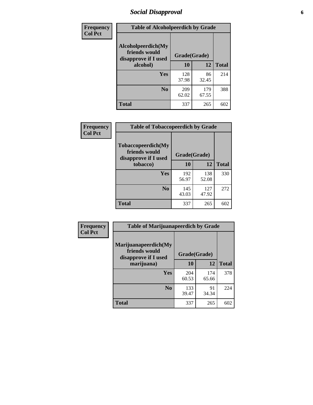### *Social Disapproval* **6**

| Frequency      | <b>Table of Alcoholpeerdich by Grade</b>                    |              |              |              |
|----------------|-------------------------------------------------------------|--------------|--------------|--------------|
| <b>Col Pct</b> | Alcoholpeerdich(My<br>friends would<br>disapprove if I used | Grade(Grade) |              |              |
|                | alcohol)                                                    | 10           | 12           | <b>Total</b> |
|                | <b>Yes</b>                                                  | 128<br>37.98 | 86<br>32.45  | 214          |
|                | N <sub>0</sub>                                              | 209<br>62.02 | 179<br>67.55 | 388          |
|                | <b>Total</b>                                                | 337          | 265          | 602          |

| <b>Frequency</b> |
|------------------|
| <b>Col Pct</b>   |

| <b>Table of Tobaccopeerdich by Grade</b>                    |              |              |              |  |  |  |  |
|-------------------------------------------------------------|--------------|--------------|--------------|--|--|--|--|
| Tobaccopeerdich(My<br>friends would<br>disapprove if I used | Grade(Grade) |              |              |  |  |  |  |
| tobacco)                                                    | 10           | 12           | <b>Total</b> |  |  |  |  |
| Yes                                                         | 192<br>56.97 | 138<br>52.08 | 330          |  |  |  |  |
| N <sub>0</sub>                                              | 145<br>43.03 | 127<br>47.92 | 272          |  |  |  |  |
| <b>Total</b>                                                | 337          | 265          |              |  |  |  |  |

| <b>Frequency</b> | <b>Table of Marijuanapeerdich by Grade</b>                    |              |              |              |  |  |  |  |
|------------------|---------------------------------------------------------------|--------------|--------------|--------------|--|--|--|--|
| <b>Col Pct</b>   | Marijuanapeerdich(My<br>friends would<br>disapprove if I used | Grade(Grade) |              |              |  |  |  |  |
|                  | marijuana)                                                    | 10           | 12           | <b>Total</b> |  |  |  |  |
|                  | <b>Yes</b>                                                    | 204<br>60.53 | 174<br>65.66 | 378          |  |  |  |  |
|                  | N <sub>0</sub>                                                | 133<br>39.47 | 91<br>34.34  | 224          |  |  |  |  |
|                  | <b>Total</b>                                                  | 337          | 265          | 602          |  |  |  |  |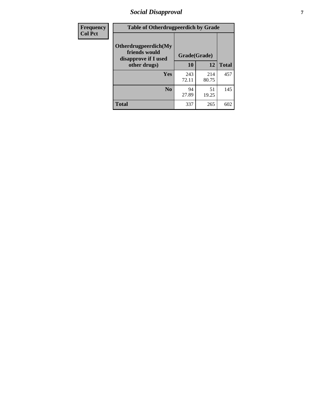### *Social Disapproval* **7**

| Frequency      | <b>Table of Otherdrugpeerdich by Grade</b>                    |              |              |              |  |  |  |  |
|----------------|---------------------------------------------------------------|--------------|--------------|--------------|--|--|--|--|
| <b>Col Pct</b> | Otherdrugpeerdich(My<br>friends would<br>disapprove if I used | Grade(Grade) |              |              |  |  |  |  |
|                | other drugs)                                                  | 10           | 12           | <b>Total</b> |  |  |  |  |
|                | Yes                                                           | 243<br>72.11 | 214<br>80.75 | 457          |  |  |  |  |
|                | N <sub>0</sub>                                                | 94<br>27.89  | 51<br>19.25  | 145          |  |  |  |  |
|                | <b>Total</b>                                                  | 337          | 265          | 602          |  |  |  |  |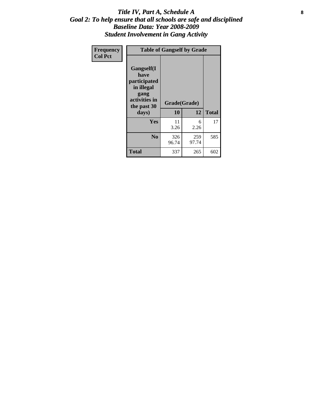#### Title IV, Part A, Schedule A **8** *Goal 2: To help ensure that all schools are safe and disciplined Baseline Data: Year 2008-2009 Student Involvement in Gang Activity*

| Frequency      | <b>Table of Gangself by Grade</b>                                                                         |                    |              |              |
|----------------|-----------------------------------------------------------------------------------------------------------|--------------------|--------------|--------------|
| <b>Col Pct</b> | <b>Gangself</b> (I<br>have<br>participated<br>in illegal<br>gang<br>activities in<br>the past 30<br>days) | Grade(Grade)<br>10 | 12           | <b>Total</b> |
|                | Yes                                                                                                       | 11<br>3.26         | 6<br>2.26    | 17           |
|                | N <sub>0</sub>                                                                                            | 326<br>96.74       | 259<br>97.74 | 585          |
|                | <b>Total</b>                                                                                              | 337                | 265          | 602          |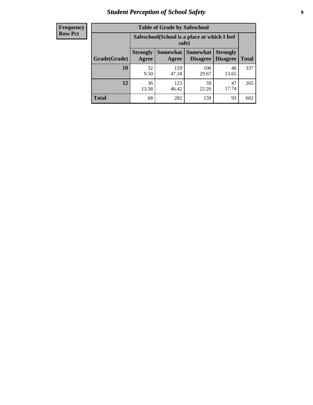### *Student Perception of School Safety* **9**

| <b>Frequency</b><br>Row Pct |
|-----------------------------|
|                             |

| <b>Table of Grade by Safeschool</b> |                          |                                                        |                                 |                                    |              |  |  |  |
|-------------------------------------|--------------------------|--------------------------------------------------------|---------------------------------|------------------------------------|--------------|--|--|--|
|                                     |                          | Safeschool (School is a place at which I feel<br>safe) |                                 |                                    |              |  |  |  |
| Grade(Grade)                        | <b>Strongly</b><br>Agree | Agree                                                  | Somewhat   Somewhat<br>Disagree | <b>Strongly</b><br><b>Disagree</b> | <b>Total</b> |  |  |  |
| 10                                  | 32<br>9.50               | 159<br>47.18                                           | 100<br>29.67                    | 46<br>13.65                        | 337          |  |  |  |
| 12                                  | 36<br>13.58              | 123<br>46.42                                           | 59<br>22.26                     | 47<br>17.74                        | 265          |  |  |  |
| <b>Total</b>                        | 68                       | 282                                                    | 159                             | 93                                 | 602          |  |  |  |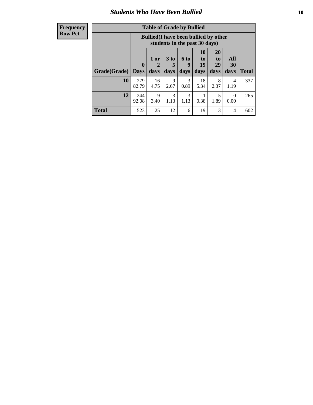### *Students Who Have Been Bullied* **10**

| <b>Frequency</b> |
|------------------|
| Row Pct          |

| <b>Table of Grade by Bullied</b> |                            |                                                                               |                              |                          |                               |                        |                   |              |
|----------------------------------|----------------------------|-------------------------------------------------------------------------------|------------------------------|--------------------------|-------------------------------|------------------------|-------------------|--------------|
|                                  |                            | <b>Bullied</b> (I have been bullied by other<br>students in the past 30 days) |                              |                          |                               |                        |                   |              |
| Grade(Grade)                     | $\mathbf 0$<br><b>Days</b> | 1 or<br>$\mathbf{2}$<br>days                                                  | 3 <sub>to</sub><br>5<br>days | <b>6 to</b><br>9<br>days | <b>10</b><br>to<br>19<br>days | 20<br>to<br>29<br>days | All<br>30<br>days | <b>Total</b> |
| 10                               | 279<br>82.79               | 16<br>4.75                                                                    | 9<br>2.67                    | 3<br>0.89                | 18<br>5.34                    | 8<br>2.37              | 4<br>1.19         | 337          |
| 12                               | 244<br>92.08               | 9<br>3.40                                                                     | 3<br>1.13                    | 3<br>1.13                | 0.38                          | 5<br>1.89              | $\theta$<br>0.00  | 265          |
| <b>Total</b>                     | 523                        | 25                                                                            | 12                           | 6                        | 19                            | 13                     | 4                 | 602          |

 $\blacksquare$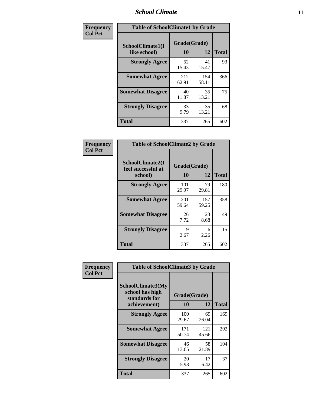### *School Climate* **11**

| <b>Frequency</b> | <b>Table of SchoolClimate1 by Grade</b> |                    |              |              |  |  |
|------------------|-----------------------------------------|--------------------|--------------|--------------|--|--|
| <b>Col Pct</b>   | SchoolClimate1(I<br>like school)        | Grade(Grade)<br>10 | 12           | <b>Total</b> |  |  |
|                  | <b>Strongly Agree</b>                   | 52<br>15.43        | 41<br>15.47  | 93           |  |  |
|                  | <b>Somewhat Agree</b>                   | 212<br>62.91       | 154<br>58.11 | 366          |  |  |
|                  | <b>Somewhat Disagree</b>                | 40<br>11.87        | 35<br>13.21  | 75           |  |  |
|                  | <b>Strongly Disagree</b>                | 33<br>9.79         | 35<br>13.21  | 68           |  |  |
|                  | <b>Total</b>                            | 337                | 265          | 602          |  |  |

| <b>Table of SchoolClimate2 by Grade</b>           |              |              |     |  |  |
|---------------------------------------------------|--------------|--------------|-----|--|--|
| SchoolClimate2(I<br>feel successful at<br>school) | <b>Total</b> |              |     |  |  |
| <b>Strongly Agree</b>                             | 101<br>29.97 | 79<br>29.81  | 180 |  |  |
| <b>Somewhat Agree</b>                             | 201<br>59.64 | 157<br>59.25 | 358 |  |  |
| <b>Somewhat Disagree</b>                          | 26<br>7.72   | 23<br>8.68   | 49  |  |  |
| <b>Strongly Disagree</b>                          | 9<br>2.67    | 6<br>2.26    | 15  |  |  |
| <b>Total</b>                                      | 337          | 265          | 602 |  |  |

| Frequency      | <b>Table of SchoolClimate3 by Grade</b>                                      |                    |              |              |  |
|----------------|------------------------------------------------------------------------------|--------------------|--------------|--------------|--|
| <b>Col Pct</b> | <b>SchoolClimate3(My</b><br>school has high<br>standards for<br>achievement) | Grade(Grade)<br>10 | 12           | <b>Total</b> |  |
|                |                                                                              |                    |              |              |  |
|                | <b>Strongly Agree</b>                                                        | 100<br>29.67       | 69<br>26.04  | 169          |  |
|                | <b>Somewhat Agree</b>                                                        | 171<br>50.74       | 121<br>45.66 | 292          |  |
|                | <b>Somewhat Disagree</b>                                                     | 46<br>13.65        | 58<br>21.89  | 104          |  |
|                | <b>Strongly Disagree</b>                                                     | 20<br>5.93         | 17<br>6.42   | 37           |  |
|                | Total                                                                        | 337                | 265          | 602          |  |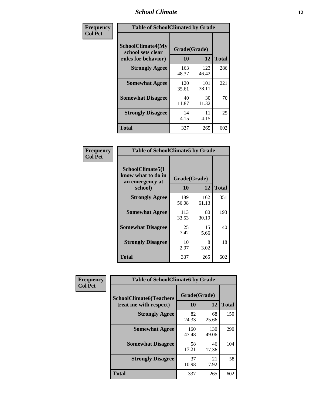### *School Climate* **12**

| Frequency      |                                                               | <b>Table of SchoolClimate4 by Grade</b> |              |              |  |
|----------------|---------------------------------------------------------------|-----------------------------------------|--------------|--------------|--|
| <b>Col Pct</b> | SchoolClimate4(My<br>school sets clear<br>rules for behavior) | Grade(Grade)<br>10                      | 12           | <b>Total</b> |  |
|                | <b>Strongly Agree</b>                                         | 163<br>48.37                            | 123<br>46.42 | 286          |  |
|                | <b>Somewhat Agree</b>                                         | 120<br>35.61                            | 101<br>38.11 | 221          |  |
|                | <b>Somewhat Disagree</b>                                      | 40<br>11.87                             | 30<br>11.32  | 70           |  |
|                | <b>Strongly Disagree</b>                                      | 14<br>4.15                              | 11<br>4.15   | 25           |  |
|                | <b>Total</b>                                                  | 337                                     | 265          | 602          |  |

| <b>Table of SchoolClimate5 by Grade</b>                              |                    |              |     |  |
|----------------------------------------------------------------------|--------------------|--------------|-----|--|
| SchoolClimate5(I<br>know what to do in<br>an emergency at<br>school) | Grade(Grade)<br>10 | <b>Total</b> |     |  |
| <b>Strongly Agree</b>                                                | 189<br>56.08       | 162<br>61.13 | 351 |  |
| <b>Somewhat Agree</b>                                                | 113<br>33.53       | 80<br>30.19  | 193 |  |
| <b>Somewhat Disagree</b>                                             | 25<br>7.42         | 15<br>5.66   | 40  |  |
| <b>Strongly Disagree</b>                                             | 10<br>2.97         | 8<br>3.02    | 18  |  |
| Total                                                                | 337                | 265          | 602 |  |

| Frequency      | <b>Table of SchoolClimate6 by Grade</b>                  |                    |              |              |
|----------------|----------------------------------------------------------|--------------------|--------------|--------------|
| <b>Col Pct</b> | <b>SchoolClimate6(Teachers</b><br>treat me with respect) | Grade(Grade)<br>10 | 12           | <b>Total</b> |
|                | <b>Strongly Agree</b>                                    | 82<br>24.33        | 68<br>25.66  | 150          |
|                | <b>Somewhat Agree</b>                                    | 160<br>47.48       | 130<br>49.06 | 290          |
|                | <b>Somewhat Disagree</b>                                 | 58<br>17.21        | 46<br>17.36  | 104          |
|                | <b>Strongly Disagree</b>                                 | 37<br>10.98        | 21<br>7.92   | 58           |
|                | <b>Total</b>                                             | 337                | 265          | 602          |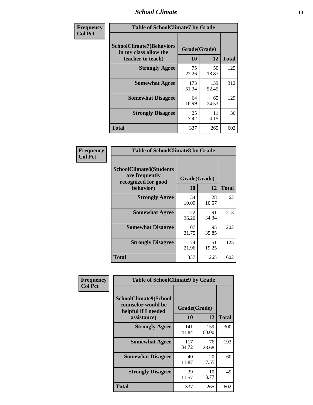### *School Climate* **13**

| Frequency      | <b>Table of SchoolClimate7 by Grade</b>                                       |                    |              |              |
|----------------|-------------------------------------------------------------------------------|--------------------|--------------|--------------|
| <b>Col Pct</b> | <b>SchoolClimate7(Behaviors</b><br>in my class allow the<br>teacher to teach) | Grade(Grade)<br>10 | 12           | <b>Total</b> |
|                | <b>Strongly Agree</b>                                                         | 75<br>22.26        | 50<br>18.87  | 125          |
|                | <b>Somewhat Agree</b>                                                         | 173<br>51.34       | 139<br>52.45 | 312          |
|                | <b>Somewhat Disagree</b>                                                      | 64<br>18.99        | 65<br>24.53  | 129          |
|                | <b>Strongly Disagree</b>                                                      | 25<br>7.42         | 11<br>4.15   | 36           |
|                | <b>Total</b>                                                                  | 337                | 265          | 602          |

| Frequency      | <b>Table of SchoolClimate8 by Grade</b>                                              |                    |             |              |
|----------------|--------------------------------------------------------------------------------------|--------------------|-------------|--------------|
| <b>Col Pct</b> | <b>SchoolClimate8(Students</b><br>are frequently<br>recognized for good<br>behavior) | Grade(Grade)<br>10 | 12          | <b>Total</b> |
|                | <b>Strongly Agree</b>                                                                | 34<br>10.09        | 28<br>10.57 | 62           |
|                | <b>Somewhat Agree</b>                                                                | 122<br>36.20       | 91<br>34.34 | 213          |
|                | <b>Somewhat Disagree</b>                                                             | 107<br>31.75       | 95<br>35.85 | 202          |
|                | <b>Strongly Disagree</b>                                                             | 74<br>21.96        | 51<br>19.25 | 125          |
|                | <b>Total</b>                                                                         | 337                | 265         | 602          |

| Frequency<br><b>Col Pct</b> | <b>Table of SchoolClimate9 by Grade</b>                                           |                    |              |              |
|-----------------------------|-----------------------------------------------------------------------------------|--------------------|--------------|--------------|
|                             | SchoolClimate9(School<br>counselor would be<br>helpful if I needed<br>assistance) | Grade(Grade)<br>10 | 12           | <b>Total</b> |
|                             | <b>Strongly Agree</b>                                                             | 141<br>41.84       | 159<br>60.00 | 300          |
|                             | <b>Somewhat Agree</b>                                                             | 117<br>34.72       | 76<br>28.68  | 193          |
|                             | <b>Somewhat Disagree</b>                                                          | 40<br>11.87        | 20<br>7.55   | 60           |
|                             | <b>Strongly Disagree</b>                                                          | 39<br>11.57        | 10<br>3.77   | 49           |
|                             | <b>Total</b>                                                                      | 337                | 265          | 602          |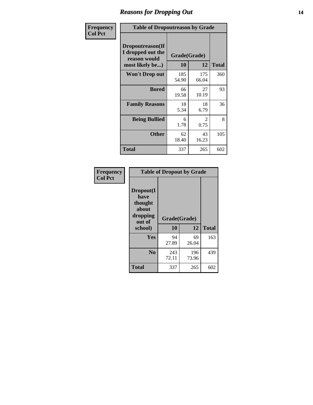### *Reasons for Dropping Out* **14**

| Frequency      | <b>Table of Dropoutreason by Grade</b>                                   |                    |                                     |              |
|----------------|--------------------------------------------------------------------------|--------------------|-------------------------------------|--------------|
| <b>Col Pct</b> | Dropoutreason(If<br>I dropped out the<br>reason would<br>most likely be) | Grade(Grade)<br>10 | 12                                  | <b>Total</b> |
|                | Won't Drop out                                                           | 185<br>54.90       | 175<br>66.04                        | 360          |
|                | <b>Bored</b>                                                             | 66<br>19.58        | 27<br>10.19                         | 93           |
|                | <b>Family Reasons</b>                                                    | 18<br>5.34         | 18<br>6.79                          | 36           |
|                | <b>Being Bullied</b>                                                     | 6<br>1.78          | $\mathcal{D}_{\mathcal{L}}$<br>0.75 | 8            |
|                | <b>Other</b>                                                             | 62<br>18.40        | 43<br>16.23                         | 105          |
|                | <b>Total</b>                                                             | 337                | 265                                 | 602          |

| Frequency<br><b>Col Pct</b> | <b>Table of Dropout by Grade</b>                                       |                    |              |     |
|-----------------------------|------------------------------------------------------------------------|--------------------|--------------|-----|
|                             | Dropout(I<br>have<br>thought<br>about<br>dropping<br>out of<br>school) | Grade(Grade)<br>10 | <b>Total</b> |     |
|                             |                                                                        |                    | 12           |     |
|                             | Yes                                                                    | 94                 | 69           | 163 |
|                             |                                                                        | 27.89              | 26.04        |     |
|                             | N <sub>0</sub>                                                         | 243                | 196          | 439 |
|                             |                                                                        | 72.11              | 73.96        |     |
|                             | <b>Total</b>                                                           | 337                | 265          | 602 |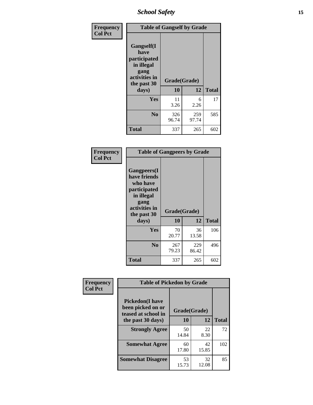*School Safety* **15**

| Frequency      | <b>Table of Gangself by Grade</b>                                                                         |                    |              |              |
|----------------|-----------------------------------------------------------------------------------------------------------|--------------------|--------------|--------------|
| <b>Col Pct</b> | <b>Gangself</b> (I<br>have<br>participated<br>in illegal<br>gang<br>activities in<br>the past 30<br>days) | Grade(Grade)<br>10 | 12           | <b>Total</b> |
|                | Yes                                                                                                       | 11<br>3.26         | 6<br>2.26    | 17           |
|                | N <sub>0</sub>                                                                                            | 326<br>96.74       | 259<br>97.74 | 585          |
|                | <b>Total</b>                                                                                              | 337                | 265          | 602          |

| Frequency<br><b>Col Pct</b> | <b>Table of Gangpeers by Grade</b>                                                                                             |                    |              |              |
|-----------------------------|--------------------------------------------------------------------------------------------------------------------------------|--------------------|--------------|--------------|
|                             | <b>Gangpeers</b> (I<br>have friends<br>who have<br>participated<br>in illegal<br>gang<br>activities in<br>the past 30<br>days) | Grade(Grade)<br>10 | 12           | <b>Total</b> |
|                             | <b>Yes</b>                                                                                                                     | 70<br>20.77        | 36<br>13.58  | 106          |
|                             | N <sub>0</sub>                                                                                                                 | 267<br>79.23       | 229<br>86.42 | 496          |
|                             | <b>Total</b>                                                                                                                   | 337                | 265          | 602          |

| Frequency      | <b>Table of Pickedon by Grade</b>                                  |              |             |              |  |  |  |  |  |
|----------------|--------------------------------------------------------------------|--------------|-------------|--------------|--|--|--|--|--|
| <b>Col Pct</b> | <b>Pickedon(I have</b><br>been picked on or<br>teased at school in | Grade(Grade) |             |              |  |  |  |  |  |
|                | the past 30 days)                                                  | 10           | 12          | <b>Total</b> |  |  |  |  |  |
|                | <b>Strongly Agree</b>                                              | 50<br>14.84  | 22<br>8.30  | 72           |  |  |  |  |  |
|                | <b>Somewhat Agree</b>                                              | 60<br>17.80  | 42<br>15.85 | 102          |  |  |  |  |  |
|                | <b>Somewhat Disagree</b>                                           | 53<br>15.73  | 32<br>12.08 | 85           |  |  |  |  |  |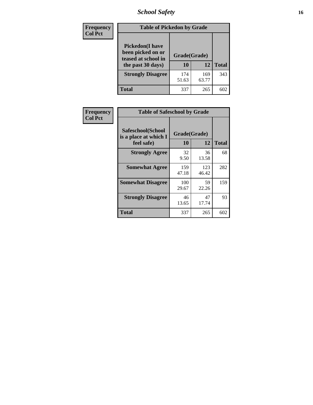### *School Safety* **16**

| <b>Frequency</b> | <b>Table of Pickedon by Grade</b>                                                        |                    |              |              |
|------------------|------------------------------------------------------------------------------------------|--------------------|--------------|--------------|
| <b>Col Pct</b>   | <b>Pickedon</b> (I have<br>been picked on or<br>teased at school in<br>the past 30 days) | Grade(Grade)<br>10 | 12           | <b>Total</b> |
|                  | <b>Strongly Disagree</b>                                                                 | 174<br>51.63       | 169<br>63.77 | 343          |
|                  | Total                                                                                    | 337                | 265          | 602          |

| Frequency      | <b>Table of Safeschool by Grade</b>                      |                    |              |              |  |  |  |  |  |  |
|----------------|----------------------------------------------------------|--------------------|--------------|--------------|--|--|--|--|--|--|
| <b>Col Pct</b> | Safeschool(School<br>is a place at which I<br>feel safe) | Grade(Grade)<br>10 | 12           | <b>Total</b> |  |  |  |  |  |  |
|                | <b>Strongly Agree</b>                                    | 32<br>9.50         | 36<br>13.58  | 68           |  |  |  |  |  |  |
|                | <b>Somewhat Agree</b>                                    | 159<br>47.18       | 123<br>46.42 | 282          |  |  |  |  |  |  |
|                | <b>Somewhat Disagree</b>                                 | 100<br>29.67       | 59<br>22.26  | 159          |  |  |  |  |  |  |
|                | <b>Strongly Disagree</b>                                 | 46<br>13.65        | 47<br>17.74  | 93           |  |  |  |  |  |  |
|                | <b>Total</b>                                             | 337                | 265          | 602          |  |  |  |  |  |  |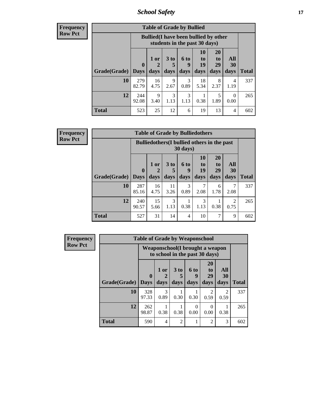*School Safety* **17**

**Frequency Row Pct**

| <b>Table of Grade by Bullied</b> |              |                                                                               |                              |                   |                        |                               |                   |              |  |  |
|----------------------------------|--------------|-------------------------------------------------------------------------------|------------------------------|-------------------|------------------------|-------------------------------|-------------------|--------------|--|--|
|                                  |              | <b>Bullied</b> (I have been bullied by other<br>students in the past 30 days) |                              |                   |                        |                               |                   |              |  |  |
| <b>Grade</b> (Grade)   Days      | $\mathbf{0}$ | $1$ or<br>days                                                                | 3 <sub>to</sub><br>5<br>days | 6 to<br>9<br>days | 10<br>to<br>19<br>days | <b>20</b><br>to<br>29<br>days | All<br>30<br>days | <b>Total</b> |  |  |
| 10                               | 279<br>82.79 | 16<br>4.75                                                                    | 9<br>2.67                    | 3<br>0.89         | 18<br>5.34             | 8<br>2.37                     | 4<br>1.19         | 337          |  |  |
| 12                               | 244<br>92.08 | 9<br>3.40                                                                     | 3<br>1.13                    | 3<br>1.13         | 0.38                   | 5<br>1.89                     | 0<br>0.00         | 265          |  |  |
| <b>Total</b>                     | 523          | 25                                                                            | 12                           | 6                 | 19                     | 13                            | 4                 | 602          |  |  |

| <b>Frequency</b> |
|------------------|
| <b>Row Pct</b>   |

| <b>Table of Grade by Bulliedothers</b> |                             |                                                                         |                              |                   |                        |                               |                        |              |  |  |
|----------------------------------------|-----------------------------|-------------------------------------------------------------------------|------------------------------|-------------------|------------------------|-------------------------------|------------------------|--------------|--|--|
|                                        |                             | <b>Bulliedothers</b> (I bullied others in the past<br>$30 \text{ days}$ |                              |                   |                        |                               |                        |              |  |  |
| Grade(Grade)                           | $\mathbf{0}$<br><b>Days</b> | 1 or<br>$\overline{2}$<br>days                                          | 3 <sub>to</sub><br>5<br>days | 6 to<br>9<br>days | 10<br>to<br>19<br>days | <b>20</b><br>to<br>29<br>days | All<br>30<br>days      | <b>Total</b> |  |  |
| 10                                     | 287<br>85.16                | 16<br>4.75                                                              | 11<br>3.26                   | 3<br>0.89         | 7<br>2.08              | 6<br>1.78                     | 2.08                   | 337          |  |  |
| 12                                     | 240<br>90.57                | 15<br>5.66                                                              | 3<br>1.13                    | 0.38              | 3<br>1.13              | 0.38                          | $\mathfrak{D}$<br>0.75 | 265          |  |  |
| <b>Total</b>                           | 527                         | 31                                                                      | 14                           | $\overline{4}$    | 10                     | 7                             | 9                      | 602          |  |  |

| <b>Frequency</b> | <b>Table of Grade by Weaponschool</b> |                             |                                                                    |                |                   |                                    |                       |              |  |  |
|------------------|---------------------------------------|-----------------------------|--------------------------------------------------------------------|----------------|-------------------|------------------------------------|-----------------------|--------------|--|--|
| <b>Row Pct</b>   |                                       |                             | Weaponschool (I brought a weapon<br>to school in the past 30 days) |                |                   |                                    |                       |              |  |  |
|                  | Grade(Grade)                          | $\mathbf{0}$<br><b>Days</b> | 1 or<br>days                                                       | 3 to<br>days   | 6 to<br>9<br>days | 20<br>t <sub>0</sub><br>29<br>days | All<br>30<br>days     | <b>Total</b> |  |  |
|                  | 10                                    | 328<br>97.33                | 3<br>0.89                                                          | 0.30           | 0.30              | $\mathfrak{D}$<br>0.59             | $\mathcal{D}$<br>0.59 | 337          |  |  |
|                  | 12                                    | 262<br>98.87                | 0.38                                                               | 0.38           | $\Omega$<br>0.00  | 0<br>0.00                          | 0.38                  | 265          |  |  |
|                  | <b>Total</b>                          | 590                         | $\overline{4}$                                                     | $\mathfrak{D}$ |                   | 2                                  | 3                     | 602          |  |  |

Ŧ.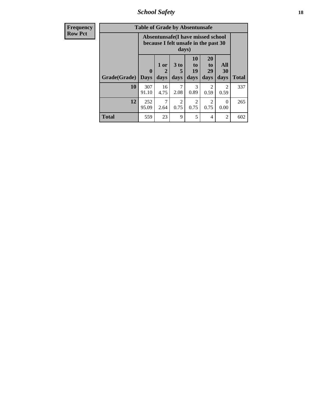*School Safety* **18**

| <b>Frequency</b> | <b>Table of Grade by Absentunsafe</b> |                            |                                                                           |                              |                                         |                               |                        |              |  |  |
|------------------|---------------------------------------|----------------------------|---------------------------------------------------------------------------|------------------------------|-----------------------------------------|-------------------------------|------------------------|--------------|--|--|
| <b>Row Pct</b>   |                                       |                            | Absentunsafe(I have missed school<br>because I felt unsafe in the past 30 | days)                        |                                         |                               |                        |              |  |  |
|                  | Grade(Grade)                          | $\mathbf 0$<br><b>Days</b> | 1 or<br>2<br>days                                                         | 3 <sub>to</sub><br>5<br>days | <b>10</b><br>$\mathbf{t}$<br>19<br>days | <b>20</b><br>to<br>29<br>days | All<br>30<br>days      | <b>Total</b> |  |  |
|                  | 10                                    | 307<br>91.10               | 16<br>4.75                                                                | 2.08                         | 3<br>0.89                               | 0.59                          | $\mathfrak{D}$<br>0.59 | 337          |  |  |
|                  | 12                                    | 252<br>95.09               | 7<br>2.64                                                                 | $\mathfrak{D}$<br>0.75       | $\mathcal{D}_{\mathcal{L}}$<br>0.75     | $\mathfrak{D}$<br>0.75        | $\Omega$<br>0.00       | 265          |  |  |
|                  | <b>Total</b>                          | 559                        | 23                                                                        | 9                            | 5                                       | 4                             | 2                      | 602          |  |  |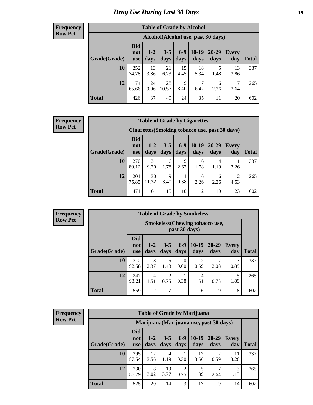### *Drug Use During Last 30 Days* **19**

#### **Frequency Row Pct**

| <b>Table of Grade by Alcohol</b> |                                 |                                    |                 |               |                 |               |                     |              |  |  |  |
|----------------------------------|---------------------------------|------------------------------------|-----------------|---------------|-----------------|---------------|---------------------|--------------|--|--|--|
|                                  |                                 | Alcohol(Alcohol use, past 30 days) |                 |               |                 |               |                     |              |  |  |  |
| Grade(Grade)                     | <b>Did</b><br>not<br><b>use</b> | $1 - 2$<br>days                    | $3 - 5$<br>days | $6-9$<br>days | $10-19$<br>days | 20-29<br>days | <b>Every</b><br>day | <b>Total</b> |  |  |  |
| 10                               | 252<br>74.78                    | 13<br>3.86                         | 21<br>6.23      | 15<br>4.45    | 18<br>5.34      | 5<br>1.48     | 13<br>3.86          | 337          |  |  |  |
| 12                               | 174<br>65.66                    | 24<br>9.06                         | 28<br>10.57     | 9<br>3.40     | 17<br>6.42      | 6<br>2.26     | 7<br>2.64           | 265          |  |  |  |
| <b>Total</b>                     | 426                             | 37                                 | 49              | 24            | 35              | 11            | 20                  | 602          |  |  |  |

#### **Frequency Row Pct**

| <b>Table of Grade by Cigarettes</b>                                                                                                                        |                                                |             |           |           |           |           |            |     |  |  |
|------------------------------------------------------------------------------------------------------------------------------------------------------------|------------------------------------------------|-------------|-----------|-----------|-----------|-----------|------------|-----|--|--|
|                                                                                                                                                            | Cigarettes (Smoking tobacco use, past 30 days) |             |           |           |           |           |            |     |  |  |
| <b>Did</b><br>$6 - 9$<br>$10-19$<br>$1-2$<br>20-29<br>$3 - 5$<br>Every<br>not<br>Grade(Grade)<br>days<br>days<br>days<br>day<br>days<br>days<br><b>use</b> |                                                |             |           |           |           |           |            |     |  |  |
| 10                                                                                                                                                         | 270<br>80.12                                   | 31<br>9.20  | 6<br>1.78 | 9<br>2.67 | 6<br>1.78 | 4<br>1.19 | 11<br>3.26 | 337 |  |  |
| 12                                                                                                                                                         | 201<br>75.85                                   | 30<br>11.32 | 9<br>3.40 | 0.38      | 6<br>2.26 | 6<br>2.26 | 12<br>4.53 | 265 |  |  |
| <b>Total</b>                                                                                                                                               | 471                                            | 61          | 15        | 10        | 12        | 10        | 23         | 602 |  |  |

| <b>Frequency</b> |
|------------------|
| <b>Row Pct</b>   |

| <b>Table of Grade by Smokeless</b> |                                 |                                                        |                        |                  |                        |                   |                     |              |  |  |
|------------------------------------|---------------------------------|--------------------------------------------------------|------------------------|------------------|------------------------|-------------------|---------------------|--------------|--|--|
|                                    |                                 | <b>Smokeless</b> (Chewing tobaccouse,<br>past 30 days) |                        |                  |                        |                   |                     |              |  |  |
| Grade(Grade)                       | <b>Did</b><br>not<br><b>use</b> | $1 - 2$<br>days                                        | $3 - 5$<br>days        | $6-9$<br>days    | $10-19$<br>days        | $20 - 29$<br>days | <b>Every</b><br>day | <b>Total</b> |  |  |
| 10                                 | 312<br>92.58                    | 8<br>2.37                                              | 5<br>1.48              | $\Omega$<br>0.00 | $\overline{c}$<br>0.59 | 2.08              | 3<br>0.89           | 337          |  |  |
| 12                                 | 247<br>93.21                    | 4<br>1.51                                              | $\overline{2}$<br>0.75 | 0.38             | $\overline{4}$<br>1.51 | 2<br>0.75         | 5<br>1.89           | 265          |  |  |
| <b>Total</b>                       | 559                             | 12                                                     | 7                      |                  | 6                      | 9                 | 8                   | 602          |  |  |

| <b>Frequency</b> |
|------------------|
| <b>Row Pct</b>   |

| <b>Table of Grade by Marijuana</b> |                                 |                                                                                                                               |            |                        |            |                        |            |     |  |  |  |
|------------------------------------|---------------------------------|-------------------------------------------------------------------------------------------------------------------------------|------------|------------------------|------------|------------------------|------------|-----|--|--|--|
|                                    |                                 | Marijuana (Marijuana use, past 30 days)                                                                                       |            |                        |            |                        |            |     |  |  |  |
| Grade(Grade)                       | <b>Did</b><br>not<br><b>use</b> | $6 - 9$<br>$10-19$<br>$3 - 5$<br>$20 - 29$<br>$1 - 2$<br>Every<br>days<br>days<br>day<br><b>Total</b><br>days<br>days<br>days |            |                        |            |                        |            |     |  |  |  |
| 10                                 | 295<br>87.54                    | 12<br>3.56                                                                                                                    | 4<br>1.19  | 0.30                   | 12<br>3.56 | $\mathfrak{D}$<br>0.59 | 11<br>3.26 | 337 |  |  |  |
| 12                                 | 230<br>86.79                    | 8<br>3.02                                                                                                                     | 10<br>3.77 | $\overline{2}$<br>0.75 | 5<br>1.89  | 2.64                   | 3<br>1.13  | 265 |  |  |  |
| <b>Total</b>                       | 525                             | 20                                                                                                                            | 14         | 3                      | 17         | 9                      | 14         | 602 |  |  |  |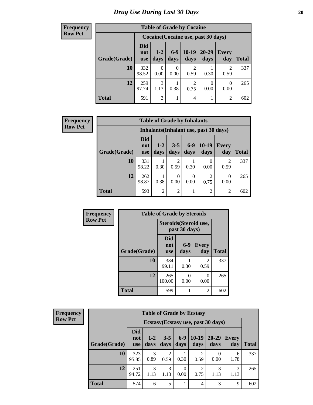#### **Frequency Row Pct**

| <b>Table of Grade by Cocaine</b>                                                                                                                                 |              |                                     |      |           |           |                  |     |  |  |  |
|------------------------------------------------------------------------------------------------------------------------------------------------------------------|--------------|-------------------------------------|------|-----------|-----------|------------------|-----|--|--|--|
|                                                                                                                                                                  |              | Cocaine (Cocaine use, past 30 days) |      |           |           |                  |     |  |  |  |
| <b>Did</b><br>$10-19$<br>$20 - 29$<br>$6-9$<br>$1-2$<br><b>Every</b><br>not<br>Grade(Grade)<br>days<br><b>Total</b><br>days<br>day<br>days<br>days<br><b>use</b> |              |                                     |      |           |           |                  |     |  |  |  |
| 10                                                                                                                                                               | 332<br>98.52 | 0.00                                | 0.00 | 2<br>0.59 | 0.30      | 2<br>0.59        | 337 |  |  |  |
| 12                                                                                                                                                               | 259<br>97.74 | 3<br>1.13                           | 0.38 | 2<br>0.75 | 0<br>0.00 | $\Omega$<br>0.00 | 265 |  |  |  |
| <b>Total</b>                                                                                                                                                     | 591          | 3                                   |      | 4         |           | 2                | 602 |  |  |  |

| Frequency      |              | <b>Table of Grade by Inhalants</b> |                 |                        |               |                                        |                     |              |  |  |  |
|----------------|--------------|------------------------------------|-----------------|------------------------|---------------|----------------------------------------|---------------------|--------------|--|--|--|
| <b>Row Pct</b> |              |                                    |                 |                        |               | Inhalants (Inhalant use, past 30 days) |                     |              |  |  |  |
|                | Grade(Grade) | <b>Did</b><br>not<br><b>use</b>    | $1 - 2$<br>days | $3 - 5$<br>days        | $6-9$<br>days | $10-19$<br>days                        | <b>Every</b><br>day | <b>Total</b> |  |  |  |
|                | 10           | 331<br>98.22                       | 0.30            | $\mathfrak{D}$<br>0.59 | 0.30          | $\Omega$<br>0.00                       | 2<br>0.59           | 337          |  |  |  |
|                | 12           | 262<br>98.87                       | 0.38            | $\Omega$<br>0.00       | 0<br>0.00     | $\overline{2}$<br>0.75                 | 0<br>0.00           | 265          |  |  |  |
|                | <b>Total</b> | 593                                | $\overline{2}$  | $\overline{2}$         |               | $\overline{2}$                         | 2                   | 602          |  |  |  |

| Frequency      | <b>Table of Grade by Steroids</b> |                                 |                                         |                     |              |  |  |  |
|----------------|-----------------------------------|---------------------------------|-----------------------------------------|---------------------|--------------|--|--|--|
| <b>Row Pct</b> |                                   |                                 | Steroids (Steroid use,<br>past 30 days) |                     |              |  |  |  |
|                | Grade(Grade)                      | <b>Did</b><br>not<br><b>use</b> | $6-9$<br>days                           | <b>Every</b><br>day | <b>Total</b> |  |  |  |
|                | 10                                | 334<br>99.11                    | 0.30                                    | 2<br>0.59           | 337          |  |  |  |
|                | 12                                | 265<br>100.00                   | 0<br>0.00                               | 0<br>0.00           | 265          |  |  |  |
|                | <b>Total</b>                      | 599                             |                                         | 2                   | 602          |  |  |  |

**Frequency Row Pct**

| <b>Table of Grade by Ecstasy</b>                                                                                                                                           |              |                                     |                        |                  |                        |           |           |     |  |
|----------------------------------------------------------------------------------------------------------------------------------------------------------------------------|--------------|-------------------------------------|------------------------|------------------|------------------------|-----------|-----------|-----|--|
|                                                                                                                                                                            |              | Ecstasy (Ecstasy use, past 30 days) |                        |                  |                        |           |           |     |  |
| <b>Did</b><br>$10-19$<br>$6 - 9$<br>20-29<br>$3 - 5$<br>$1-2$<br>Every<br>not<br>Grade(Grade)<br><b>Total</b><br>days<br>days<br>days<br>days<br>day<br>days<br><b>use</b> |              |                                     |                        |                  |                        |           |           |     |  |
| 10                                                                                                                                                                         | 323<br>95.85 | 3<br>0.89                           | $\overline{2}$<br>0.59 | 0.30             | $\mathfrak{D}$<br>0.59 | 0.00      | 6<br>1.78 | 337 |  |
| 12                                                                                                                                                                         | 251<br>94.72 | 3<br>1.13                           | 3<br>1.13              | $\Omega$<br>0.00 | 2<br>0.75              | 3<br>1.13 | 3<br>1.13 | 265 |  |
| <b>Total</b>                                                                                                                                                               | 574          | 6                                   | 5                      | 1                | 4                      | 3         | 9         | 602 |  |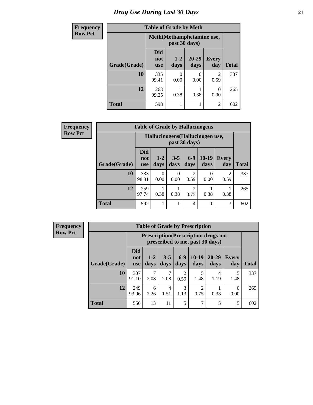### *Drug Use During Last 30 Days* **21**

| <b>Frequency</b> |              | <b>Table of Grade by Meth</b>               |               |                   |                        |              |  |  |  |  |
|------------------|--------------|---------------------------------------------|---------------|-------------------|------------------------|--------------|--|--|--|--|
| <b>Row Pct</b>   |              | Meth (Methamphetamine use,<br>past 30 days) |               |                   |                        |              |  |  |  |  |
|                  | Grade(Grade) | <b>Did</b><br>not<br><b>use</b>             | $1-2$<br>days | $20 - 29$<br>days | <b>Every</b><br>day    | <b>Total</b> |  |  |  |  |
|                  | 10           | 335<br>99.41                                | 0<br>0.00     | 0<br>0.00         | $\mathfrak{D}$<br>0.59 | 337          |  |  |  |  |
|                  | 12           | 263<br>99.25                                | 0.38          | 0.38              | 0.00                   | 265          |  |  |  |  |
|                  | <b>Total</b> | 598                                         | 1             |                   | $\mathfrak{D}$         | 602          |  |  |  |  |

| Frequency      | <b>Table of Grade by Hallucinogens</b> |                                 |                 |                  |                        |                                  |              |              |
|----------------|----------------------------------------|---------------------------------|-----------------|------------------|------------------------|----------------------------------|--------------|--------------|
| <b>Row Pct</b> |                                        |                                 |                 |                  | past 30 days)          | Hallucinogens (Hallucinogen use, |              |              |
|                | Grade(Grade)                           | <b>Did</b><br>not<br><b>use</b> | $1 - 2$<br>days | $3 - 5$<br>days  | $6-9$<br>days          | $10-19$<br>days                  | Every<br>day | <b>Total</b> |
|                | 10                                     | 333<br>98.81                    | 0<br>0.00       | $\Omega$<br>0.00 | 2<br>0.59              | $\Omega$<br>0.00                 | 2<br>0.59    | 337          |
|                | 12                                     | 259<br>97.74                    | 0.38            | 0.38             | $\overline{2}$<br>0.75 | 0.38                             | 0.38         | 265          |
|                | <b>Total</b>                           | 592                             |                 |                  | $\overline{4}$         |                                  | 3            | 602          |

**Frequency Row Pct**

| <b>Table of Grade by Prescription</b> |                                                                                                                                                       |                                                                                |           |           |           |           |           |     |  |
|---------------------------------------|-------------------------------------------------------------------------------------------------------------------------------------------------------|--------------------------------------------------------------------------------|-----------|-----------|-----------|-----------|-----------|-----|--|
|                                       |                                                                                                                                                       | <b>Prescription</b> (Prescription drugs not<br>prescribed to me, past 30 days) |           |           |           |           |           |     |  |
| Grade(Grade)                          | <b>Did</b><br>$10-19$<br>$3 - 5$<br>$6-9$<br>$20 - 29$<br>$1 - 2$<br><b>Every</b><br>not<br>days<br>days<br>day<br>days<br>days<br>days<br><b>use</b> |                                                                                |           |           |           |           |           |     |  |
| 10                                    | 307<br>91.10                                                                                                                                          | 2.08                                                                           | 7<br>2.08 | 2<br>0.59 | 5<br>1.48 | 4<br>1.19 | 5<br>1.48 | 337 |  |
| 12                                    | 3<br>249<br>$\overline{c}$<br>6<br>4<br>0<br>0.38<br>1.13<br>0.00<br>93.96<br>1.51<br>0.75<br>2.26                                                    |                                                                                |           |           |           |           |           |     |  |
| <b>Total</b>                          | 556                                                                                                                                                   | 13                                                                             | 11        | 5         | 7         | 5         | 5         | 602 |  |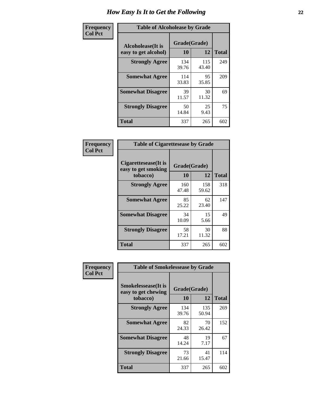| Frequency      | <b>Table of Alcoholease by Grade</b>              |                    |              |     |  |  |  |  |
|----------------|---------------------------------------------------|--------------------|--------------|-----|--|--|--|--|
| <b>Col Pct</b> | <b>Alcoholease</b> (It is<br>easy to get alcohol) | Grade(Grade)<br>10 | <b>Total</b> |     |  |  |  |  |
|                | <b>Strongly Agree</b>                             | 134<br>39.76       | 115<br>43.40 | 249 |  |  |  |  |
|                | <b>Somewhat Agree</b>                             | 114<br>33.83       | 95<br>35.85  | 209 |  |  |  |  |
|                | <b>Somewhat Disagree</b>                          | 39<br>11.57        | 30<br>11.32  | 69  |  |  |  |  |
|                | <b>Strongly Disagree</b>                          | 50<br>14.84        | 25<br>9.43   | 75  |  |  |  |  |
|                | <b>Total</b>                                      | 337                | 265          | 602 |  |  |  |  |

| Frequency      | <b>Table of Cigarettesease by Grade</b>                  |                    |              |              |  |  |  |
|----------------|----------------------------------------------------------|--------------------|--------------|--------------|--|--|--|
| <b>Col Pct</b> | Cigarettesease (It is<br>easy to get smoking<br>tobacco) | Grade(Grade)<br>10 | 12           | <b>Total</b> |  |  |  |
|                | <b>Strongly Agree</b>                                    | 160<br>47.48       | 158<br>59.62 | 318          |  |  |  |
|                | <b>Somewhat Agree</b>                                    | 85<br>25.22        | 62<br>23.40  | 147          |  |  |  |
|                | <b>Somewhat Disagree</b>                                 | 34<br>10.09        | 15<br>5.66   | 49           |  |  |  |
|                | <b>Strongly Disagree</b>                                 | 58<br>17.21        | 30<br>11.32  | 88           |  |  |  |
|                | <b>Total</b>                                             | 337                | 265          | 602          |  |  |  |

| Frequency      | <b>Table of Smokelessease by Grade</b>             |              |              |              |  |  |  |  |  |
|----------------|----------------------------------------------------|--------------|--------------|--------------|--|--|--|--|--|
| <b>Col Pct</b> | <b>Smokelessease</b> (It is<br>easy to get chewing | Grade(Grade) |              |              |  |  |  |  |  |
|                | tobacco)                                           | 10           | 12           | <b>Total</b> |  |  |  |  |  |
|                | <b>Strongly Agree</b>                              | 134<br>39.76 | 135<br>50.94 | 269          |  |  |  |  |  |
|                | <b>Somewhat Agree</b>                              | 82<br>24.33  | 70<br>26.42  | 152          |  |  |  |  |  |
|                | <b>Somewhat Disagree</b>                           | 48<br>14.24  | 19<br>7.17   | 67           |  |  |  |  |  |
|                | <b>Strongly Disagree</b>                           | 73<br>21.66  | 41<br>15.47  | 114          |  |  |  |  |  |
|                | Total                                              | 337          | 265          | 602          |  |  |  |  |  |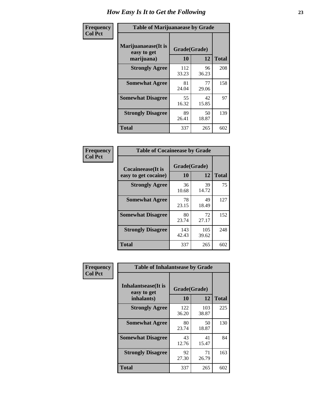| Frequency      | <b>Table of Marijuanaease by Grade</b>           |                    |             |              |  |  |  |  |  |  |
|----------------|--------------------------------------------------|--------------------|-------------|--------------|--|--|--|--|--|--|
| <b>Col Pct</b> | Marijuanaease(It is<br>easy to get<br>marijuana) | Grade(Grade)<br>10 | 12          | <b>Total</b> |  |  |  |  |  |  |
|                | <b>Strongly Agree</b>                            | 112<br>33.23       | 96<br>36.23 | 208          |  |  |  |  |  |  |
|                | <b>Somewhat Agree</b>                            | 81<br>24.04        | 77<br>29.06 | 158          |  |  |  |  |  |  |
|                | <b>Somewhat Disagree</b>                         | 55<br>16.32        | 42<br>15.85 | 97           |  |  |  |  |  |  |
|                | <b>Strongly Disagree</b>                         | 89<br>26.41        | 50<br>18.87 | 139          |  |  |  |  |  |  |
|                | <b>Total</b>                                     | 337                | 265         | 602          |  |  |  |  |  |  |

| <b>Table of Cocaineease by Grade</b>              |                    |              |              |  |  |  |  |  |  |  |
|---------------------------------------------------|--------------------|--------------|--------------|--|--|--|--|--|--|--|
| <b>Cocaineease</b> (It is<br>easy to get cocaine) | Grade(Grade)<br>10 | 12           | <b>Total</b> |  |  |  |  |  |  |  |
| <b>Strongly Agree</b>                             | 36<br>10.68        | 39<br>14.72  | 75           |  |  |  |  |  |  |  |
| <b>Somewhat Agree</b>                             | 78<br>23.15        | 49<br>18.49  | 127          |  |  |  |  |  |  |  |
| <b>Somewhat Disagree</b>                          | 80<br>23.74        | 72<br>27.17  | 152          |  |  |  |  |  |  |  |
| <b>Strongly Disagree</b>                          | 143<br>42.43       | 105<br>39.62 | 248          |  |  |  |  |  |  |  |
| <b>Total</b>                                      | 337                | 265          | 602          |  |  |  |  |  |  |  |

| Frequency      | <b>Table of Inhalantsease by Grade</b>     |              |              |              |  |  |  |  |  |  |
|----------------|--------------------------------------------|--------------|--------------|--------------|--|--|--|--|--|--|
| <b>Col Pct</b> | <b>Inhalantsease</b> (It is<br>easy to get | Grade(Grade) |              |              |  |  |  |  |  |  |
|                | inhalants)                                 | 10           | 12           | <b>Total</b> |  |  |  |  |  |  |
|                | <b>Strongly Agree</b>                      | 122<br>36.20 | 103<br>38.87 | 225          |  |  |  |  |  |  |
|                | <b>Somewhat Agree</b>                      | 80<br>23.74  | 50<br>18.87  | 130          |  |  |  |  |  |  |
|                | <b>Somewhat Disagree</b>                   | 43<br>12.76  | 41<br>15.47  | 84           |  |  |  |  |  |  |
|                | <b>Strongly Disagree</b>                   | 92<br>27.30  | 71<br>26.79  | 163          |  |  |  |  |  |  |
|                | <b>Total</b>                               | 337          | 265          | 602          |  |  |  |  |  |  |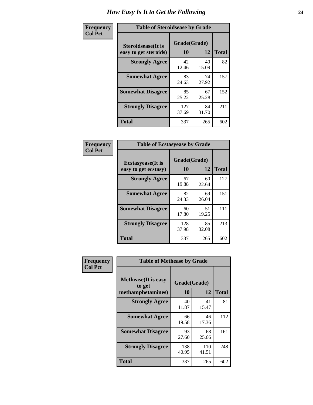| Frequency      | <b>Table of Steroidsease by Grade</b>               |                    |             |              |  |  |  |  |  |  |
|----------------|-----------------------------------------------------|--------------------|-------------|--------------|--|--|--|--|--|--|
| <b>Col Pct</b> | <b>Steroidsease</b> (It is<br>easy to get steroids) | Grade(Grade)<br>10 | 12          | <b>Total</b> |  |  |  |  |  |  |
|                | <b>Strongly Agree</b>                               | 42<br>12.46        | 40<br>15.09 | 82           |  |  |  |  |  |  |
|                | <b>Somewhat Agree</b>                               | 83<br>24.63        | 74<br>27.92 | 157          |  |  |  |  |  |  |
|                | <b>Somewhat Disagree</b>                            | 85<br>25.22        | 67<br>25.28 | 152          |  |  |  |  |  |  |
|                | <b>Strongly Disagree</b>                            | 127<br>37.69       | 84<br>31.70 | 211          |  |  |  |  |  |  |
|                | <b>Total</b>                                        | 337                | 265         | 602          |  |  |  |  |  |  |

| Frequency      | <b>Table of Ecstasyease by Grade</b>              |                    |             |              |  |  |  |  |  |  |
|----------------|---------------------------------------------------|--------------------|-------------|--------------|--|--|--|--|--|--|
| <b>Col Pct</b> | <b>Ecstasyease</b> (It is<br>easy to get ecstasy) | Grade(Grade)<br>10 | 12          | <b>Total</b> |  |  |  |  |  |  |
|                | <b>Strongly Agree</b>                             | 67<br>19.88        | 60<br>22.64 | 127          |  |  |  |  |  |  |
|                | <b>Somewhat Agree</b>                             | 82<br>24.33        | 69<br>26.04 | 151          |  |  |  |  |  |  |
|                | <b>Somewhat Disagree</b>                          | 60<br>17.80        | 51<br>19.25 | 111          |  |  |  |  |  |  |
|                | <b>Strongly Disagree</b>                          | 128<br>37.98       | 85<br>32.08 | 213          |  |  |  |  |  |  |
|                | <b>Total</b>                                      | 337                | 265         | 602          |  |  |  |  |  |  |

| Frequency      | <b>Table of Methease by Grade</b>                          |                    |              |              |
|----------------|------------------------------------------------------------|--------------------|--------------|--------------|
| <b>Col Pct</b> | <b>Methease</b> (It is easy<br>to get<br>methamphetamines) | Grade(Grade)<br>10 | 12           | <b>Total</b> |
|                | <b>Strongly Agree</b>                                      | 40<br>11.87        | 41<br>15.47  | 81           |
|                | <b>Somewhat Agree</b>                                      | 66<br>19.58        | 46<br>17.36  | 112          |
|                | <b>Somewhat Disagree</b>                                   | 93<br>27.60        | 68<br>25.66  | 161          |
|                | <b>Strongly Disagree</b>                                   | 138<br>40.95       | 110<br>41.51 | 248          |
|                | <b>Total</b>                                               | 337                | 265          | 602          |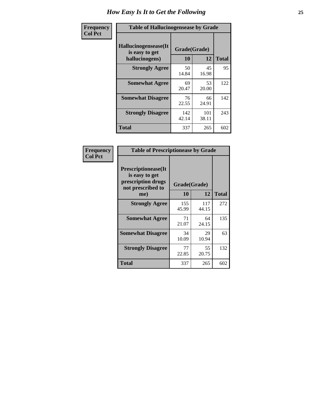| <b>Frequency</b> | <b>Table of Hallucinogensease by Grade</b>                |                    |              |              |  |  |  |  |  |  |
|------------------|-----------------------------------------------------------|--------------------|--------------|--------------|--|--|--|--|--|--|
| <b>Col Pct</b>   | Hallucinogensease(It)<br>is easy to get<br>hallucinogens) | Grade(Grade)<br>10 | 12           | <b>Total</b> |  |  |  |  |  |  |
|                  | <b>Strongly Agree</b>                                     | 50<br>14.84        | 45<br>16.98  | 95           |  |  |  |  |  |  |
|                  | <b>Somewhat Agree</b>                                     | 69<br>20.47        | 53<br>20.00  | 122          |  |  |  |  |  |  |
|                  | <b>Somewhat Disagree</b>                                  | 76<br>22.55        | 66<br>24.91  | 142          |  |  |  |  |  |  |
|                  | <b>Strongly Disagree</b>                                  | 142<br>42.14       | 101<br>38.11 | 243          |  |  |  |  |  |  |
|                  | <b>Total</b>                                              | 337                | 265          | 602          |  |  |  |  |  |  |

| Frequency<br>  Col Pct |
|------------------------|

| <b>Table of Prescriptionease by Grade</b>                                                |              |              |              |  |  |  |  |  |  |  |
|------------------------------------------------------------------------------------------|--------------|--------------|--------------|--|--|--|--|--|--|--|
| <b>Prescriptionease</b> (It<br>is easy to get<br>prescription drugs<br>not prescribed to | Grade(Grade) |              |              |  |  |  |  |  |  |  |
| me)                                                                                      | 10           | 12           | <b>Total</b> |  |  |  |  |  |  |  |
| <b>Strongly Agree</b>                                                                    | 155<br>45.99 | 117<br>44.15 | 272          |  |  |  |  |  |  |  |
| <b>Somewhat Agree</b>                                                                    | 71<br>21.07  | 64<br>24.15  | 135          |  |  |  |  |  |  |  |
| <b>Somewhat Disagree</b>                                                                 | 34<br>10.09  | 29<br>10.94  | 63           |  |  |  |  |  |  |  |
| <b>Strongly Disagree</b>                                                                 | 77<br>22.85  | 55<br>20.75  | 132          |  |  |  |  |  |  |  |
| <b>Total</b>                                                                             | 337          | 265          | 602          |  |  |  |  |  |  |  |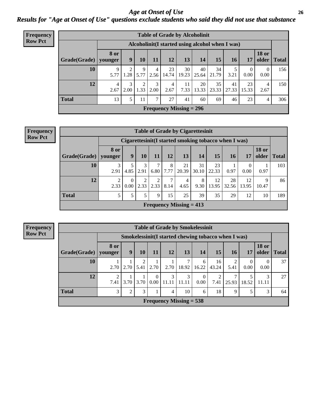#### *Age at Onset of Use* **26** *Results for "Age at Onset of Use" questions exclude students who said they did not use that substance*

| <b>Frequency</b> |                        | <b>Table of Grade by Alcoholinit</b> |                                                  |                        |           |             |                                |             |             |             |                  |                       |              |
|------------------|------------------------|--------------------------------------|--------------------------------------------------|------------------------|-----------|-------------|--------------------------------|-------------|-------------|-------------|------------------|-----------------------|--------------|
| <b>Row Pct</b>   |                        |                                      | Alcoholinit (I started using alcohol when I was) |                        |           |             |                                |             |             |             |                  |                       |              |
|                  | $Grade(Grade)$ younger | 8 or                                 | 9                                                | 10                     | <b>11</b> | 12          | 13                             | 14          | 15          | 16          | 17               | <b>18 or</b><br>older | <b>Total</b> |
|                  | 10                     | 9<br>5.77                            | 2<br>1.28                                        | 9<br>5.77              | 4<br>2.56 | 23<br>14.74 | 30<br>19.23                    | 40<br>25.64 | 34<br>21.79 | 3.21        | $\theta$<br>0.00 | $\Omega$<br>0.00      | 156          |
|                  | 12                     | $\overline{4}$<br>2.67               | 3<br>2.00                                        | $\overline{c}$<br>1.33 | 3<br>2.00 | 4<br>2.67   | 11<br>7.33                     | 20<br>13.33 | 35<br>23.33 | 41<br>27.33 | 23<br>15.33      | 4<br>2.67             | 150          |
|                  | <b>Total</b>           | 13                                   | 5                                                | 11                     | 7         | 27          | 41                             | 60          | 69          | 46          | 23               | 4                     | 306          |
|                  |                        |                                      |                                                  |                        |           |             | <b>Frequency Missing = 296</b> |             |             |             |                  |                       |              |

| <b>Frequency</b> | <b>Table of Grade by Cigarettesinit</b>              |                        |                  |           |      |           |                           |             |             |             |                  |                       |              |
|------------------|------------------------------------------------------|------------------------|------------------|-----------|------|-----------|---------------------------|-------------|-------------|-------------|------------------|-----------------------|--------------|
| <b>Row Pct</b>   | Cigarettesinit(I started smoking tobacco when I was) |                        |                  |           |      |           |                           |             |             |             |                  |                       |              |
|                  | Grade(Grade)                                         | <b>8 or</b><br>younger | 9                | 10        | 11   | 12        | 13                        | 14          | 15          | 16          | 17               | <b>18 or</b><br>older | <b>Total</b> |
|                  | 10                                                   | 3<br>2.91              | 5<br>4.85        | 3<br>2.91 | 6.80 | 8<br>7.77 | 21<br>20.39               | 31<br>30.10 | 23<br>22.33 | 0.97        | $\Omega$<br>0.00 | 0.97                  | 103          |
|                  | 12                                                   | $\overline{2}$<br>2.33 | $\theta$<br>0.00 | 2<br>2.33 | 2.33 | ⇁<br>8.14 | 4<br>4.65                 | 8<br>9.30   | 12<br>13.95 | 28<br>32.56 | 12<br>13.95      | Q<br>10.47            | 86           |
|                  | <b>Total</b>                                         | 5                      | 5                | 5         | 9    | 15        | 25                        | 39          | 35          | 29          | 12               | 10                    | 189          |
|                  |                                                      |                        |                  |           |      |           | Frequency Missing $= 413$ |             |             |             |                  |                       |              |

**Frequency Row Pct**

| <b>Table of Grade by Smokelessinit</b> |                                                     |                |      |                  |                           |            |                  |                        |           |            |                       |              |
|----------------------------------------|-----------------------------------------------------|----------------|------|------------------|---------------------------|------------|------------------|------------------------|-----------|------------|-----------------------|--------------|
|                                        | Smokelessinit(I started chewing tobacco when I was) |                |      |                  |                           |            |                  |                        |           |            |                       |              |
| Grade(Grade)                           | <b>8 or</b><br>younger                              | 9              | 10   | 11               | 12                        | 13         | 14               | 15                     | 16        | 17         | <b>18 or</b><br>older | <b>Total</b> |
| 10                                     | 2.70                                                | 2.70           | 5.41 | 2.70             | 2.70                      | 7<br>18.92 | 6<br>16.22       | 16<br>43.24            | ∍<br>5.41 | 0<br>0.00  | $\Omega$<br>0.00      | 37           |
| 12                                     | $\mathfrak{D}$<br>7.41                              | 3.70           | 3.70 | $\theta$<br>0.00 | 3<br>11.11                | 3<br>11.11 | $\Omega$<br>0.00 | $\overline{2}$<br>7.41 | 25.93     | 5<br>18.52 | 3<br>11.11            | 27           |
| <b>Total</b>                           | 3                                                   | $\overline{2}$ | 3    |                  | 4                         | 10         | 6                | 18                     | 9         | 5          | 3                     | 64           |
|                                        |                                                     |                |      |                  | Frequency Missing $= 538$ |            |                  |                        |           |            |                       |              |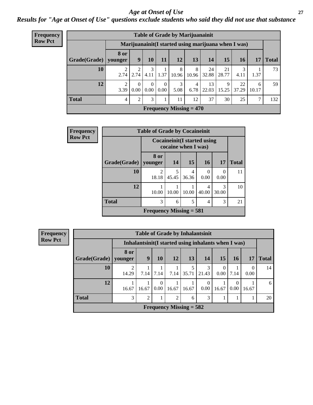#### *Age at Onset of Use* **27**

*Results for "Age at Onset of Use" questions exclude students who said they did not use that substance*

| <b>Frequency</b> |              |                        |          |                  |                  | <b>Table of Grade by Marijuanainit</b> |            |             |             |                                                      |            |              |
|------------------|--------------|------------------------|----------|------------------|------------------|----------------------------------------|------------|-------------|-------------|------------------------------------------------------|------------|--------------|
| <b>Row Pct</b>   |              |                        |          |                  |                  |                                        |            |             |             | Marijuanainit (I started using marijuana when I was) |            |              |
|                  | Grade(Grade) | <b>8 or</b><br>vounger | 9        | 10               | 11               | 12                                     | 13         | 14          | 15          | <b>16</b>                                            | 17         | <b>Total</b> |
|                  | 10           | 2.74                   | 2.74     | 3<br>4.11        | 1.37             | 8<br>10.96                             | 8<br>10.96 | 24<br>32.88 | 21<br>28.77 | 4.11                                                 | 1.37       | 73           |
|                  | 12           | 3.39                   | $0.00\,$ | $\Omega$<br>0.00 | $\Omega$<br>0.00 | 3<br>5.08                              | 4<br>6.78  | 13<br>22.03 | 9<br>15.25  | 22<br>37.29                                          | 6<br>10.17 | 59           |
|                  | <b>Total</b> | $\overline{4}$         | 2        | 3                |                  | 11                                     | 12         | 37          | 30          | 25                                                   | 7          | 132          |
|                  |              |                        |          |                  |                  | Frequency Missing $= 470$              |            |             |             |                                                      |            |              |

| Frequency      |              | <b>Table of Grade by Cocaineinit</b>                       |            |            |            |            |              |  |  |
|----------------|--------------|------------------------------------------------------------|------------|------------|------------|------------|--------------|--|--|
| <b>Row Pct</b> |              | <b>Cocaineinit</b> (I started using<br>cocaine when I was) |            |            |            |            |              |  |  |
|                | Grade(Grade) | 8 or<br>younger                                            | 14         | <b>15</b>  | <b>16</b>  | <b>17</b>  | <b>Total</b> |  |  |
|                | 10           | 2<br>18.18                                                 | 5<br>45.45 | 4<br>36.36 | 0.00       | 0<br>0.00  | 11           |  |  |
|                | 12           | 10.00                                                      | 10.00      | 10.00      | 4<br>40.00 | 3<br>30.00 | 10           |  |  |
|                | <b>Total</b> | 3                                                          | 6          | 5          | 4          | 3          | 21           |  |  |
|                |              | Frequency Missing $= 581$                                  |            |            |            |            |              |  |  |

| Frequency      |                        | <b>Table of Grade by Inhalantsinit</b> |                |           |                                                      |       |          |                            |                  |           |              |
|----------------|------------------------|----------------------------------------|----------------|-----------|------------------------------------------------------|-------|----------|----------------------------|------------------|-----------|--------------|
| <b>Row Pct</b> |                        |                                        |                |           | Inhalantsinit (I started using inhalants when I was) |       |          |                            |                  |           |              |
|                | Grade(Grade)   younger | 8 or                                   | 9              | 10        | 12                                                   | 13    | 14       | <b>15</b>                  | 16               | 17        | <b>Total</b> |
|                | 10                     | 14.29                                  | 7.14           | 7.14      | 7.14                                                 | 35.71 | 21.43    | $\theta$<br>$0.00^{\circ}$ | 7.14             | 0<br>0.00 | 14           |
|                | 12                     | 16.67                                  | 16.67          | 0<br>0.00 | 16.67                                                | 16.67 | $0.00\,$ | 16.67                      | $\Omega$<br>0.00 | 16.67     | 6            |
|                | <b>Total</b>           | 3                                      | $\overline{2}$ |           | 2                                                    | 6     | 3        |                            |                  |           | 20           |
|                |                        |                                        |                |           | Frequency Missing $= 582$                            |       |          |                            |                  |           |              |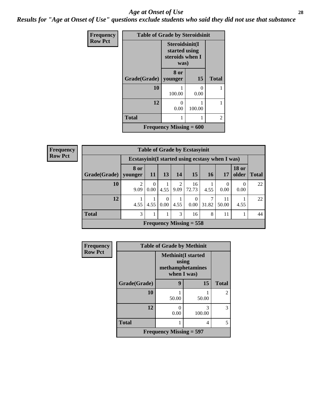#### *Age at Onset of Use* **28**

*Results for "Age at Onset of Use" questions exclude students who said they did not use that substance*

| Frequency      | <b>Table of Grade by Steroidsinit</b> |                                                            |                           |              |
|----------------|---------------------------------------|------------------------------------------------------------|---------------------------|--------------|
| <b>Row Pct</b> |                                       | Steroidsinit(I<br>started using<br>steroids when I<br>was) |                           |              |
|                | Grade(Grade)                          | 8 or<br>younger                                            | <b>15</b>                 | <b>Total</b> |
|                | 10                                    | 100.00                                                     | $\mathbf{\Omega}$<br>0.00 |              |
|                | 12                                    | 0<br>0.00                                                  | 100.00                    |              |
|                | <b>Total</b>                          |                                                            |                           | 2            |
|                |                                       | Frequency Missing $= 600$                                  |                           |              |

| <b>Frequency</b> |  |
|------------------|--|
| <b>Row Pct</b>   |  |

| <b>Table of Grade by Ecstasyinit</b>             |           |           |                     |                         |                           |       |       |                       |              |  |
|--------------------------------------------------|-----------|-----------|---------------------|-------------------------|---------------------------|-------|-------|-----------------------|--------------|--|
| Ecstasyinit (I started using ecstasy when I was) |           |           |                     |                         |                           |       |       |                       |              |  |
| Grade(Grade)   younger                           | 8 or      | -11       | 13 <sup>1</sup>     | 14                      | 15                        | 16    | 17    | <b>18 or</b><br>older | <b>Total</b> |  |
| 10                                               | っ<br>9.09 | 0<br>0.00 | 4.55                | $\mathfrak{D}$<br> 9.09 | 16<br>72.73               | 4.55  | 0.00  | 0<br>0.00             | 22           |  |
| 12                                               | 4.55      | 4.55      | 0<br>$0.00^{\circ}$ | 4.55                    | $\theta$<br>0.00          | 31.82 | 50.00 | 4.55                  | 22           |  |
| <b>Total</b>                                     | 3         |           |                     | 3                       | 16                        | 8     | 11    |                       | 44           |  |
|                                                  |           |           |                     |                         | Frequency Missing $= 558$ |       |       |                       |              |  |

| Frequency      |                           | <b>Table of Grade by Methinit</b>                                      |        |              |  |  |  |  |  |  |
|----------------|---------------------------|------------------------------------------------------------------------|--------|--------------|--|--|--|--|--|--|
| <b>Row Pct</b> |                           | <b>Methinit</b> (I started<br>using<br>methamphetamines<br>when I was) |        |              |  |  |  |  |  |  |
|                | Grade(Grade)              | 9                                                                      | 15     | <b>Total</b> |  |  |  |  |  |  |
|                | 10                        | 50.00                                                                  | 50.00  | 2            |  |  |  |  |  |  |
|                | 12                        | 0.00                                                                   | 100.00 | 3            |  |  |  |  |  |  |
|                | <b>Total</b>              |                                                                        | 4      | 5.           |  |  |  |  |  |  |
|                | Frequency Missing $=$ 597 |                                                                        |        |              |  |  |  |  |  |  |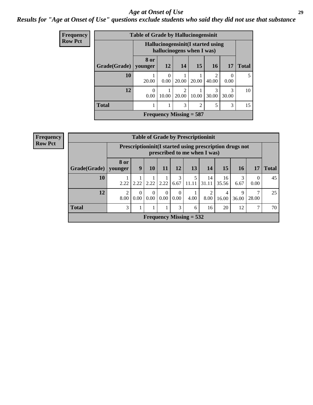#### *Age at Onset of Use* **29**

### *Results for "Age at Onset of Use" questions exclude students who said they did not use that substance*

| Frequency      |                        | <b>Table of Grade by Hallucinogensinit</b>                      |           |                           |                |            |                  |              |  |
|----------------|------------------------|-----------------------------------------------------------------|-----------|---------------------------|----------------|------------|------------------|--------------|--|
| <b>Row Pct</b> |                        | Hallucinogensinit (I started using<br>hallucinogens when I was) |           |                           |                |            |                  |              |  |
|                | Grade(Grade)   younger | 8 or                                                            | 12        | 14                        | 15             | <b>16</b>  | <b>17</b>        | <b>Total</b> |  |
|                | 10                     | 20.00                                                           | 0<br>0.00 | 20.00                     | 20.00          | 2<br>40.00 | $\Omega$<br>0.00 | 5            |  |
|                | 12                     | 0<br>0.00                                                       | 10.00     | $\mathfrak{D}$<br>20.00   | 10.00          | 3<br>30.00 | 3<br>30.00       | 10           |  |
|                | <b>Total</b>           |                                                                 | 1         | 3                         | $\overline{2}$ | 5          | 3                | 15           |  |
|                |                        |                                                                 |           | Frequency Missing $=$ 587 |                |            |                  |              |  |

| Frequency      |              |                                                                                         |                  |                            |                  |                            |                           | <b>Table of Grade by Prescriptioninit</b> |                         |            |                        |              |
|----------------|--------------|-----------------------------------------------------------------------------------------|------------------|----------------------------|------------------|----------------------------|---------------------------|-------------------------------------------|-------------------------|------------|------------------------|--------------|
| <b>Row Pct</b> |              | Prescriptioninit(I started using prescription drugs not<br>prescribed to me when I was) |                  |                            |                  |                            |                           |                                           |                         |            |                        |              |
|                | Grade(Grade) | 8 or<br>younger                                                                         | 9                | <b>10</b>                  | 11               | 12                         | 13                        | 14                                        | 15                      | <b>16</b>  | 17                     | <b>Total</b> |
|                | 10           | 2.22                                                                                    | 2.22             | 2.22                       | 2.22             | 3<br>6.67                  | 11.11                     | 14<br>31.11                               | 16<br>35.56             | 3<br>6.67  | 0<br>0.00              | 45           |
|                | 12           | $\overline{2}$<br>8.00                                                                  | $\Omega$<br>0.00 | $\Omega$<br>$0.00^{\circ}$ | $\Omega$<br>0.00 | $\theta$<br>$0.00^{\circ}$ | 4.00                      | $\overline{c}$<br>8.00                    | $\overline{4}$<br>16.00 | 9<br>36.00 | $\mathcal{L}$<br>28.00 | 25           |
|                | <b>Total</b> | 3                                                                                       |                  |                            |                  | 3                          | 6                         | 16                                        | 20                      | 12         | ⇁                      | 70           |
|                |              |                                                                                         |                  |                            |                  |                            | Frequency Missing $= 532$ |                                           |                         |            |                        |              |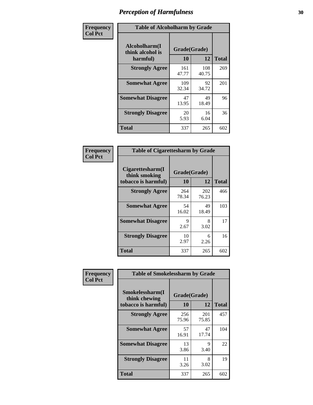| Frequency      |                                               | <b>Table of Alcoholharm by Grade</b> |              |              |  |  |  |  |  |  |  |
|----------------|-----------------------------------------------|--------------------------------------|--------------|--------------|--|--|--|--|--|--|--|
| <b>Col Pct</b> | Alcoholharm(I<br>think alcohol is<br>harmful) | Grade(Grade)<br>10                   | 12           | <b>Total</b> |  |  |  |  |  |  |  |
|                | <b>Strongly Agree</b>                         | 161<br>47.77                         | 108<br>40.75 | 269          |  |  |  |  |  |  |  |
|                | <b>Somewhat Agree</b>                         | 109<br>32.34                         | 92<br>34.72  | 201          |  |  |  |  |  |  |  |
|                | <b>Somewhat Disagree</b>                      | 47<br>13.95                          | 49<br>18.49  | 96           |  |  |  |  |  |  |  |
|                | <b>Strongly Disagree</b>                      | 20<br>5.93                           | 16<br>6.04   | 36           |  |  |  |  |  |  |  |
|                | <b>Total</b>                                  | 337                                  | 265          | 602          |  |  |  |  |  |  |  |

| <b>Table of Cigarettesharm by Grade</b>                  |                    |              |              |  |  |  |  |  |  |
|----------------------------------------------------------|--------------------|--------------|--------------|--|--|--|--|--|--|
| Cigarettesharm(I<br>think smoking<br>tobacco is harmful) | Grade(Grade)<br>10 | 12           | <b>Total</b> |  |  |  |  |  |  |
| <b>Strongly Agree</b>                                    | 264<br>78.34       | 202<br>76.23 | 466          |  |  |  |  |  |  |
| <b>Somewhat Agree</b>                                    | 54<br>16.02        | 49<br>18.49  | 103          |  |  |  |  |  |  |
| <b>Somewhat Disagree</b>                                 | 9<br>2.67          | 8<br>3.02    | 17           |  |  |  |  |  |  |
| <b>Strongly Disagree</b>                                 | 10<br>2.97         | 6<br>2.26    | 16           |  |  |  |  |  |  |
| <b>Total</b>                                             | 337                | 265          | 602          |  |  |  |  |  |  |

| Frequency      | <b>Table of Smokelessharm by Grade</b>                  |                    |              |              |
|----------------|---------------------------------------------------------|--------------------|--------------|--------------|
| <b>Col Pct</b> | Smokelessharm(I<br>think chewing<br>tobacco is harmful) | Grade(Grade)<br>10 | 12           | <b>Total</b> |
|                | <b>Strongly Agree</b>                                   | 256<br>75.96       | 201<br>75.85 | 457          |
|                | <b>Somewhat Agree</b>                                   | 57<br>16.91        | 47<br>17.74  | 104          |
|                | <b>Somewhat Disagree</b>                                | 13<br>3.86         | 9<br>3.40    | 22           |
|                | <b>Strongly Disagree</b>                                | 11<br>3.26         | 8<br>3.02    | 19           |
|                | <b>Total</b>                                            | 337                | 265          | 602          |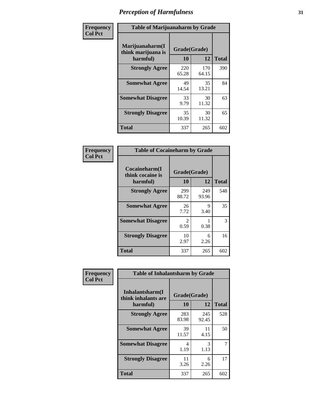| Frequency      | <b>Table of Marijuanaharm by Grade</b>            |                    |              |              |
|----------------|---------------------------------------------------|--------------------|--------------|--------------|
| <b>Col Pct</b> | Marijuanaharm(I<br>think marijuana is<br>harmful) | Grade(Grade)<br>10 | 12           | <b>Total</b> |
|                | <b>Strongly Agree</b>                             | 220<br>65.28       | 170<br>64.15 | 390          |
|                | <b>Somewhat Agree</b>                             | 49<br>14.54        | 35<br>13.21  | 84           |
|                | <b>Somewhat Disagree</b>                          | 33<br>9.79         | 30<br>11.32  | 63           |
|                | <b>Strongly Disagree</b>                          | 35<br>10.39        | 30<br>11.32  | 65           |
|                | <b>Total</b>                                      | 337                | 265          | 602          |

| <b>Table of Cocaineharm by Grade</b>          |                        |              |     |  |
|-----------------------------------------------|------------------------|--------------|-----|--|
| Cocaineharm(I<br>think cocaine is<br>harmful) | Grade(Grade)<br>10     | <b>Total</b> |     |  |
| <b>Strongly Agree</b>                         | 299<br>88.72           | 249<br>93.96 | 548 |  |
| <b>Somewhat Agree</b>                         | 26<br>7.72             | 9<br>3.40    | 35  |  |
| <b>Somewhat Disagree</b>                      | $\mathfrak{D}$<br>0.59 | 0.38         | 3   |  |
| <b>Strongly Disagree</b>                      | 10<br>2.97             | 6<br>2.26    | 16  |  |
| <b>Total</b>                                  | 337                    | 265          | 602 |  |

| Frequency      | <b>Table of Inhalantsharm by Grade</b>  |              |              |              |  |
|----------------|-----------------------------------------|--------------|--------------|--------------|--|
| <b>Col Pct</b> | Inhalantsharm(I)<br>think inhalants are | Grade(Grade) |              |              |  |
|                | harmful)                                | 10           | 12           | <b>Total</b> |  |
|                | <b>Strongly Agree</b>                   | 283<br>83.98 | 245<br>92.45 | 528          |  |
|                | <b>Somewhat Agree</b>                   | 39<br>11.57  | 11<br>4.15   | 50           |  |
|                | <b>Somewhat Disagree</b>                | 4<br>1.19    | 3<br>1.13    | 7            |  |
|                | <b>Strongly Disagree</b>                | 11<br>3.26   | 6<br>2.26    | 17           |  |
|                | <b>Total</b>                            | 337          | 265          | 602          |  |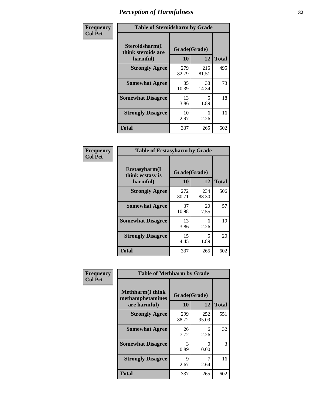| Frequency      | <b>Table of Steroidsharm by Grade</b>            |                    |              |              |
|----------------|--------------------------------------------------|--------------------|--------------|--------------|
| <b>Col Pct</b> | Steroidsharm(I<br>think steroids are<br>harmful) | Grade(Grade)<br>10 | 12           | <b>Total</b> |
|                | <b>Strongly Agree</b>                            | 279<br>82.79       | 216<br>81.51 | 495          |
|                | <b>Somewhat Agree</b>                            | 35<br>10.39        | 38<br>14.34  | 73           |
|                | <b>Somewhat Disagree</b>                         | 13<br>3.86         | 5<br>1.89    | 18           |
|                | <b>Strongly Disagree</b>                         | 10<br>2.97         | 6<br>2.26    | 16           |
|                | <b>Total</b>                                     | 337                | 265          | 602          |

| <b>Table of Ecstasyharm by Grade</b>                |                    |              |              |  |  |
|-----------------------------------------------------|--------------------|--------------|--------------|--|--|
| $E$ cstasyharm $(I$<br>think ecstasy is<br>harmful) | Grade(Grade)<br>10 | 12           | <b>Total</b> |  |  |
| <b>Strongly Agree</b>                               | 272<br>80.71       | 234<br>88.30 | 506          |  |  |
| <b>Somewhat Agree</b>                               | 37<br>10.98        | 20<br>7.55   | 57           |  |  |
| <b>Somewhat Disagree</b>                            | 13<br>3.86         | 6<br>2.26    | 19           |  |  |
| <b>Strongly Disagree</b>                            | 15<br>4.45         | 5<br>1.89    | 20           |  |  |
| Total                                               | 337                | 265          | 602          |  |  |

| Frequency      | <b>Table of Methharm by Grade</b>                            |                           |              |              |
|----------------|--------------------------------------------------------------|---------------------------|--------------|--------------|
| <b>Col Pct</b> | <b>Methharm</b> (I think<br>methamphetamines<br>are harmful) | Grade(Grade)<br><b>10</b> | 12           | <b>Total</b> |
|                | <b>Strongly Agree</b>                                        | 299<br>88.72              | 252<br>95.09 | 551          |
|                | <b>Somewhat Agree</b>                                        | 26<br>7.72                | 6<br>2.26    | 32           |
|                | <b>Somewhat Disagree</b>                                     | 3<br>0.89                 | 0<br>0.00    | 3            |
|                | <b>Strongly Disagree</b>                                     | 9<br>2.67                 | 7<br>2.64    | 16           |
|                | <b>Total</b>                                                 | 337                       | 265          | 602          |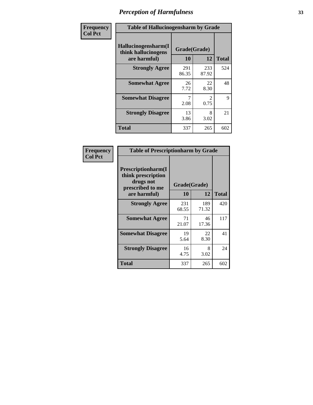| Frequency      | <b>Table of Hallucinogensharm by Grade</b>                 |                    |                       |              |
|----------------|------------------------------------------------------------|--------------------|-----------------------|--------------|
| <b>Col Pct</b> | Hallucinogensharm(I<br>think hallucinogens<br>are harmful) | Grade(Grade)<br>10 | 12                    | <b>Total</b> |
|                | <b>Strongly Agree</b>                                      | 291<br>86.35       | 233<br>87.92          | 524          |
|                | <b>Somewhat Agree</b>                                      | 26<br>7.72         | 22<br>8.30            | 48           |
|                | <b>Somewhat Disagree</b>                                   | 2.08               | $\mathcal{L}$<br>0.75 | 9            |
|                | <b>Strongly Disagree</b>                                   | 13<br>3.86         | 8<br>3.02             | 21           |
|                | <b>Total</b>                                               | 337                | 265                   | 602          |

| <b>Table of Prescriptionharm by Grade</b>                                 |              |              |              |  |
|---------------------------------------------------------------------------|--------------|--------------|--------------|--|
| Prescriptionharm(I<br>think prescription<br>drugs not<br>prescribed to me | Grade(Grade) |              |              |  |
| are harmful)                                                              | 10           | 12           | <b>Total</b> |  |
| <b>Strongly Agree</b>                                                     | 231<br>68.55 | 189<br>71.32 | 420          |  |
| <b>Somewhat Agree</b>                                                     | 71<br>21.07  | 46<br>17.36  | 117          |  |
| <b>Somewhat Disagree</b>                                                  | 19<br>5.64   | 22<br>8.30   | 41           |  |
| <b>Strongly Disagree</b>                                                  | 16<br>4.75   | 8<br>3.02    | 24           |  |
| <b>Total</b>                                                              | 337          | 265          | 602          |  |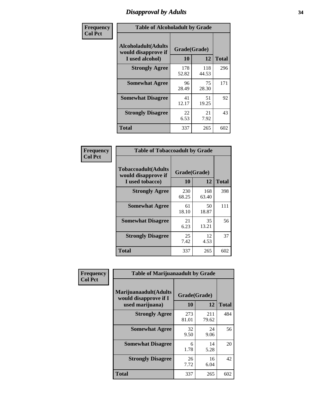### *Disapproval by Adults* **34**

| Frequency      | <b>Table of Alcoholadult by Grade</b>                                 |                    |              |              |
|----------------|-----------------------------------------------------------------------|--------------------|--------------|--------------|
| <b>Col Pct</b> | <b>Alcoholadult</b> (Adults<br>would disapprove if<br>I used alcohol) | Grade(Grade)<br>10 | 12           | <b>Total</b> |
|                | <b>Strongly Agree</b>                                                 | 178<br>52.82       | 118<br>44.53 | 296          |
|                | <b>Somewhat Agree</b>                                                 | 96<br>28.49        | 75<br>28.30  | 171          |
|                | <b>Somewhat Disagree</b>                                              | 41<br>12.17        | 51<br>19.25  | 92           |
|                | <b>Strongly Disagree</b>                                              | 22<br>6.53         | 21<br>7.92   | 43           |
|                | <b>Total</b>                                                          | 337                | 265          | 602          |

| <b>Table of Tobaccoadult by Grade</b>                                 |                    |              |              |  |
|-----------------------------------------------------------------------|--------------------|--------------|--------------|--|
| <b>Tobaccoadult</b> (Adults<br>would disapprove if<br>I used tobacco) | Grade(Grade)<br>10 | 12           | <b>Total</b> |  |
| <b>Strongly Agree</b>                                                 | 230<br>68.25       | 168<br>63.40 | 398          |  |
| <b>Somewhat Agree</b>                                                 | 61<br>18.10        | 50<br>18.87  | 111          |  |
| <b>Somewhat Disagree</b>                                              | 21<br>6.23         | 35<br>13.21  | 56           |  |
| <b>Strongly Disagree</b>                                              | 25<br>7.42         | 12<br>4.53   | 37           |  |
| <b>Total</b>                                                          | 337                | 265          | 602          |  |

| Frequency<br><b>Col Pct</b> | <b>Table of Marijuanaadult by Grade</b>                           |                    |              |              |
|-----------------------------|-------------------------------------------------------------------|--------------------|--------------|--------------|
|                             | Marijuanaadult(Adults<br>would disapprove if I<br>used marijuana) | Grade(Grade)<br>10 | 12           | <b>Total</b> |
|                             | <b>Strongly Agree</b>                                             | 273<br>81.01       | 211<br>79.62 | 484          |
|                             | <b>Somewhat Agree</b>                                             | 32<br>9.50         | 24<br>9.06   | 56           |
|                             | <b>Somewhat Disagree</b>                                          | 6<br>1.78          | 14<br>5.28   | 20           |
|                             | <b>Strongly Disagree</b>                                          | 26<br>7.72         | 16<br>6.04   | 42           |
|                             | <b>Total</b>                                                      | 337                | 265          | 602          |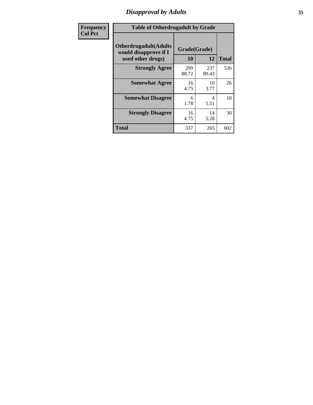### *Disapproval by Adults* **35**

| Frequency      | <b>Table of Otherdrugadult by Grade</b>                                     |                    |              |              |
|----------------|-----------------------------------------------------------------------------|--------------------|--------------|--------------|
| <b>Col Pct</b> | <b>Otherdrugadult</b> (Adults<br>would disapprove if I<br>used other drugs) | Grade(Grade)<br>10 | 12           | <b>Total</b> |
|                | <b>Strongly Agree</b>                                                       | 299<br>88.72       | 237<br>89.43 | 536          |
|                | <b>Somewhat Agree</b>                                                       | 16<br>4.75         | 10<br>3.77   | 26           |
|                | <b>Somewhat Disagree</b>                                                    | 6<br>1.78          | 4<br>1.51    | 10           |
|                | <b>Strongly Disagree</b>                                                    | 16<br>4.75         | 14<br>5.28   | 30           |
|                | <b>Total</b>                                                                | 337                | 265          | 602          |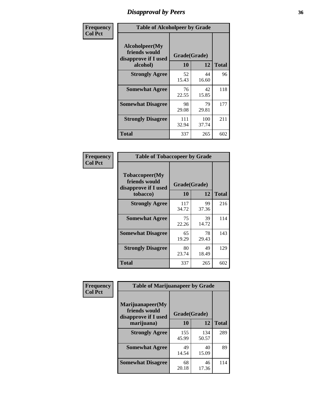### *Disapproval by Peers* **36**

| Frequency      | <b>Table of Alcoholpeer by Grade</b>                    |              |              |              |  |
|----------------|---------------------------------------------------------|--------------|--------------|--------------|--|
| <b>Col Pct</b> | Alcoholpeer(My<br>friends would<br>disapprove if I used | Grade(Grade) |              |              |  |
|                | alcohol)                                                | 10           | 12           | <b>Total</b> |  |
|                | <b>Strongly Agree</b>                                   | 52<br>15.43  | 44<br>16.60  | 96           |  |
|                | <b>Somewhat Agree</b>                                   | 76<br>22.55  | 42<br>15.85  | 118          |  |
|                | <b>Somewhat Disagree</b>                                | 98<br>29.08  | 79<br>29.81  | 177          |  |
|                | <b>Strongly Disagree</b>                                | 111<br>32.94 | 100<br>37.74 | 211          |  |
|                | Total                                                   | 337          | 265          | 602          |  |

| Frequency      | <b>Table of Tobaccopeer by Grade</b>                    |              |             |              |  |
|----------------|---------------------------------------------------------|--------------|-------------|--------------|--|
| <b>Col Pct</b> | Tobaccopeer(My<br>friends would<br>disapprove if I used | Grade(Grade) |             |              |  |
|                | tobacco)                                                | 10           | 12          | <b>Total</b> |  |
|                | <b>Strongly Agree</b>                                   | 117<br>34.72 | 99<br>37.36 | 216          |  |
|                | <b>Somewhat Agree</b>                                   | 75<br>22.26  | 39<br>14.72 | 114          |  |
|                | <b>Somewhat Disagree</b>                                | 65<br>19.29  | 78<br>29.43 | 143          |  |
|                | <b>Strongly Disagree</b>                                | 80<br>23.74  | 49<br>18.49 | 129          |  |
|                | Total                                                   | 337          | 265         | 602          |  |

| Frequency      | <b>Table of Marijuanapeer by Grade</b>                    |              |              |              |
|----------------|-----------------------------------------------------------|--------------|--------------|--------------|
| <b>Col Pct</b> | Marijuanapeer(My<br>friends would<br>disapprove if I used | Grade(Grade) |              |              |
|                | marijuana)                                                | 10           | 12           | <b>Total</b> |
|                | <b>Strongly Agree</b>                                     | 155<br>45.99 | 134<br>50.57 | 289          |
|                | <b>Somewhat Agree</b>                                     | 49<br>14.54  | 40<br>15.09  | 89           |
|                | <b>Somewhat Disagree</b>                                  | 68<br>20.18  | 46<br>17.36  | 114          |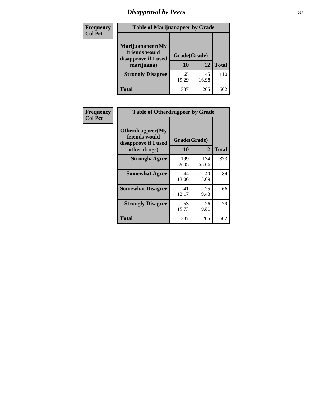# *Disapproval by Peers* **37**

| Frequency<br><b>Col Pct</b> | <b>Table of Marijuanapeer by Grade</b>                                  |                    |             |              |
|-----------------------------|-------------------------------------------------------------------------|--------------------|-------------|--------------|
|                             | Marijuanapeer(My<br>friends would<br>disapprove if I used<br>marijuana) | Grade(Grade)<br>10 | 12          | <b>Total</b> |
|                             | <b>Strongly Disagree</b>                                                | 65<br>19.29        | 45<br>16.98 | 110          |
|                             | Total                                                                   | 337                | 265         | 602          |

| Frequency      | <b>Table of Otherdrugpeer by Grade</b>                                    |                    |              |              |
|----------------|---------------------------------------------------------------------------|--------------------|--------------|--------------|
| <b>Col Pct</b> | Otherdrugpeer(My<br>friends would<br>disapprove if I used<br>other drugs) | Grade(Grade)<br>10 | 12           | <b>Total</b> |
|                | <b>Strongly Agree</b>                                                     | 199<br>59.05       | 174<br>65.66 | 373          |
|                | <b>Somewhat Agree</b>                                                     | 44<br>13.06        | 40<br>15.09  | 84           |
|                | <b>Somewhat Disagree</b>                                                  | 41<br>12.17        | 25<br>9.43   | 66           |
|                | <b>Strongly Disagree</b>                                                  | 53<br>15.73        | 26<br>9.81   | 79           |
|                | <b>Total</b>                                                              | 337                | 265          | 602          |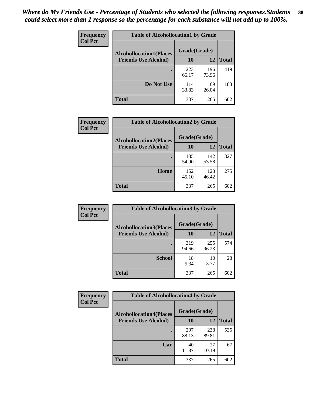| Frequency<br><b>Col Pct</b> | <b>Table of Alcohollocation1 by Grade</b> |              |              |              |  |
|-----------------------------|-------------------------------------------|--------------|--------------|--------------|--|
|                             | <b>Alcohollocation1(Places</b>            | Grade(Grade) |              |              |  |
|                             | <b>Friends Use Alcohol)</b>               | 10           | 12           | <b>Total</b> |  |
|                             |                                           | 223<br>66.17 | 196<br>73.96 | 419          |  |
|                             | Do Not Use                                | 114<br>33.83 | 69<br>26.04  | 183          |  |
|                             | <b>Total</b>                              | 337          | 265          | 602          |  |

| Frequency      | <b>Table of Alcohollocation2 by Grade</b>                     |                    |              |              |
|----------------|---------------------------------------------------------------|--------------------|--------------|--------------|
| <b>Col Pct</b> | <b>Alcohollocation2(Places</b><br><b>Friends Use Alcohol)</b> | Grade(Grade)<br>10 | 12           | <b>Total</b> |
|                |                                                               | 185<br>54.90       | 142<br>53.58 | 327          |
|                | Home                                                          | 152<br>45.10       | 123<br>46.42 | 275          |
|                | <b>Total</b>                                                  | 337                | 265          | 602          |

| Frequency      | <b>Table of Alcohollocation3 by Grade</b> |              |              |              |
|----------------|-------------------------------------------|--------------|--------------|--------------|
| <b>Col Pct</b> | <b>Alcohollocation3(Places</b>            | Grade(Grade) |              |              |
|                | <b>Friends Use Alcohol)</b>               | 10           | 12           | <b>Total</b> |
|                |                                           | 319<br>94.66 | 255<br>96.23 | 574          |
|                | <b>School</b>                             | 18<br>5.34   | 10<br>3.77   | 28           |
|                | <b>Total</b>                              | 337          | 265          | 602          |

| <b>Frequency</b> | <b>Table of Alcohollocation4 by Grade</b> |              |              |              |
|------------------|-------------------------------------------|--------------|--------------|--------------|
| <b>Col Pct</b>   | <b>Alcohollocation4(Places</b>            | Grade(Grade) |              |              |
|                  | <b>Friends Use Alcohol)</b>               | 10           | 12           | <b>Total</b> |
|                  |                                           | 297<br>88.13 | 238<br>89.81 | 535          |
|                  | Car                                       | 40<br>11.87  | 27<br>10.19  | 67           |
|                  | <b>Total</b>                              | 337          | 265          | 602          |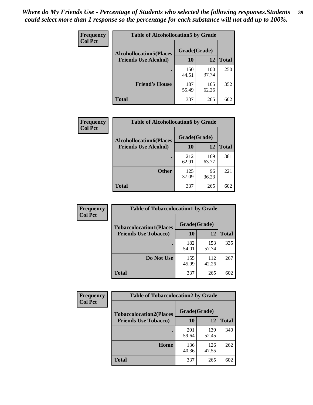| Frequency<br><b>Col Pct</b> | <b>Table of Alcohollocation5 by Grade</b> |              |              |              |  |
|-----------------------------|-------------------------------------------|--------------|--------------|--------------|--|
|                             | <b>Alcohollocation5(Places</b>            |              |              |              |  |
|                             | <b>Friends Use Alcohol)</b>               | 10           | 12           | <b>Total</b> |  |
|                             |                                           | 150<br>44.51 | 100<br>37.74 | 250          |  |
|                             | <b>Friend's House</b>                     | 187<br>55.49 | 165<br>62.26 | 352          |  |
|                             | <b>Total</b>                              | 337          | 265          | 602          |  |

| Frequency      | <b>Table of Alcohollocation6 by Grade</b>                     |                    |              |              |
|----------------|---------------------------------------------------------------|--------------------|--------------|--------------|
| <b>Col Pct</b> | <b>Alcohollocation6(Places</b><br><b>Friends Use Alcohol)</b> | Grade(Grade)<br>10 | <b>12</b>    | <b>Total</b> |
|                |                                                               | 212<br>62.91       | 169<br>63.77 | 381          |
|                | <b>Other</b>                                                  | 125<br>37.09       | 96<br>36.23  | 221          |
|                | <b>Total</b>                                                  | 337                | 265          | 602          |

| <b>Frequency</b> | <b>Table of Tobaccolocation1 by Grade</b> |              |              |              |
|------------------|-------------------------------------------|--------------|--------------|--------------|
| <b>Col Pct</b>   | <b>Tobaccolocation1(Places</b>            | Grade(Grade) |              |              |
|                  | <b>Friends Use Tobacco)</b>               | 10           | 12           | <b>Total</b> |
|                  |                                           | 182<br>54.01 | 153<br>57.74 | 335          |
|                  | Do Not Use                                | 155<br>45.99 | 112<br>42.26 | 267          |
|                  | <b>Total</b>                              | 337          | 265          | 602          |

| <b>Frequency</b> | <b>Table of Tobaccolocation2 by Grade</b> |              |              |              |
|------------------|-------------------------------------------|--------------|--------------|--------------|
| <b>Col Pct</b>   | <b>Tobaccolocation2(Places</b>            | Grade(Grade) |              |              |
|                  | <b>Friends Use Tobacco)</b>               | 10           | 12           | <b>Total</b> |
|                  |                                           | 201<br>59.64 | 139<br>52.45 | 340          |
|                  | Home                                      | 136<br>40.36 | 126<br>47.55 | 262          |
|                  | <b>Total</b>                              | 337          | 265          | 602          |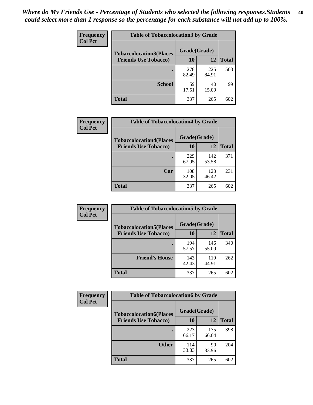| Frequency      | <b>Table of Tobaccolocation 3 by Grade</b> |              |              |              |
|----------------|--------------------------------------------|--------------|--------------|--------------|
| <b>Col Pct</b> | <b>Tobaccolocation3(Places</b>             | Grade(Grade) |              |              |
|                | <b>Friends Use Tobacco)</b>                | 10           | 12           | <b>Total</b> |
|                |                                            | 278<br>82.49 | 225<br>84.91 | 503          |
|                | <b>School</b>                              | 59<br>17.51  | 40<br>15.09  | 99           |
|                | <b>Total</b>                               | 337          | 265          | 602          |

| Frequency<br><b>Col Pct</b> | <b>Table of Tobaccolocation4 by Grade</b> |              |              |              |
|-----------------------------|-------------------------------------------|--------------|--------------|--------------|
|                             | <b>Tobaccolocation4(Places</b>            | Grade(Grade) |              |              |
|                             | <b>Friends Use Tobacco)</b>               | 10           | <b>12</b>    | <b>Total</b> |
|                             |                                           | 229<br>67.95 | 142<br>53.58 | 371          |
|                             | Car                                       | 108<br>32.05 | 123<br>46.42 | 231          |
|                             | <b>Total</b>                              | 337          | 265          | 602          |

| Frequency      | <b>Table of Tobaccolocation5 by Grade</b> |              |              |              |
|----------------|-------------------------------------------|--------------|--------------|--------------|
| <b>Col Pct</b> | <b>Tobaccolocation5(Places</b>            | Grade(Grade) |              |              |
|                | <b>Friends Use Tobacco)</b>               | 10           | 12           | <b>Total</b> |
|                |                                           | 194<br>57.57 | 146<br>55.09 | 340          |
|                | <b>Friend's House</b>                     | 143<br>42.43 | 119<br>44.91 | 262          |
|                | <b>Total</b>                              | 337          | 265          | 602          |

| <b>Frequency</b> | <b>Table of Tobaccolocation6 by Grade</b>                     |                    |              |              |  |
|------------------|---------------------------------------------------------------|--------------------|--------------|--------------|--|
| <b>Col Pct</b>   | <b>Tobaccolocation6(Places</b><br><b>Friends Use Tobacco)</b> | Grade(Grade)<br>10 | 12           | <b>Total</b> |  |
|                  |                                                               |                    |              |              |  |
|                  |                                                               | 223<br>66.17       | 175<br>66.04 | 398          |  |
|                  | <b>Other</b>                                                  | 114<br>33.83       | 90<br>33.96  | 204          |  |
|                  | <b>Total</b>                                                  | 337                | 265          | 602          |  |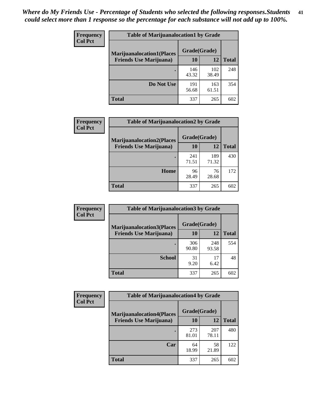| <b>Frequency</b> | <b>Table of Marijuanalocation1 by Grade</b> |              |              |              |
|------------------|---------------------------------------------|--------------|--------------|--------------|
| <b>Col Pct</b>   | <b>Marijuanalocation1(Places</b>            | Grade(Grade) |              |              |
|                  | <b>Friends Use Marijuana</b> )              | 10           | 12           | <b>Total</b> |
|                  |                                             | 146<br>43.32 | 102<br>38.49 | 248          |
|                  | Do Not Use                                  | 191<br>56.68 | 163<br>61.51 | 354          |
|                  | <b>Total</b>                                | 337          | 265          | 602          |

| Frequency      | <b>Table of Marijuanalocation2 by Grade</b>                        |                    |       |              |
|----------------|--------------------------------------------------------------------|--------------------|-------|--------------|
| <b>Col Pct</b> | <b>Marijuanalocation2(Places</b><br><b>Friends Use Marijuana</b> ) | Grade(Grade)<br>10 | 12    | <b>Total</b> |
|                |                                                                    |                    |       |              |
|                |                                                                    | 241                | 189   | 430          |
|                |                                                                    | 71.51              | 71.32 |              |
|                | Home                                                               | 96                 | 76    | 172          |
|                |                                                                    | 28.49              | 28.68 |              |
|                | <b>Total</b>                                                       | 337                | 265   | 602          |

| Frequency<br><b>Col Pct</b> | <b>Table of Marijuanalocation3 by Grade</b> |              |              |              |
|-----------------------------|---------------------------------------------|--------------|--------------|--------------|
|                             | <b>Marijuanalocation3(Places</b>            | Grade(Grade) |              |              |
|                             | <b>Friends Use Marijuana</b> )              | 10           | 12           | <b>Total</b> |
|                             |                                             | 306<br>90.80 | 248<br>93.58 | 554          |
|                             | <b>School</b>                               | 31<br>9.20   | 17<br>6.42   | 48           |
|                             | <b>Total</b>                                | 337          | 265          | 602          |

| <b>Frequency</b> | <b>Table of Marijuanalocation4 by Grade</b> |              |              |              |  |
|------------------|---------------------------------------------|--------------|--------------|--------------|--|
| <b>Col Pct</b>   | <b>Marijuanalocation4(Places</b>            | Grade(Grade) |              |              |  |
|                  | <b>Friends Use Marijuana</b> )              | <b>10</b>    | 12           | <b>Total</b> |  |
|                  |                                             | 273<br>81.01 | 207<br>78.11 | 480          |  |
|                  | Car                                         | 64<br>18.99  | 58<br>21.89  | 122          |  |
|                  | <b>Total</b>                                | 337          | 265          | 602          |  |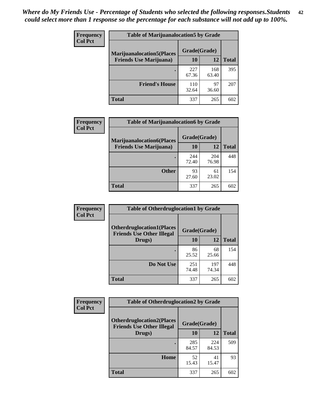| <b>Frequency</b>               | <b>Table of Marijuanalocation5 by Grade</b> |              |              |     |
|--------------------------------|---------------------------------------------|--------------|--------------|-----|
| <b>Col Pct</b>                 | <b>Marijuanalocation5</b> (Places           | Grade(Grade) |              |     |
| <b>Friends Use Marijuana</b> ) | 10                                          | 12           | <b>Total</b> |     |
|                                |                                             | 227<br>67.36 | 168<br>63.40 | 395 |
|                                | <b>Friend's House</b>                       | 110<br>32.64 | 97<br>36.60  | 207 |
|                                | Total                                       | 337          | 265          | 602 |

| <b>Frequency</b> | <b>Table of Marijuanalocation6 by Grade</b>                        |                    |              |              |
|------------------|--------------------------------------------------------------------|--------------------|--------------|--------------|
| <b>Col Pct</b>   | <b>Marijuanalocation6(Places</b><br><b>Friends Use Marijuana</b> ) | Grade(Grade)<br>10 | 12           | <b>Total</b> |
|                  |                                                                    | 244<br>72.40       | 204<br>76.98 | 448          |
|                  | <b>Other</b>                                                       | 93<br>27.60        | 61<br>23.02  | 154          |
|                  | <b>Total</b>                                                       | 337                | 265          | 602          |

| <b>Frequency</b> | <b>Table of Otherdruglocation1 by Grade</b>                          |              |              |              |
|------------------|----------------------------------------------------------------------|--------------|--------------|--------------|
| <b>Col Pct</b>   | <b>Otherdruglocation1(Places</b><br><b>Friends Use Other Illegal</b> | Grade(Grade) |              |              |
|                  | Drugs)                                                               | 10           | 12           | <b>Total</b> |
|                  |                                                                      | 86<br>25.52  | 68<br>25.66  | 154          |
|                  | Do Not Use                                                           | 251<br>74.48 | 197<br>74.34 | 448          |
|                  | <b>Total</b>                                                         | 337          | 265          | 602          |

| Frequency      | <b>Table of Otherdruglocation2 by Grade</b>                          |              |              |              |
|----------------|----------------------------------------------------------------------|--------------|--------------|--------------|
| <b>Col Pct</b> | <b>Otherdruglocation2(Places</b><br><b>Friends Use Other Illegal</b> | Grade(Grade) |              |              |
|                | Drugs)                                                               | 10           | 12           | <b>Total</b> |
|                |                                                                      | 285<br>84.57 | 224<br>84.53 | 509          |
|                | Home                                                                 | 52<br>15.43  | 41<br>15.47  | 93           |
|                | Total                                                                | 337          | 265          | 602          |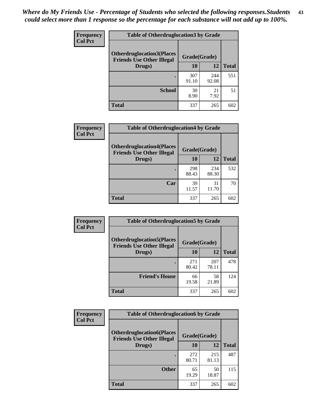| <b>Frequency</b> | <b>Table of Otherdruglocation 3 by Grade</b>                         |              |              |              |
|------------------|----------------------------------------------------------------------|--------------|--------------|--------------|
| <b>Col Pct</b>   | <b>Otherdruglocation3(Places</b><br><b>Friends Use Other Illegal</b> | Grade(Grade) |              |              |
|                  | Drugs)                                                               | 10           | 12           | <b>Total</b> |
|                  |                                                                      | 307<br>91.10 | 244<br>92.08 | 551          |
|                  | <b>School</b>                                                        | 30<br>8.90   | 21<br>7.92   | 51           |
|                  | <b>Total</b>                                                         | 337          | 265          | 602          |

| <b>Frequency</b> | <b>Table of Otherdruglocation4 by Grade</b>                          |              |              |              |
|------------------|----------------------------------------------------------------------|--------------|--------------|--------------|
| <b>Col Pct</b>   | <b>Otherdruglocation4(Places</b><br><b>Friends Use Other Illegal</b> | Grade(Grade) |              |              |
|                  | Drugs)                                                               | 10           | 12           | <b>Total</b> |
|                  |                                                                      | 298<br>88.43 | 234<br>88.30 | 532          |
|                  | Car                                                                  | 39<br>11.57  | 31<br>11.70  | 70           |
|                  | <b>Total</b>                                                         | 337          | 265          | 602          |

| Frequency      | <b>Table of Otherdruglocation5 by Grade</b>                          |              |              |              |
|----------------|----------------------------------------------------------------------|--------------|--------------|--------------|
| <b>Col Pct</b> | <b>Otherdruglocation5(Places</b><br><b>Friends Use Other Illegal</b> | Grade(Grade) |              |              |
|                | Drugs)                                                               | 10           | 12           | <b>Total</b> |
|                |                                                                      | 271<br>80.42 | 207<br>78.11 | 478          |
|                | <b>Friend's House</b>                                                | 66<br>19.58  | 58<br>21.89  | 124          |
|                | <b>Total</b>                                                         | 337          | 265          | 602          |

| <b>Frequency</b> | <b>Table of Otherdruglocation6 by Grade</b>                          |              |              |              |
|------------------|----------------------------------------------------------------------|--------------|--------------|--------------|
| <b>Col Pct</b>   | <b>Otherdruglocation6(Places</b><br><b>Friends Use Other Illegal</b> | Grade(Grade) |              |              |
|                  | Drugs)                                                               | 10           | 12           | <b>Total</b> |
|                  |                                                                      | 272<br>80.71 | 215<br>81.13 | 487          |
|                  | <b>Other</b>                                                         | 65<br>19.29  | 50<br>18.87  | 115          |
|                  | <b>Total</b>                                                         | 337          | 265          | 602          |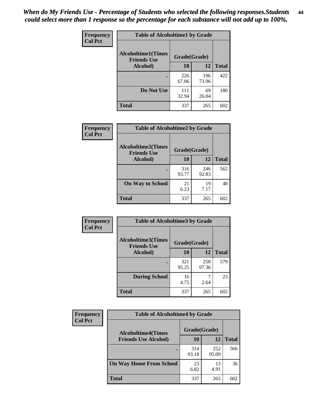| Frequency      | <b>Table of Alcoholtime1 by Grade</b>           |              |              |              |
|----------------|-------------------------------------------------|--------------|--------------|--------------|
| <b>Col Pct</b> | <b>Alcoholtime1(Times</b><br><b>Friends Use</b> | Grade(Grade) |              |              |
|                | Alcohol)                                        | 10           | <b>12</b>    | <b>Total</b> |
|                |                                                 | 226<br>67.06 | 196<br>73.96 | 422          |
|                | Do Not Use                                      | 111<br>32.94 | 69<br>26.04  | 180          |
|                | <b>Total</b>                                    | 337          | 265          | 602          |

| Frequency      | <b>Table of Alcoholtime2 by Grade</b>           |              |              |              |
|----------------|-------------------------------------------------|--------------|--------------|--------------|
| <b>Col Pct</b> | <b>Alcoholtime2(Times</b><br><b>Friends Use</b> | Grade(Grade) |              |              |
|                | Alcohol)                                        | 10           | 12           | <b>Total</b> |
|                |                                                 | 316<br>93.77 | 246<br>92.83 | 562          |
|                | <b>On Way to School</b>                         | 21<br>6.23   | 19<br>7.17   | 40           |
|                | <b>Total</b>                                    | 337          | 265          | 602          |

| Frequency<br><b>Col Pct</b> | <b>Table of Alcoholtime3 by Grade</b>                           |              |              |              |  |
|-----------------------------|-----------------------------------------------------------------|--------------|--------------|--------------|--|
|                             | <b>Alcoholtime3(Times</b><br>Grade(Grade)<br><b>Friends Use</b> |              |              |              |  |
|                             | Alcohol)                                                        | 10           | 12           | <b>Total</b> |  |
|                             |                                                                 | 321<br>95.25 | 258<br>97.36 | 579          |  |
|                             | <b>During School</b>                                            | 16<br>4.75   | 2.64         | 23           |  |
|                             | <b>Total</b>                                                    | 337          | 265          | 602          |  |

| <b>Frequency</b><br><b>Col Pct</b> | <b>Table of Alcoholtime4 by Grade</b> |              |              |              |  |
|------------------------------------|---------------------------------------|--------------|--------------|--------------|--|
|                                    | <b>Alcoholtime4(Times</b>             | Grade(Grade) |              |              |  |
|                                    | <b>Friends Use Alcohol)</b>           | 10           | 12           | <b>Total</b> |  |
|                                    |                                       | 314<br>93.18 | 252<br>95.09 | 566          |  |
|                                    | <b>On Way Home From School</b>        | 23<br>6.82   | 13<br>4.91   | 36           |  |
|                                    | <b>Total</b>                          | 337          | 265          | 602          |  |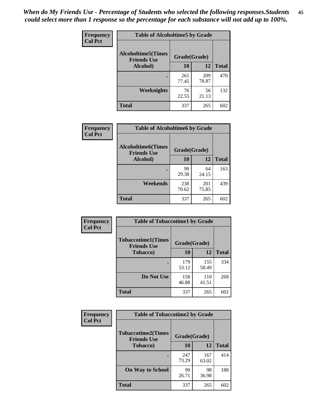*When do My Friends Use - Percentage of Students who selected the following responses.Students could select more than 1 response so the percentage for each substance will not add up to 100%.* **45**

| Frequency      | <b>Table of Alcoholtime5 by Grade</b>           |              |              |              |
|----------------|-------------------------------------------------|--------------|--------------|--------------|
| <b>Col Pct</b> | <b>Alcoholtime5(Times</b><br><b>Friends Use</b> | Grade(Grade) |              |              |
|                | Alcohol)                                        | 10           | <b>12</b>    | <b>Total</b> |
|                |                                                 | 261<br>77.45 | 209<br>78.87 | 470          |
|                | Weeknights                                      | 76<br>22.55  | 56<br>21.13  | 132          |
|                | <b>Total</b>                                    | 337          | 265          | 602          |

| <b>Frequency</b> | <b>Table of Alcoholtime6 by Grade</b>           |              |              |              |
|------------------|-------------------------------------------------|--------------|--------------|--------------|
| <b>Col Pct</b>   | <b>Alcoholtime6(Times</b><br><b>Friends Use</b> | Grade(Grade) |              |              |
|                  | Alcohol)                                        | 10           | 12           | <b>Total</b> |
|                  |                                                 | 99<br>29.38  | 64<br>24.15  | 163          |
|                  | Weekends                                        | 238<br>70.62 | 201<br>75.85 | 439          |
|                  | <b>Total</b>                                    | 337          | 265          | 602          |

| Frequency      | <b>Table of Tobaccotime1 by Grade</b>           |              |              |              |  |
|----------------|-------------------------------------------------|--------------|--------------|--------------|--|
| <b>Col Pct</b> | <b>Tobaccotime1(Times</b><br><b>Friends Use</b> | Grade(Grade) |              |              |  |
|                | <b>Tobacco</b> )                                | 10           | 12           | <b>Total</b> |  |
|                |                                                 | 179<br>53.12 | 155<br>58.49 | 334          |  |
|                | Do Not Use                                      | 158<br>46.88 | 110<br>41.51 | 268          |  |
|                | <b>Total</b>                                    | 337          | 265          | 602          |  |

| <b>Frequency</b> | <b>Table of Tobaccotime2 by Grade</b>           |              |              |              |
|------------------|-------------------------------------------------|--------------|--------------|--------------|
| <b>Col Pct</b>   | <b>Tobaccotime2(Times</b><br><b>Friends Use</b> | Grade(Grade) |              |              |
|                  | <b>Tobacco</b> )                                | 10           | 12           | <b>Total</b> |
|                  |                                                 | 247<br>73.29 | 167<br>63.02 | 414          |
|                  | <b>On Way to School</b>                         | 90<br>26.71  | 98<br>36.98  | 188          |
|                  | Total                                           | 337          | 265          | 602          |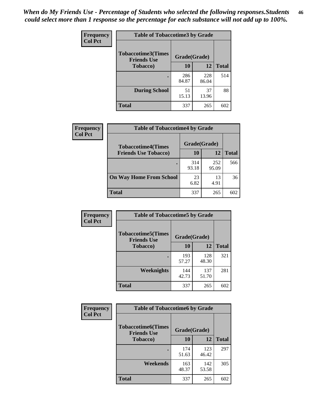| <b>Frequency</b> | <b>Table of Tobaccotime3 by Grade</b>           |              |              |              |  |
|------------------|-------------------------------------------------|--------------|--------------|--------------|--|
| <b>Col Pct</b>   | <b>Tobaccotime3(Times</b><br><b>Friends Use</b> | Grade(Grade) |              |              |  |
|                  | <b>Tobacco</b> )                                | 10           | 12           | <b>Total</b> |  |
|                  |                                                 | 286<br>84.87 | 228<br>86.04 | 514          |  |
|                  | <b>During School</b>                            | 51<br>15.13  | 37<br>13.96  | 88           |  |
|                  | <b>Total</b>                                    | 337          | 265          | 602          |  |

| Frequency<br><b>Col Pct</b> | <b>Table of Tobaccotime4 by Grade</b> |              |              |              |  |
|-----------------------------|---------------------------------------|--------------|--------------|--------------|--|
|                             | <b>Tobaccotime4(Times</b>             | Grade(Grade) |              |              |  |
|                             | <b>Friends Use Tobacco)</b>           | 10           | 12           | <b>Total</b> |  |
|                             |                                       | 314<br>93.18 | 252<br>95.09 | 566          |  |
|                             | <b>On Way Home From School</b>        | 23<br>6.82   | 13<br>4.91   | 36           |  |
|                             | <b>Total</b>                          | 337          | 265          | 602          |  |

| Frequency      | <b>Table of Tobaccotime5 by Grade</b>           |              |              |              |
|----------------|-------------------------------------------------|--------------|--------------|--------------|
| <b>Col Pct</b> | <b>Tobaccotime5(Times</b><br><b>Friends Use</b> | Grade(Grade) |              |              |
|                | <b>Tobacco</b> )                                | 10           | 12           | <b>Total</b> |
|                |                                                 | 193<br>57.27 | 128<br>48.30 | 321          |
|                | Weeknights                                      | 144<br>42.73 | 137<br>51.70 | 281          |
|                | <b>Total</b>                                    | 337          | 265          | 602          |

| Frequency<br><b>Col Pct</b> | <b>Table of Tobaccotime6 by Grade</b>           |              |              |              |  |
|-----------------------------|-------------------------------------------------|--------------|--------------|--------------|--|
|                             | <b>Tobaccotime6(Times</b><br><b>Friends Use</b> | Grade(Grade) |              |              |  |
|                             | <b>Tobacco</b> )                                | 10           | 12           | <b>Total</b> |  |
|                             |                                                 | 174<br>51.63 | 123<br>46.42 | 297          |  |
|                             | Weekends                                        | 163<br>48.37 | 142<br>53.58 | 305          |  |
|                             | <b>Total</b>                                    | 337          | 265          | 602          |  |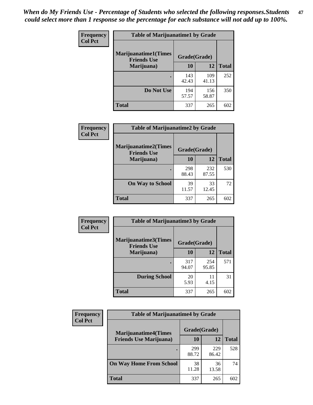| Frequency      | <b>Table of Marijuanatime1 by Grade</b>           |              |              |              |
|----------------|---------------------------------------------------|--------------|--------------|--------------|
| <b>Col Pct</b> | <b>Marijuanatime1(Times</b><br><b>Friends Use</b> | Grade(Grade) |              |              |
|                | Marijuana)                                        | 10           | 12           | <b>Total</b> |
|                |                                                   | 143<br>42.43 | 109<br>41.13 | 252          |
|                | Do Not Use                                        | 194<br>57.57 | 156<br>58.87 | 350          |
|                | <b>Total</b>                                      | 337          | 265          | 602          |

| Frequency      | <b>Table of Marijuanatime2 by Grade</b>           |              |              |              |
|----------------|---------------------------------------------------|--------------|--------------|--------------|
| <b>Col Pct</b> | <b>Marijuanatime2(Times</b><br><b>Friends Use</b> | Grade(Grade) |              |              |
|                | Marijuana)                                        | 10           | 12           | <b>Total</b> |
|                |                                                   | 298<br>88.43 | 232<br>87.55 | 530          |
|                | <b>On Way to School</b>                           | 39<br>11.57  | 33<br>12.45  | 72           |
|                | <b>Total</b>                                      | 337          | 265          | 602          |

| Frequency<br><b>Col Pct</b> | <b>Table of Marijuanatime3 by Grade</b>    |              |              |              |  |
|-----------------------------|--------------------------------------------|--------------|--------------|--------------|--|
|                             | Marijuanatime3(Times<br><b>Friends Use</b> | Grade(Grade) |              |              |  |
|                             | Marijuana)                                 | 10           | 12           | <b>Total</b> |  |
|                             |                                            | 317<br>94.07 | 254<br>95.85 | 571          |  |
|                             | <b>During School</b>                       | 20<br>5.93   | 11<br>4.15   | 31           |  |
|                             | <b>Total</b>                               | 337          | 265          | 602          |  |

| <b>Frequency</b> | <b>Table of Marijuanatime4 by Grade</b> |              |              |              |
|------------------|-----------------------------------------|--------------|--------------|--------------|
| <b>Col Pct</b>   | <b>Marijuanatime4(Times</b>             | Grade(Grade) |              |              |
|                  | <b>Friends Use Marijuana</b> )          | 10           | 12           | <b>Total</b> |
|                  |                                         | 299<br>88.72 | 229<br>86.42 | 528          |
|                  | <b>On Way Home From School</b>          | 38<br>11.28  | 36<br>13.58  | 74           |
|                  | <b>Total</b>                            | 337          | 265          | 602          |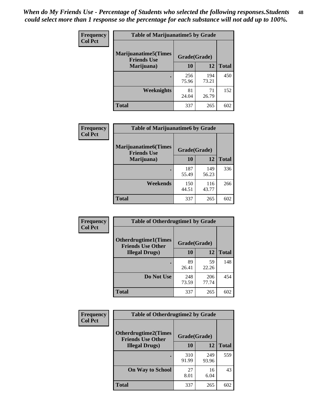| Frequency      | <b>Table of Marijuanatime5 by Grade</b>            |              |              |              |  |
|----------------|----------------------------------------------------|--------------|--------------|--------------|--|
| <b>Col Pct</b> | <b>Marijuanatime5</b> (Times<br><b>Friends Use</b> | Grade(Grade) |              |              |  |
|                | Marijuana)                                         | 10           | 12           | <b>Total</b> |  |
|                |                                                    | 256<br>75.96 | 194<br>73.21 | 450          |  |
|                | Weeknights                                         | 81<br>24.04  | 71<br>26.79  | 152          |  |
|                | <b>Total</b>                                       | 337          | 265          | 602          |  |

| Frequency      | <b>Table of Marijuanatime6 by Grade</b>            |              |              |              |
|----------------|----------------------------------------------------|--------------|--------------|--------------|
| <b>Col Pct</b> | <b>Marijuanatime6</b> (Times<br><b>Friends Use</b> | Grade(Grade) |              |              |
|                | Marijuana)                                         | 10           | 12           | <b>Total</b> |
|                |                                                    | 187<br>55.49 | 149<br>56.23 | 336          |
|                | Weekends                                           | 150<br>44.51 | 116<br>43.77 | 266          |
|                | <b>Total</b>                                       | 337          | 265          | 602          |

| Frequency      | <b>Table of Otherdrugtime1 by Grade</b>                 |              |              |              |
|----------------|---------------------------------------------------------|--------------|--------------|--------------|
| <b>Col Pct</b> | <b>Otherdrugtime1(Times</b><br><b>Friends Use Other</b> | Grade(Grade) |              |              |
|                | <b>Illegal Drugs</b> )                                  | 10           | 12           | <b>Total</b> |
|                |                                                         | 89<br>26.41  | 59<br>22.26  | 148          |
|                | Do Not Use                                              | 248<br>73.59 | 206<br>77.74 | 454          |
|                | Total                                                   | 337          | 265          | 602          |

| Frequency      | <b>Table of Otherdrugtime2 by Grade</b>                 |              |              |              |
|----------------|---------------------------------------------------------|--------------|--------------|--------------|
| <b>Col Pct</b> | <b>Otherdrugtime2(Times</b><br><b>Friends Use Other</b> | Grade(Grade) |              |              |
|                | <b>Illegal Drugs</b> )                                  | 10           | 12           | <b>Total</b> |
|                |                                                         | 310<br>91.99 | 249<br>93.96 | 559          |
|                | <b>On Way to School</b>                                 | 27<br>8.01   | 16<br>6.04   | 43           |
|                | Total                                                   | 337          | 265          | 602          |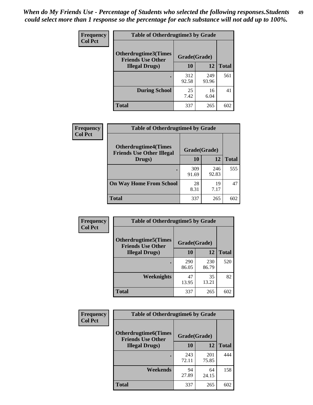| <b>Frequency</b> | <b>Table of Otherdrugtime3 by Grade</b>          |              |              |              |  |
|------------------|--------------------------------------------------|--------------|--------------|--------------|--|
| <b>Col Pct</b>   | Otherdrugtime3(Times<br><b>Friends Use Other</b> | Grade(Grade) |              |              |  |
|                  | <b>Illegal Drugs</b> )                           | 10           | 12           | <b>Total</b> |  |
|                  |                                                  | 312<br>92.58 | 249<br>93.96 | 561          |  |
|                  | <b>During School</b>                             | 25<br>7.42   | 16<br>6.04   | 41           |  |
|                  | <b>Total</b>                                     | 337          | 265          | 602          |  |

| Frequency      | <b>Table of Otherdrugtime4 by Grade</b>                         |              |              |              |
|----------------|-----------------------------------------------------------------|--------------|--------------|--------------|
| <b>Col Pct</b> | <b>Otherdrugtime4(Times</b><br><b>Friends Use Other Illegal</b> | Grade(Grade) |              |              |
|                | Drugs)                                                          | 10           | 12           | <b>Total</b> |
|                |                                                                 | 309<br>91.69 | 246<br>92.83 | 555          |
|                | <b>On Way Home From School</b>                                  | 28<br>8.31   | 19<br>7.17   | 47           |
|                | Total                                                           | 337          | 265          | 602          |

| <b>Frequency</b> | <b>Table of Otherdrugtime5 by Grade</b>                  |              |              |              |  |  |  |
|------------------|----------------------------------------------------------|--------------|--------------|--------------|--|--|--|
| <b>Col Pct</b>   | <b>Otherdrugtime5</b> (Times<br><b>Friends Use Other</b> | Grade(Grade) |              |              |  |  |  |
|                  | <b>Illegal Drugs</b> )                                   | 10           | 12           | <b>Total</b> |  |  |  |
|                  |                                                          | 290<br>86.05 | 230<br>86.79 | 520          |  |  |  |
|                  | Weeknights                                               | 47<br>13.95  | 35<br>13.21  | 82           |  |  |  |
|                  | <b>Total</b>                                             | 337          | 265          | 602          |  |  |  |

| <b>Frequency</b> | <b>Table of Otherdrugtime6 by Grade</b>                 |              |              |              |  |  |
|------------------|---------------------------------------------------------|--------------|--------------|--------------|--|--|
| <b>Col Pct</b>   | <b>Otherdrugtime6(Times</b><br><b>Friends Use Other</b> | Grade(Grade) |              |              |  |  |
|                  | <b>Illegal Drugs</b> )                                  | 10           | 12           | <b>Total</b> |  |  |
|                  |                                                         | 243<br>72.11 | 201<br>75.85 | 444          |  |  |
|                  | Weekends                                                | 94<br>27.89  | 64<br>24.15  | 158          |  |  |
|                  | <b>Total</b>                                            | 337          | 265          | 602          |  |  |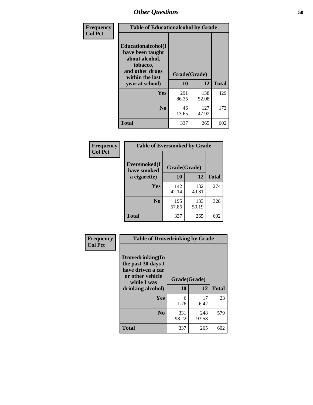| Frequency      | <b>Table of Educationalcohol by Grade</b>                                                                  |              |              |              |  |  |
|----------------|------------------------------------------------------------------------------------------------------------|--------------|--------------|--------------|--|--|
| <b>Col Pct</b> | Educationalcohol(I<br>have been taught<br>about alcohol,<br>tobacco,<br>and other drugs<br>within the last | Grade(Grade) |              |              |  |  |
|                | year at school)                                                                                            | 10           | 12           | <b>Total</b> |  |  |
|                | Yes                                                                                                        | 291<br>86.35 | 138<br>52.08 | 429          |  |  |
|                | N <sub>0</sub>                                                                                             | 46<br>13.65  | 127<br>47.92 | 173          |  |  |
|                | <b>Total</b>                                                                                               | 337          | 265          | 602          |  |  |

| Frequency      | <b>Table of Eversmoked by Grade</b> |              |              |              |  |  |  |
|----------------|-------------------------------------|--------------|--------------|--------------|--|--|--|
| <b>Col Pct</b> | Eversmoked(I)<br>have smoked        |              |              |              |  |  |  |
|                | a cigarette)                        | 10<br>12     |              | <b>Total</b> |  |  |  |
|                | <b>Yes</b>                          | 142<br>42.14 | 132<br>49.81 | 274          |  |  |  |
|                | N <sub>0</sub>                      | 195<br>57.86 | 133<br>50.19 | 328          |  |  |  |
|                | <b>Total</b>                        | 337          | 265          | 602          |  |  |  |

| Frequency<br><b>Col Pct</b> | <b>Table of Drovedrinking by Grade</b>                                                                              |                    |              |              |
|-----------------------------|---------------------------------------------------------------------------------------------------------------------|--------------------|--------------|--------------|
|                             | Drovedrinking(In<br>the past 30 days I<br>have driven a car<br>or other vehicle<br>while I was<br>drinking alcohol) | Grade(Grade)<br>10 | 12           | <b>Total</b> |
|                             | <b>Yes</b>                                                                                                          | 6<br>1.78          | 17<br>6.42   | 23           |
|                             | N <sub>0</sub>                                                                                                      | 331<br>98.22       | 248<br>93.58 | 579          |
|                             | <b>Total</b>                                                                                                        | 337                | 265          | 602          |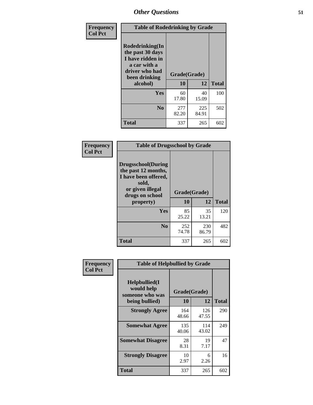| Frequency<br><b>Col Pct</b> | <b>Table of Rodedrinking by Grade</b>                                                                      |                    |              |              |
|-----------------------------|------------------------------------------------------------------------------------------------------------|--------------------|--------------|--------------|
|                             | Rodedrinking(In<br>the past 30 days<br>I have ridden in<br>a car with a<br>driver who had<br>been drinking | Grade(Grade)<br>10 | 12           | <b>Total</b> |
|                             | alcohol)                                                                                                   |                    |              |              |
|                             | <b>Yes</b>                                                                                                 | 60<br>17.80        | 40<br>15.09  | 100          |
|                             | N <sub>0</sub>                                                                                             | 277<br>82.20       | 225<br>84.91 | 502          |
|                             | <b>Total</b>                                                                                               | 337                | 265          | 602          |

#### **Frequency Col Pct**

| <b>Table of Drugsschool by Grade</b>                                                                                      |              |              |              |  |  |  |
|---------------------------------------------------------------------------------------------------------------------------|--------------|--------------|--------------|--|--|--|
| <b>Drugsschool</b> (During<br>the past 12 months,<br>I have been offered,<br>sold,<br>or given illegal<br>drugs on school | Grade(Grade) |              |              |  |  |  |
| property)                                                                                                                 | 10           | 12           | <b>Total</b> |  |  |  |
| <b>Yes</b>                                                                                                                | 85<br>25.22  | 35<br>13.21  | 120          |  |  |  |
| N <sub>0</sub>                                                                                                            | 252<br>74.78 | 230<br>86.79 | 482          |  |  |  |
| Total                                                                                                                     | 337          | 265          | 602          |  |  |  |

| Frequency      | <b>Table of Helpbullied by Grade</b>                 |              |              |              |
|----------------|------------------------------------------------------|--------------|--------------|--------------|
| <b>Col Pct</b> | $Helpb$ ullied $(I$<br>would help<br>someone who was | Grade(Grade) |              |              |
|                | being bullied)                                       | <b>10</b>    | 12           | <b>Total</b> |
|                | <b>Strongly Agree</b>                                | 164<br>48.66 | 126<br>47.55 | 290          |
|                | <b>Somewhat Agree</b>                                | 135<br>40.06 | 114<br>43.02 | 249          |
|                | <b>Somewhat Disagree</b>                             | 28<br>8.31   | 19<br>7.17   | 47           |
|                | <b>Strongly Disagree</b>                             | 10<br>2.97   | 6<br>2.26    | 16           |
|                | <b>Total</b>                                         | 337          | 265          | 602          |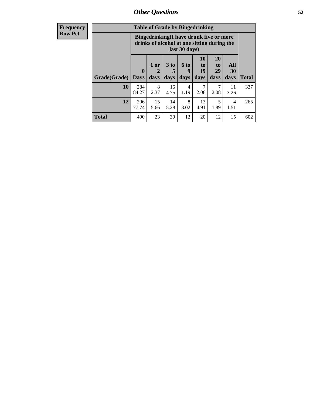| <b>Frequency</b> | <b>Table of Grade by Bingedrinking</b>                                                                  |                             |                   |                              |                   |                        |                               |                          |              |
|------------------|---------------------------------------------------------------------------------------------------------|-----------------------------|-------------------|------------------------------|-------------------|------------------------|-------------------------------|--------------------------|--------------|
| <b>Row Pct</b>   | Bingedrinking(I have drunk five or more<br>drinks of alcohol at one sitting during the<br>last 30 days) |                             |                   |                              |                   |                        |                               |                          |              |
|                  | Grade(Grade)                                                                                            | $\mathbf{0}$<br><b>Days</b> | 1 or<br>2<br>days | 3 <sub>to</sub><br>5<br>days | 6 to<br>9<br>days | 10<br>to<br>19<br>days | <b>20</b><br>to<br>29<br>days | All<br><b>30</b><br>days | <b>Total</b> |
|                  | 10                                                                                                      | 284<br>84.27                | 8<br>2.37         | 16<br>4.75                   | 4<br>1.19         | 7<br>2.08              | 7<br>2.08                     | 11<br>3.26               | 337          |
|                  | 12                                                                                                      | 206<br>77.74                | 15<br>5.66        | 14<br>5.28                   | 8<br>3.02         | 13<br>4.91             | 5<br>1.89                     | 4<br>1.51                | 265          |
|                  | <b>Total</b>                                                                                            | 490                         | 23                | 30                           | 12                | 20                     | 12                            | 15                       | 602          |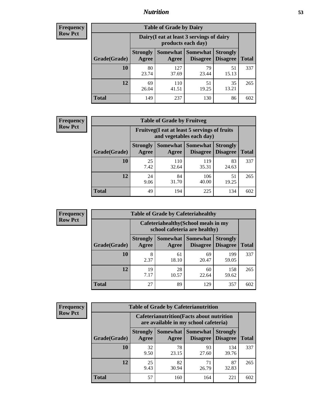## *Nutrition* **53**

| <b>Frequency</b> |
|------------------|
| <b>Row Pct</b>   |

| <b>Table of Grade by Dairy</b> |                          |                                                                 |                                    |                                    |              |  |  |
|--------------------------------|--------------------------|-----------------------------------------------------------------|------------------------------------|------------------------------------|--------------|--|--|
|                                |                          | Dairy (I eat at least 3 servings of dairy<br>products each day) |                                    |                                    |              |  |  |
| Grade(Grade)                   | <b>Strongly</b><br>Agree | <b>Somewhat</b><br>Agree                                        | <b>Somewhat</b><br><b>Disagree</b> | <b>Strongly</b><br><b>Disagree</b> | <b>Total</b> |  |  |
| 10                             | 80<br>23.74              | 127<br>37.69                                                    | 79<br>23.44                        | 51<br>15.13                        | 337          |  |  |
| 12                             | 69<br>26.04              | 110<br>41.51                                                    | 51<br>19.25                        | 35<br>13.21                        | 265          |  |  |
| <b>Total</b>                   | 149                      | 237                                                             | 130                                | 86                                 | 602          |  |  |

| <b>Frequency</b> |  |
|------------------|--|
| <b>Row Pct</b>   |  |

| <b>Table of Grade by Fruitveg</b> |                                                                          |              |                                      |                                    |              |  |
|-----------------------------------|--------------------------------------------------------------------------|--------------|--------------------------------------|------------------------------------|--------------|--|
|                                   | Fruitveg(I eat at least 5 servings of fruits<br>and vegetables each day) |              |                                      |                                    |              |  |
| Grade(Grade)                      | <b>Strongly</b><br>Agree                                                 | Agree        | Somewhat Somewhat<br><b>Disagree</b> | <b>Strongly</b><br><b>Disagree</b> | <b>Total</b> |  |
| 10                                | 25<br>7.42                                                               | 110<br>32.64 | 119<br>35.31                         | 83<br>24.63                        | 337          |  |
| 12                                | 24<br>9.06                                                               | 84<br>31.70  | 106<br>40.00                         | 51<br>19.25                        | 265          |  |
| <b>Total</b>                      | 49                                                                       | 194          | 225                                  | 134                                | 602          |  |

| <b>Frequency</b> | <b>Table of Grade by Cafeteriahealthy</b> |                          |                                                                       |                                          |                                    |              |  |  |  |
|------------------|-------------------------------------------|--------------------------|-----------------------------------------------------------------------|------------------------------------------|------------------------------------|--------------|--|--|--|
| <b>Row Pct</b>   |                                           |                          | Cafeteriahealthy (School meals in my<br>school cafeteria are healthy) |                                          |                                    |              |  |  |  |
|                  | Grade(Grade)                              | <b>Strongly</b><br>Agree | Agree                                                                 | Somewhat   Somewhat  <br><b>Disagree</b> | <b>Strongly</b><br><b>Disagree</b> | <b>Total</b> |  |  |  |
|                  | 10                                        | 8<br>2.37                | 61<br>18.10                                                           | 69<br>20.47                              | 199<br>59.05                       | 337          |  |  |  |
|                  | 12                                        | 19<br>7.17               | 28<br>10.57                                                           | 60<br>22.64                              | 158<br>59.62                       | 265          |  |  |  |
|                  | Total                                     | 27                       | 89                                                                    | 129                                      | 357                                | 602          |  |  |  |

| <b>Frequency</b> |
|------------------|
| <b>Row Pct</b>   |

|              | <b>Table of Grade by Cafeterianutrition</b> |                                                                                           |                                        |                                    |              |  |  |
|--------------|---------------------------------------------|-------------------------------------------------------------------------------------------|----------------------------------------|------------------------------------|--------------|--|--|
|              |                                             | <b>Cafeterianutrition</b> (Facts about nutrition<br>are available in my school cafeteria) |                                        |                                    |              |  |  |
| Grade(Grade) | <b>Strongly</b><br>Agree                    | Agree                                                                                     | Somewhat   Somewhat<br><b>Disagree</b> | <b>Strongly</b><br><b>Disagree</b> | <b>Total</b> |  |  |
| 10           | 32<br>9.50                                  | 78<br>23.15                                                                               | 93<br>27.60                            | 134<br>39.76                       | 337          |  |  |
| 12           | 25<br>9.43                                  | 82<br>30.94                                                                               | 71<br>26.79                            | 87<br>32.83                        | 265          |  |  |
| <b>Total</b> | 57                                          | 160                                                                                       | 164                                    | 221                                | 602          |  |  |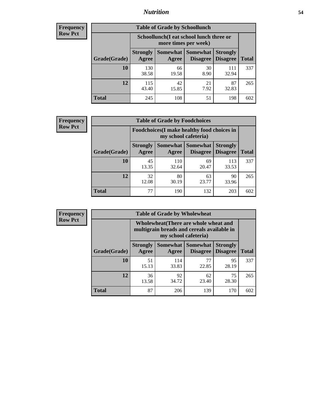## *Nutrition* **54**

| <b>Frequency</b> |
|------------------|
| <b>Row Pct</b>   |

| <b>Table of Grade by Schoollunch</b> |                                                                                                                      |             |            |              |     |  |  |
|--------------------------------------|----------------------------------------------------------------------------------------------------------------------|-------------|------------|--------------|-----|--|--|
|                                      | Schoollunch(I eat school lunch three or<br>more times per week)                                                      |             |            |              |     |  |  |
| Grade(Grade)                         | Somewhat  <br><b>Somewhat</b><br><b>Strongly</b><br><b>Strongly</b><br><b>Disagree</b><br>Disagree<br>Agree<br>Agree |             |            |              |     |  |  |
| 10                                   | 130<br>38.58                                                                                                         | 66<br>19.58 | 30<br>8.90 | 111<br>32.94 | 337 |  |  |
| 12                                   | 115<br>43.40                                                                                                         | 42<br>15.85 | 21<br>7.92 | 87<br>32.83  | 265 |  |  |
| <b>Total</b>                         | 245                                                                                                                  | 108         | 51         | 198          | 602 |  |  |

| <b>Frequency</b> |  |
|------------------|--|
| <b>Row Pct</b>   |  |

| <b>Table of Grade by Foodchoices</b> |                                                                            |              |                                      |                                    |              |  |
|--------------------------------------|----------------------------------------------------------------------------|--------------|--------------------------------------|------------------------------------|--------------|--|
|                                      | <b>Foodchoices</b> (I make healthy food choices in<br>my school cafeteria) |              |                                      |                                    |              |  |
| Grade(Grade)                         | <b>Strongly</b><br>Agree                                                   | Agree        | Somewhat Somewhat<br><b>Disagree</b> | <b>Strongly</b><br><b>Disagree</b> | <b>Total</b> |  |
| 10                                   | 45<br>13.35                                                                | 110<br>32.64 | 69<br>20.47                          | 113<br>33.53                       | 337          |  |
| 12                                   | 32<br>12.08                                                                | 80<br>30.19  | 63<br>23.77                          | 90<br>33.96                        | 265          |  |
| <b>Total</b>                         | 77                                                                         | 190          | 132                                  | 203                                | 602          |  |

| Frequency      | <b>Table of Grade by Wholewheat</b> |                                                                                                             |                              |                 |                                    |              |  |  |  |
|----------------|-------------------------------------|-------------------------------------------------------------------------------------------------------------|------------------------------|-----------------|------------------------------------|--------------|--|--|--|
| <b>Row Pct</b> |                                     | Wholewheat (There are whole wheat and<br>multigrain breads and cereals available in<br>my school cafeteria) |                              |                 |                                    |              |  |  |  |
|                | Grade(Grade)                        | <b>Strongly</b><br>Agree                                                                                    | Somewhat   Somewhat<br>Agree | <b>Disagree</b> | <b>Strongly</b><br><b>Disagree</b> | <b>Total</b> |  |  |  |
|                | 10                                  | 51<br>15.13                                                                                                 | 114<br>33.83                 | 77<br>22.85     | 95<br>28.19                        | 337          |  |  |  |
|                | 12                                  | 36<br>13.58                                                                                                 | 92<br>34.72                  | 62<br>23.40     | 75<br>28.30                        | 265          |  |  |  |
|                | <b>Total</b>                        | 87                                                                                                          | 206                          | 139             | 170                                | 602          |  |  |  |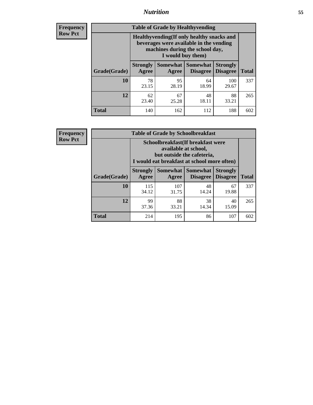## *Nutrition* **55**

**Frequency Row Pct**

| <b>Table of Grade by Healthyvending</b> |                                                                                                                                               |                          |                                    |                                    |              |  |  |  |
|-----------------------------------------|-----------------------------------------------------------------------------------------------------------------------------------------------|--------------------------|------------------------------------|------------------------------------|--------------|--|--|--|
|                                         | Healthyvending (If only healthy snacks and<br>beverages were available in the vending<br>machines during the school day,<br>I would buy them) |                          |                                    |                                    |              |  |  |  |
| Grade(Grade)                            | <b>Strongly</b><br>Agree                                                                                                                      | <b>Somewhat</b><br>Agree | <b>Somewhat</b><br><b>Disagree</b> | <b>Strongly</b><br><b>Disagree</b> | <b>Total</b> |  |  |  |
| 10                                      | 78<br>23.15                                                                                                                                   | 95<br>28.19              | 64<br>18.99                        | 100<br>29.67                       | 337          |  |  |  |
| 12                                      | 62<br>23.40                                                                                                                                   | 67<br>25.28              | 48<br>18.11                        | 88<br>33.21                        | 265          |  |  |  |
| <b>Total</b>                            | 140                                                                                                                                           | 162                      | 112                                | 188                                | 602          |  |  |  |

**Frequency Row Pct**

| <b>Table of Grade by Schoolbreakfast</b> |                                                                                                                                         |                   |                             |                                    |              |  |  |
|------------------------------------------|-----------------------------------------------------------------------------------------------------------------------------------------|-------------------|-----------------------------|------------------------------------|--------------|--|--|
|                                          | Schoolbreakfast (If breakfast were<br>available at school,<br>but outside the cafeteria,<br>I would eat breakfast at school more often) |                   |                             |                                    |              |  |  |
| Grade(Grade)                             | <b>Strongly</b><br>Agree                                                                                                                | Somewhat<br>Agree | <b>Somewhat</b><br>Disagree | <b>Strongly</b><br><b>Disagree</b> | <b>Total</b> |  |  |
| 10                                       | 115<br>34.12                                                                                                                            | 107<br>31.75      | 48<br>14.24                 | 67<br>19.88                        | 337          |  |  |
| 12                                       | 99<br>37.36                                                                                                                             | 88<br>33.21       | 38<br>14.34                 | 40<br>15.09                        | 265          |  |  |
| <b>Total</b>                             | 214                                                                                                                                     | 195               | 86                          | 107                                | 602          |  |  |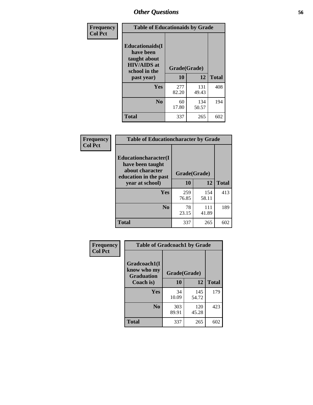| Frequency<br><b>Col Pct</b> | <b>Table of Educationaids by Grade</b>                                                      |                    |              |     |  |  |
|-----------------------------|---------------------------------------------------------------------------------------------|--------------------|--------------|-----|--|--|
|                             | <b>Educationaids</b> (I<br>have been<br>taught about<br><b>HIV/AIDS</b> at<br>school in the | Grade(Grade)<br>10 | <b>Total</b> |     |  |  |
|                             | past year)                                                                                  |                    | 12           |     |  |  |
|                             | Yes                                                                                         | 277<br>82.20       | 131<br>49.43 | 408 |  |  |
|                             | N <sub>0</sub>                                                                              | 60<br>17.80        | 134<br>50.57 | 194 |  |  |
|                             | <b>Total</b>                                                                                | 337                | 265          | 602 |  |  |

| Frequency      | <b>Table of Educationcharacter by Grade</b>                         |              |       |              |  |  |
|----------------|---------------------------------------------------------------------|--------------|-------|--------------|--|--|
| <b>Col Pct</b> | <b>Educationcharacter(I)</b><br>have been taught<br>about character |              |       |              |  |  |
|                | education in the past                                               | Grade(Grade) |       |              |  |  |
|                | year at school)                                                     | 10           | 12    | <b>Total</b> |  |  |
|                | Yes                                                                 | 259          | 154   | 413          |  |  |
|                |                                                                     | 76.85        | 58.11 |              |  |  |
|                | N <sub>0</sub>                                                      | 78           | 111   | 189          |  |  |
|                |                                                                     | 23.15        | 41.89 |              |  |  |
|                | <b>Total</b>                                                        | 337          | 265   | 602          |  |  |

| Frequency      | <b>Table of Gradcoach1 by Grade</b> |              |              |              |
|----------------|-------------------------------------|--------------|--------------|--------------|
| <b>Col Pct</b> | Gradcoach1(I<br>know who my         | Grade(Grade) |              |              |
|                | <b>Graduation</b><br>Coach is)      | 10           | 12           | <b>Total</b> |
|                | <b>Yes</b>                          | 34<br>10.09  | 145<br>54.72 | 179          |
|                | N <sub>0</sub>                      | 303<br>89.91 | 120<br>45.28 | 423          |
|                | <b>Total</b>                        | 337          | 265          | 602          |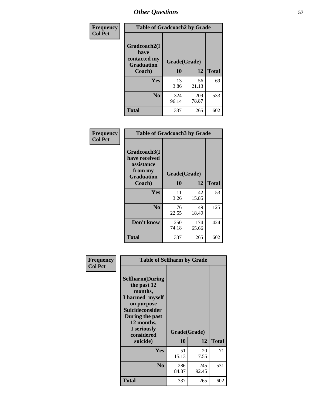| Frequency      | <b>Table of Gradcoach2 by Grade</b>         |              |              |              |
|----------------|---------------------------------------------|--------------|--------------|--------------|
| <b>Col Pct</b> | Gradcoach2(I<br>have                        |              |              |              |
|                | contacted my<br><b>Graduation</b><br>Coach) | Grade(Grade) |              |              |
|                |                                             | 10           | 12           | <b>Total</b> |
|                | Yes                                         | 13<br>3.86   | 56<br>21.13  | 69           |
|                | N <sub>0</sub>                              | 324<br>96.14 | 209<br>78.87 | 533          |
|                | <b>Total</b>                                | 337          | 265          | 602          |

| <b>Frequency</b><br><b>Col Pct</b> | <b>Table of Gradcoach3 by Grade</b>                                         |              |              |              |
|------------------------------------|-----------------------------------------------------------------------------|--------------|--------------|--------------|
|                                    | Gradcoach3(I<br>have received<br>assistance<br>from my<br><b>Graduation</b> | Grade(Grade) |              |              |
|                                    | Coach)                                                                      | 10           | 12           | <b>Total</b> |
|                                    | Yes                                                                         | 11<br>3.26   | 42<br>15.85  | 53           |
|                                    | N <sub>0</sub>                                                              | 76<br>22.55  | 49<br>18.49  | 125          |
|                                    | Don't know                                                                  | 250<br>74.18 | 174<br>65.66 | 424          |
|                                    | <b>Total</b>                                                                | 337          | 265          | 602          |

| Frequency      | <b>Table of Selfharm by Grade</b>                                                                                                                                                      |                    |              |              |
|----------------|----------------------------------------------------------------------------------------------------------------------------------------------------------------------------------------|--------------------|--------------|--------------|
| <b>Col Pct</b> | <b>Selfharm</b> (During<br>the past 12<br>months,<br>I harmed myself<br>on purpose<br><b>Suicideconsider</b><br>During the past<br>12 months,<br>I seriously<br>considered<br>suicide) | Grade(Grade)<br>10 | 12           | <b>Total</b> |
|                | Yes                                                                                                                                                                                    | 51<br>15.13        | 20<br>7.55   | 71           |
|                | N <sub>0</sub>                                                                                                                                                                         | 286<br>84.87       | 245<br>92.45 | 531          |
|                | Total                                                                                                                                                                                  | 337                | 265          | 602          |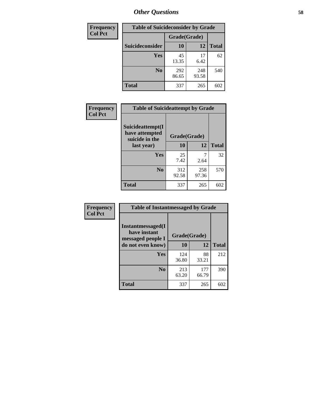| <b>Frequency</b> | <b>Table of Suicideconsider by Grade</b> |              |              |              |  |
|------------------|------------------------------------------|--------------|--------------|--------------|--|
| <b>Col Pct</b>   |                                          | Grade(Grade) |              |              |  |
|                  | Suicideconsider                          | <b>10</b>    | 12           | <b>Total</b> |  |
|                  | Yes                                      | 45<br>13.35  | 17<br>6.42   | 62           |  |
|                  | N <sub>0</sub>                           | 292<br>86.65 | 248<br>93.58 | 540          |  |
|                  | Total                                    | 337          | 265          | 602          |  |

| Frequency      | <b>Table of Suicideattempt by Grade</b>              |              |              |              |
|----------------|------------------------------------------------------|--------------|--------------|--------------|
| <b>Col Pct</b> | Suicideattempt(I<br>have attempted<br>suicide in the | Grade(Grade) |              |              |
|                | last year)                                           | 10           | 12           | <b>Total</b> |
|                | Yes                                                  | 25<br>7.42   | 2.64         | 32           |
|                | $\bf No$                                             | 312<br>92.58 | 258<br>97.36 | 570          |
|                | <b>Total</b>                                         | 337          | 265          | 602          |

| Frequency      | <b>Table of Instantmessaged by Grade</b>               |              |              |              |
|----------------|--------------------------------------------------------|--------------|--------------|--------------|
| <b>Col Pct</b> | Instantmessaged(I<br>have instant<br>messaged people I | Grade(Grade) |              |              |
|                | do not even know)                                      | 10           | 12           | <b>Total</b> |
|                | Yes                                                    | 124<br>36.80 | 88<br>33.21  | 212          |
|                | N <sub>0</sub>                                         | 213<br>63.20 | 177<br>66.79 | 390          |
|                | <b>Total</b>                                           | 337          | 265          | 602          |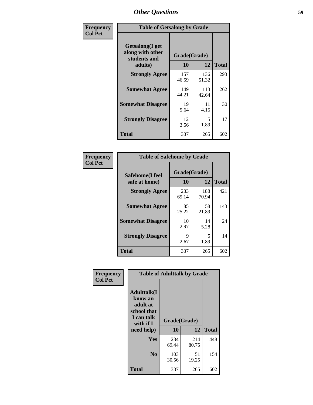| Frequency      | <b>Table of Getsalong by Grade</b>                  |              |              |              |  |
|----------------|-----------------------------------------------------|--------------|--------------|--------------|--|
| <b>Col Pct</b> | Getsalong(I get<br>along with other<br>students and | Grade(Grade) |              |              |  |
|                | adults)                                             | 10           | 12           | <b>Total</b> |  |
|                | <b>Strongly Agree</b>                               | 157<br>46.59 | 136<br>51.32 | 293          |  |
|                | <b>Somewhat Agree</b>                               | 149<br>44.21 | 113<br>42.64 | 262          |  |
|                | <b>Somewhat Disagree</b>                            | 19<br>5.64   | 11<br>4.15   | 30           |  |
|                | <b>Strongly Disagree</b>                            | 12<br>3.56   | 5<br>1.89    | 17           |  |
|                | <b>Total</b>                                        | 337          | 265          | 602          |  |

| Frequency      | <b>Table of Safehome by Grade</b> |                    |              |              |  |  |
|----------------|-----------------------------------|--------------------|--------------|--------------|--|--|
| <b>Col Pct</b> | Safehome(I feel<br>safe at home)  | Grade(Grade)<br>10 | 12           | <b>Total</b> |  |  |
|                | <b>Strongly Agree</b>             | 233<br>69.14       | 188<br>70.94 | 421          |  |  |
|                | <b>Somewhat Agree</b>             | 85<br>25.22        | 58<br>21.89  | 143          |  |  |
|                | <b>Somewhat Disagree</b>          | 10<br>2.97         | 14<br>5.28   | 24           |  |  |
|                | <b>Strongly Disagree</b>          | Q<br>2.67          | 5<br>1.89    | 14           |  |  |
|                | <b>Total</b>                      | 337                | 265          | 602          |  |  |

| Frequency      |                                                                                     | <b>Table of Adulttalk by Grade</b> |              |              |
|----------------|-------------------------------------------------------------------------------------|------------------------------------|--------------|--------------|
| <b>Col Pct</b> | <b>Adulttalk(I</b><br>know an<br>adult at<br>school that<br>I can talk<br>with if I | Grade(Grade)                       |              |              |
|                | need help)                                                                          | 10                                 | 12           | <b>Total</b> |
|                | Yes                                                                                 | 234<br>69.44                       | 214<br>80.75 | 448          |
|                | N <sub>0</sub>                                                                      | 103<br>30.56                       | 51<br>19.25  | 154          |
|                | <b>Total</b>                                                                        | 337                                | 265          | 602          |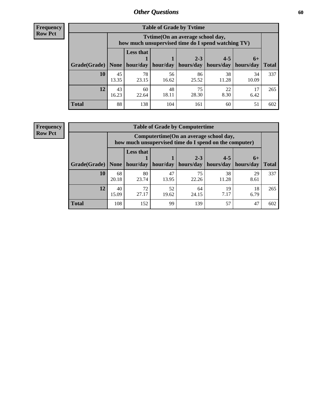**Frequency Row Pct**

| <b>Table of Grade by Tytime</b> |             |                                                                                         |             |             |             |             |              |
|---------------------------------|-------------|-----------------------------------------------------------------------------------------|-------------|-------------|-------------|-------------|--------------|
|                                 |             | Tvtime (On an average school day,<br>how much unsupervised time do I spend watching TV) |             |             |             |             |              |
|                                 |             | <b>Less that</b><br>$2 - 3$<br>$4 - 5$<br>$6+$                                          |             |             |             |             |              |
| Grade(Grade)   None             |             | hour/day                                                                                | hour/day    | hours/day   | hours/day   | hours/day   | <b>Total</b> |
| 10                              | 45<br>13.35 | 78<br>23.15                                                                             | 56<br>16.62 | 86<br>25.52 | 38<br>11.28 | 34<br>10.09 | 337          |
| 12                              | 43<br>16.23 | 60<br>22.64                                                                             | 48<br>18.11 | 75<br>28.30 | 22<br>8.30  | 17<br>6.42  | 265          |
| <b>Total</b>                    | 88          | 138                                                                                     | 104         | 161         | 60          | 51          | 602          |

**Frequency Row Pct**

| <b>Table of Grade by Computertime</b> |             |                                                                                                                               |             |             |             |            |     |  |  |
|---------------------------------------|-------------|-------------------------------------------------------------------------------------------------------------------------------|-------------|-------------|-------------|------------|-----|--|--|
|                                       |             | Computertime (On an average school day,<br>how much unsupervised time do I spend on the computer)                             |             |             |             |            |     |  |  |
| Grade(Grade)                          | None        | <b>Less that</b><br>$4 - 5$<br>$2 - 3$<br>$6+$<br>hour/day<br>hours/day<br>hours/day<br>hour/day<br>hours/day<br><b>Total</b> |             |             |             |            |     |  |  |
| 10                                    | 68<br>20.18 | 80<br>23.74                                                                                                                   | 47<br>13.95 | 75<br>22.26 | 38<br>11.28 | 29<br>8.61 | 337 |  |  |
| 12                                    | 40<br>15.09 | 72<br>27.17                                                                                                                   | 52<br>19.62 | 64<br>24.15 | 19<br>7.17  | 18<br>6.79 | 265 |  |  |
| <b>Total</b>                          | 108         | 152                                                                                                                           | 99          | 139         | 57          | 47         | 602 |  |  |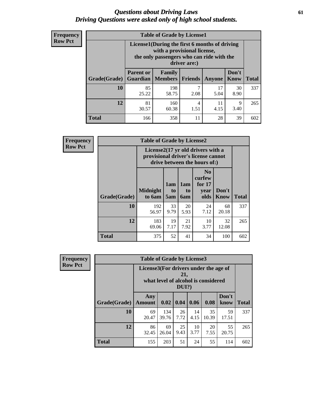#### *Questions about Driving Laws* **61** *Driving Questions were asked only of high school students.*

| <b>Frequency</b> |
|------------------|
| <b>Row Pct</b>   |

| <b>Table of Grade by License1</b> |                                     |                                                                                                                                           |           |            |               |              |  |  |  |
|-----------------------------------|-------------------------------------|-------------------------------------------------------------------------------------------------------------------------------------------|-----------|------------|---------------|--------------|--|--|--|
|                                   |                                     | License1(During the first 6 months of driving<br>with a provisional license,<br>the only passengers who can ride with the<br>driver are:) |           |            |               |              |  |  |  |
| Grade(Grade)                      | <b>Parent or</b><br><b>Guardian</b> | Family<br>  Members                                                                                                                       | Friends   | Anyone     | Don't<br>Know | <b>Total</b> |  |  |  |
| 10                                | 85<br>25.22                         | 198<br>58.75                                                                                                                              | 7<br>2.08 | 17<br>5.04 | 30<br>8.90    | 337          |  |  |  |
| 12                                | 81<br>30.57                         | 160<br>60.38                                                                                                                              | 4<br>1.51 | 11<br>4.15 | 9<br>3.40     | 265          |  |  |  |
| <b>Total</b>                      | 166                                 | 358                                                                                                                                       | 11        | 28         | 39            | 602          |  |  |  |

| <b>Frequency</b> |              | <b>Table of Grade by License2</b> |                                                                                                          |                              |                                                      |                      |              |  |  |
|------------------|--------------|-----------------------------------|----------------------------------------------------------------------------------------------------------|------------------------------|------------------------------------------------------|----------------------|--------------|--|--|
| <b>Row Pct</b>   |              |                                   | License2(17 yr old drivers with a<br>provisional driver's license cannot<br>drive between the hours of:) |                              |                                                      |                      |              |  |  |
|                  | Grade(Grade) | <b>Midnight</b><br>to 6am         | 1am<br>to<br>5am                                                                                         | 1am<br>t <sub>0</sub><br>6am | N <sub>0</sub><br>curfew<br>for $17$<br>year<br>olds | Don't<br><b>Know</b> | <b>Total</b> |  |  |
|                  | 10           | 192<br>56.97                      | 33<br>9.79                                                                                               | 20<br>5.93                   | 24<br>7.12                                           | 68<br>20.18          | 337          |  |  |
|                  | 12           | 183<br>69.06                      | 19<br>7.17                                                                                               | 21<br>7.92                   | 10<br>3.77                                           | 32<br>12.08          | 265          |  |  |
|                  | <b>Total</b> | 375                               | 52                                                                                                       | 41                           | 34                                                   | 100                  | 602          |  |  |

| Frequency      |                                                                                              | <b>Table of Grade by License3</b> |              |              |            |             |               |              |
|----------------|----------------------------------------------------------------------------------------------|-----------------------------------|--------------|--------------|------------|-------------|---------------|--------------|
| <b>Row Pct</b> | License3(For drivers under the age of<br>21,<br>what level of alcohol is considered<br>DUI?) |                                   |              |              |            |             |               |              |
|                | Grade(Grade)                                                                                 | Any<br><b>Amount</b>              | 0.02         | $\vert$ 0.04 | 0.06       | 0.08        | Don't<br>know | <b>Total</b> |
|                | 10                                                                                           | 69<br>20.47                       | 134<br>39.76 | 26<br>7.72   | 14<br>4.15 | 35<br>10.39 | 59<br>17.51   | 337          |
|                | 12                                                                                           | 86<br>32.45                       | 69<br>26.04  | 25<br>9.43   | 10<br>3.77 | 20<br>7.55  | 55<br>20.75   | 265          |
|                | <b>Total</b>                                                                                 | 155                               | 203          | 51           | 24         | 55          | 114           | 602          |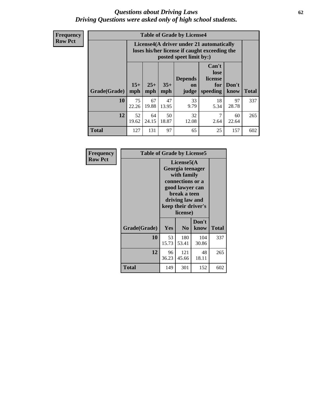#### *Questions about Driving Laws* **62** *Driving Questions were asked only of high school students.*

**Frequency Row Pct**

| <b>Table of Grade by License4</b> |             |                                                                                                                                                                                                                                                                                       |             |             |            |             |     |  |
|-----------------------------------|-------------|---------------------------------------------------------------------------------------------------------------------------------------------------------------------------------------------------------------------------------------------------------------------------------------|-------------|-------------|------------|-------------|-----|--|
|                                   |             | License4(A driver under 21 automatically<br>loses his/her license if caught exceeding the<br>posted speet limit by:)<br>Can't<br>lose<br>license<br><b>Depends</b><br>$15+$<br>$25+$<br>$35+$<br>Don't<br>for<br><b>on</b><br>mph<br>speeding<br><b>Total</b><br>know<br>mph<br>judge |             |             |            |             |     |  |
| Grade(Grade)                      | mph         |                                                                                                                                                                                                                                                                                       |             |             |            |             |     |  |
| 10                                | 75<br>22.26 | 67<br>19.88                                                                                                                                                                                                                                                                           | 47<br>13.95 | 33<br>9.79  | 18<br>5.34 | 97<br>28.78 | 337 |  |
| 12                                | 52<br>19.62 | 64<br>24.15                                                                                                                                                                                                                                                                           | 50<br>18.87 | 32<br>12.08 | 7<br>2.64  | 60<br>22.64 | 265 |  |
| <b>Total</b>                      | 127         | 131                                                                                                                                                                                                                                                                                   | 97          | 65          | 25         | 157         | 602 |  |

| Frequency      | <b>Table of Grade by License5</b> |                                                                                                                                                             |                |               |       |  |  |
|----------------|-----------------------------------|-------------------------------------------------------------------------------------------------------------------------------------------------------------|----------------|---------------|-------|--|--|
| <b>Row Pct</b> |                                   | License5(A)<br>Georgia teenager<br>with family<br>connections or a<br>good lawyer can<br>break a teen<br>driving law and<br>keep their driver's<br>license) |                |               |       |  |  |
|                | Grade(Grade)                      | <b>Yes</b>                                                                                                                                                  | N <sub>0</sub> | Don't<br>know | Total |  |  |
|                | 10                                | 53<br>15.73                                                                                                                                                 | 180<br>53.41   | 104<br>30.86  | 337   |  |  |
|                | 12                                | 96<br>36.23                                                                                                                                                 | 121<br>45.66   | 48<br>18.11   | 265   |  |  |
|                | <b>Total</b>                      | 149                                                                                                                                                         | 301            | 152           | 602   |  |  |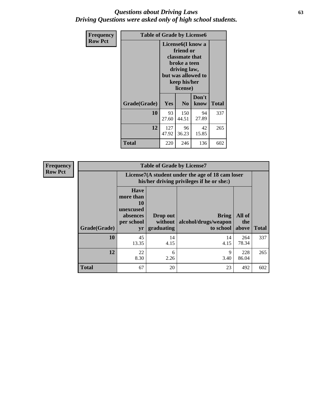### *Questions about Driving Laws* **63** *Driving Questions were asked only of high school students.*

| <b>Frequency</b> | <b>Table of Grade by License6</b> |                                                                                                                                                 |                |               |              |  |  |
|------------------|-----------------------------------|-------------------------------------------------------------------------------------------------------------------------------------------------|----------------|---------------|--------------|--|--|
| <b>Row Pct</b>   |                                   | License <sub>6</sub> (I know a<br>friend or<br>classmate that<br>broke a teen<br>driving law,<br>but was allowed to<br>keep his/her<br>license) |                |               |              |  |  |
|                  | Grade(Grade)                      | <b>Yes</b>                                                                                                                                      | N <sub>0</sub> | Don't<br>know | <b>Total</b> |  |  |
|                  | 10                                | 93<br>27.60                                                                                                                                     | 150<br>44.51   | 94<br>27.89   | 337          |  |  |
|                  | 12                                | 127<br>47.92                                                                                                                                    | 96<br>36.23    | 42<br>15.85   | 265          |  |  |
|                  | <b>Total</b>                      | 220                                                                                                                                             | 246            | 136           | 602          |  |  |

| <b>Frequency</b> |                                                                                               |                                                                             | <b>Table of Grade by License7</b>   |                                                   |                        |              |
|------------------|-----------------------------------------------------------------------------------------------|-----------------------------------------------------------------------------|-------------------------------------|---------------------------------------------------|------------------------|--------------|
| <b>Row Pct</b>   | License7(A student under the age of 18 cam loser<br>his/her driving privileges if he or she:) |                                                                             |                                     |                                                   |                        |              |
|                  | Grade(Grade)                                                                                  | <b>Have</b><br>more than<br>10<br>unexcused<br>absences<br>per school<br>yr | Drop out<br>without  <br>graduating | <b>Bring</b><br>alcohol/drugs/weapon<br>to school | All of<br>the<br>above | <b>Total</b> |
|                  | 10                                                                                            | 45<br>13.35                                                                 | 14<br>4.15                          | 14<br>4.15                                        | 264<br>78.34           | 337          |
|                  | 12                                                                                            | 22<br>8.30                                                                  | 6<br>2.26                           | 9<br>3.40                                         | 228<br>86.04           | 265          |
|                  | <b>Total</b>                                                                                  | 67                                                                          | 20                                  | 23                                                | 492                    | 602          |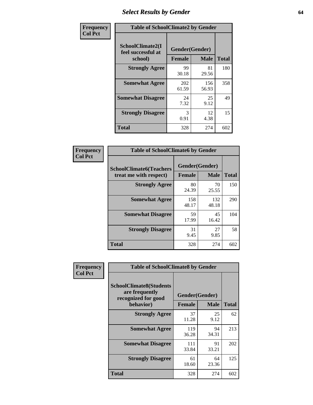# *Select Results by Gender* **64**

| Frequency      | <b>Table of SchoolClimate2 by Gender</b>          |                                 |              |              |  |  |  |
|----------------|---------------------------------------------------|---------------------------------|--------------|--------------|--|--|--|
| <b>Col Pct</b> | SchoolClimate2(I<br>feel successful at<br>school) | Gender(Gender)<br><b>Female</b> | <b>Male</b>  | <b>Total</b> |  |  |  |
|                | <b>Strongly Agree</b>                             | 99<br>30.18                     | 81<br>29.56  | 180          |  |  |  |
|                | <b>Somewhat Agree</b>                             | 202<br>61.59                    | 156<br>56.93 | 358          |  |  |  |
|                | <b>Somewhat Disagree</b>                          | 24<br>7.32                      | 25<br>9.12   | 49           |  |  |  |
|                | <b>Strongly Disagree</b>                          | 3<br>0.91                       | 12<br>4.38   | 15           |  |  |  |
|                | <b>Total</b>                                      | 328                             | 274          | 602          |  |  |  |

| Frequency      | <b>Table of SchoolClimate6 by Gender</b>                 |                                 |              |              |  |  |  |  |
|----------------|----------------------------------------------------------|---------------------------------|--------------|--------------|--|--|--|--|
| <b>Col Pct</b> | <b>SchoolClimate6(Teachers</b><br>treat me with respect) | Gender(Gender)<br><b>Female</b> | <b>Male</b>  | <b>Total</b> |  |  |  |  |
|                | <b>Strongly Agree</b>                                    | 80<br>24.39                     | 70<br>25.55  | 150          |  |  |  |  |
|                | <b>Somewhat Agree</b>                                    | 158<br>48.17                    | 132<br>48.18 | 290          |  |  |  |  |
|                | <b>Somewhat Disagree</b>                                 | 59<br>17.99                     | 45<br>16.42  | 104          |  |  |  |  |
|                | <b>Strongly Disagree</b>                                 | 31<br>9.45                      | 27<br>9.85   | 58           |  |  |  |  |
|                | <b>Total</b>                                             | 328                             | 274          | 602          |  |  |  |  |

| <b>Frequency</b> | <b>Table of SchoolClimate8 by Gender</b>                                             |                                 |              |     |
|------------------|--------------------------------------------------------------------------------------|---------------------------------|--------------|-----|
| <b>Col Pct</b>   | <b>SchoolClimate8(Students</b><br>are frequently<br>recognized for good<br>behavior) | Gender(Gender)<br><b>Female</b> | <b>Total</b> |     |
|                  | <b>Strongly Agree</b>                                                                | 37<br>11.28                     | 25<br>9.12   | 62  |
|                  | <b>Somewhat Agree</b>                                                                | 119<br>36.28                    | 94<br>34.31  | 213 |
|                  | <b>Somewhat Disagree</b>                                                             | 111<br>33.84                    | 91<br>33.21  | 202 |
|                  | <b>Strongly Disagree</b>                                                             | 61<br>18.60                     | 64<br>23.36  | 125 |
|                  | Total                                                                                | 328                             | 274          | 602 |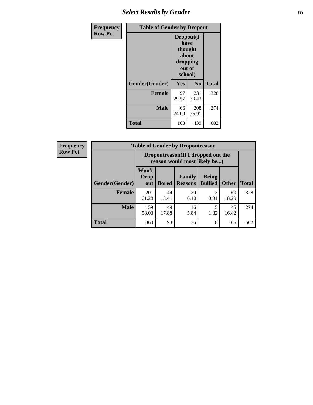# *Select Results by Gender* **65**

| Frequency      | <b>Table of Gender by Dropout</b> |                                                              |              |              |
|----------------|-----------------------------------|--------------------------------------------------------------|--------------|--------------|
| <b>Row Pct</b> |                                   | Dropout(I<br>have<br>thought<br>about<br>dropping<br>school) | out of       |              |
|                | Gender(Gender)                    | Yes                                                          | No           | <b>Total</b> |
|                | <b>Female</b>                     | 97<br>29.57                                                  | 231<br>70.43 | 328          |
|                | <b>Male</b>                       | 66<br>24.09                                                  | 208<br>75.91 | 274          |
|                | <b>Total</b>                      | 163                                                          | 439          | 602          |

| Frequency |  |
|-----------|--|
| Row Pct   |  |

| <b>Table of Gender by Dropoutreason</b> |                      |                                                                     |                                 |                                |              |              |  |
|-----------------------------------------|----------------------|---------------------------------------------------------------------|---------------------------------|--------------------------------|--------------|--------------|--|
|                                         |                      | Dropoutreason (If I dropped out the<br>reason would most likely be) |                                 |                                |              |              |  |
| Gender(Gender)                          | Won't<br>Drop<br>out | <b>Bored</b>                                                        | <b>Family</b><br><b>Reasons</b> | <b>Being</b><br><b>Bullied</b> | <b>Other</b> | <b>Total</b> |  |
| <b>Female</b>                           | 201<br>61.28         | 44<br>13.41                                                         | 20<br>6.10                      | 3<br>0.91                      | 60<br>18.29  | 328          |  |
| <b>Male</b>                             | 159<br>58.03         | 49<br>17.88                                                         | 16<br>5.84                      | 1.82                           | 45<br>16.42  | 274          |  |
| <b>Total</b>                            | 360                  | 93                                                                  | 36                              | 8                              | 105          | 602          |  |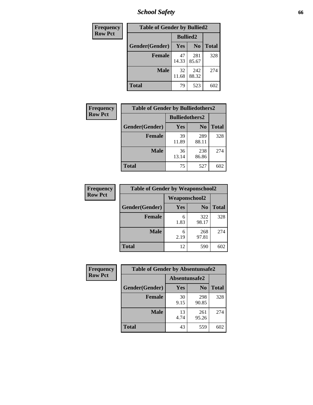*School Safety* **66**

| Frequency      | <b>Table of Gender by Bullied2</b> |             |                 |              |  |  |
|----------------|------------------------------------|-------------|-----------------|--------------|--|--|
| <b>Row Pct</b> |                                    |             | <b>Bullied2</b> |              |  |  |
|                | Gender(Gender)                     | <b>Yes</b>  | N <sub>0</sub>  | <b>Total</b> |  |  |
|                | <b>Female</b>                      | 47<br>14.33 | 281<br>85.67    | 328          |  |  |
|                | <b>Male</b>                        | 32<br>11.68 | 242<br>88.32    | 274          |  |  |
|                | <b>Total</b>                       | 79          | 523             | 602          |  |  |

| Frequency      | <b>Table of Gender by Bulliedothers2</b> |                       |                |              |
|----------------|------------------------------------------|-----------------------|----------------|--------------|
| <b>Row Pct</b> |                                          | <b>Bulliedothers2</b> |                |              |
|                | Gender(Gender)                           | <b>Yes</b>            | N <sub>0</sub> | <b>Total</b> |
|                | <b>Female</b>                            | 39<br>11.89           | 289<br>88.11   | 328          |
|                | <b>Male</b>                              | 36<br>13.14           | 238<br>86.86   | 274          |
|                | <b>Total</b>                             | 75                    | 527            | 602          |

| <b>Frequency</b> | <b>Table of Gender by Weaponschool2</b> |                      |                |              |
|------------------|-----------------------------------------|----------------------|----------------|--------------|
| <b>Row Pct</b>   |                                         | <b>Weaponschool2</b> |                |              |
|                  | Gender(Gender)                          | Yes                  | N <sub>0</sub> | <b>Total</b> |
|                  | Female                                  | 6<br>1.83            | 322<br>98.17   | 328          |
|                  | <b>Male</b>                             | 6<br>2.19            | 268<br>97.81   | 274          |
|                  | <b>Total</b>                            | 12                   | 590            | 602          |

| Frequency      | <b>Table of Gender by Absentunsafe2</b> |               |                |              |
|----------------|-----------------------------------------|---------------|----------------|--------------|
| <b>Row Pct</b> |                                         | Absentunsafe2 |                |              |
|                | Gender(Gender)                          | <b>Yes</b>    | N <sub>0</sub> | <b>Total</b> |
|                | <b>Female</b>                           | 30<br>9.15    | 298<br>90.85   | 328          |
|                | <b>Male</b>                             | 13<br>4.74    | 261<br>95.26   | 274          |
|                | <b>Total</b>                            | 43            | 559            | 602          |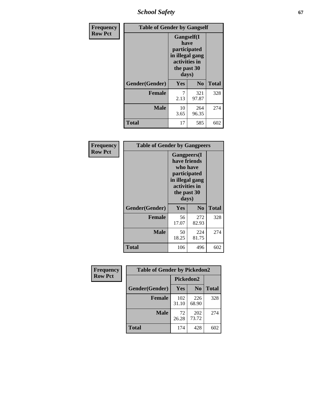*School Safety* **67**

| Frequency      | <b>Table of Gender by Gangself</b> |                                                                                                        |                |              |
|----------------|------------------------------------|--------------------------------------------------------------------------------------------------------|----------------|--------------|
| <b>Row Pct</b> |                                    | <b>Gangself</b> (I<br>have<br>participated<br>in illegal gang<br>activities in<br>the past 30<br>days) |                |              |
|                | Gender(Gender)                     | Yes                                                                                                    | N <sub>0</sub> | <b>Total</b> |
|                | <b>Female</b>                      | 7<br>2.13                                                                                              | 321<br>97.87   | 328          |
|                | <b>Male</b>                        | 10<br>3.65                                                                                             | 264<br>96.35   | 274          |
|                | <b>Total</b>                       | 17                                                                                                     | 585            | 602          |

| Frequency      | <b>Table of Gender by Gangpeers</b> |                                                                                                                             |                |              |
|----------------|-------------------------------------|-----------------------------------------------------------------------------------------------------------------------------|----------------|--------------|
| <b>Row Pct</b> |                                     | <b>Gangpeers</b> (I<br>have friends<br>who have<br>participated<br>in illegal gang<br>activities in<br>the past 30<br>days) |                |              |
|                | Gender(Gender)                      | Yes                                                                                                                         | N <sub>0</sub> | <b>Total</b> |
|                | <b>Female</b>                       | 56<br>17.07                                                                                                                 | 272<br>82.93   | 328          |
|                | <b>Male</b>                         | 50<br>18.25                                                                                                                 | 224<br>81.75   | 274          |
|                | <b>Total</b>                        | 106                                                                                                                         | 496            | 602          |

| Frequency      | <b>Table of Gender by Pickedon2</b> |                  |                |              |
|----------------|-------------------------------------|------------------|----------------|--------------|
| <b>Row Pct</b> |                                     | <b>Pickedon2</b> |                |              |
|                | Gender(Gender)                      | <b>Yes</b>       | N <sub>0</sub> | <b>Total</b> |
|                | <b>Female</b>                       | 102<br>31.10     | 226<br>68.90   | 328          |
|                | <b>Male</b>                         | 72<br>26.28      | 202<br>73.72   | 274          |
|                | <b>Total</b>                        | 174              | 428            | 602          |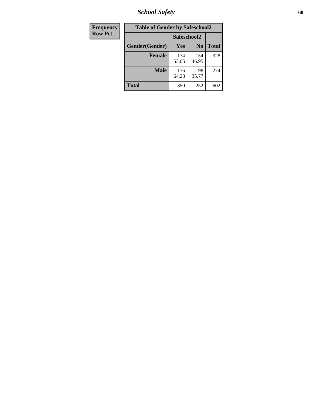*School Safety* **68**

| Frequency      | <b>Table of Gender by Safeschool2</b> |              |                |              |
|----------------|---------------------------------------|--------------|----------------|--------------|
| <b>Row Pct</b> |                                       |              | Safeschool2    |              |
|                | Gender(Gender)                        | Yes          | N <sub>0</sub> | <b>Total</b> |
|                | <b>Female</b>                         | 174<br>53.05 | 154<br>46.95   | 328          |
|                | <b>Male</b>                           | 176<br>64.23 | 98<br>35.77    | 274          |
|                | <b>Total</b>                          | 350          | 252            | 602          |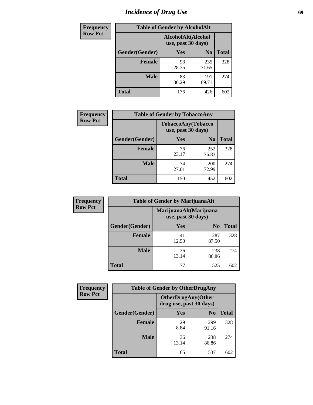# *Incidence of Drug Use* 69

| <b>Frequency</b> | <b>Table of Gender by AlcoholAlt</b> |                                          |                |              |
|------------------|--------------------------------------|------------------------------------------|----------------|--------------|
| <b>Row Pct</b>   |                                      | AlcoholAlt(Alcohol<br>use, past 30 days) |                |              |
|                  | Gender(Gender)                       | <b>Yes</b>                               | N <sub>0</sub> | <b>Total</b> |
|                  | <b>Female</b>                        | 93<br>28.35                              | 235<br>71.65   | 328          |
|                  | <b>Male</b>                          | 83<br>30.29                              | 191<br>69.71   | 274          |
|                  | <b>Total</b>                         | 176                                      | 426            | 602          |

| <b>Frequency</b> | <b>Table of Gender by TobaccoAny</b> |                    |                    |              |
|------------------|--------------------------------------|--------------------|--------------------|--------------|
| <b>Row Pct</b>   |                                      | use, past 30 days) | TobaccoAny(Tobacco |              |
|                  | Gender(Gender)                       | Yes                | N <sub>0</sub>     | <b>Total</b> |
|                  | <b>Female</b>                        | 76<br>23.17        | 252<br>76.83       | 328          |
|                  | <b>Male</b>                          | 74<br>27.01        | 200<br>72.99       | 274          |
|                  | <b>Total</b>                         | 150                | 452                | 602          |

| <b>Frequency</b> | <b>Table of Gender by MarijuanaAlt</b> |             |                                              |              |
|------------------|----------------------------------------|-------------|----------------------------------------------|--------------|
| <b>Row Pct</b>   |                                        |             | MarijuanaAlt(Marijuana<br>use, past 30 days) |              |
|                  | Gender(Gender)                         | <b>Yes</b>  | N <sub>0</sub>                               | <b>Total</b> |
|                  | Female                                 | 41<br>12.50 | 287<br>87.50                                 | 328          |
|                  | <b>Male</b>                            | 36<br>13.14 | 238<br>86.86                                 | 274          |
|                  | <b>Total</b>                           | 77          | 525                                          | 602          |

| <b>Frequency</b> | <b>Table of Gender by OtherDrugAny</b> |                                                      |                |              |  |
|------------------|----------------------------------------|------------------------------------------------------|----------------|--------------|--|
| <b>Row Pct</b>   |                                        | <b>OtherDrugAny(Other</b><br>drug use, past 30 days) |                |              |  |
|                  | Gender(Gender)                         | <b>Yes</b>                                           | N <sub>0</sub> | <b>Total</b> |  |
|                  | <b>Female</b>                          | 29<br>8.84                                           | 299<br>91.16   | 328          |  |
|                  | <b>Male</b>                            | 36<br>13.14                                          | 238<br>86.86   | 274          |  |
|                  | <b>Total</b>                           | 65                                                   | 537            | 602          |  |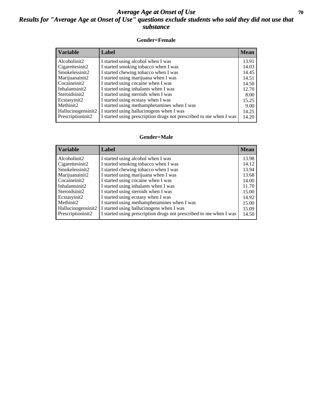### *Average Age at Onset of Use* 70 *Results for "Average Age at Onset of Use" questions exclude students who said they did not use that substance*

#### **Gender=Female**

| Label                                                              | <b>Mean</b>                                 |
|--------------------------------------------------------------------|---------------------------------------------|
| I started using alcohol when I was                                 | 13.91                                       |
| I started smoking tobacco when I was                               | 14.03                                       |
| I started chewing tobacco when I was                               | 14.45                                       |
| I started using marijuana when I was                               | 14.51                                       |
| I started using cocaine when I was                                 | 14.50                                       |
| I started using inhalants when I was                               | 12.70                                       |
| I started using steroids when I was                                | 8.00                                        |
| I started using ecstasy when I was                                 | 15.25                                       |
|                                                                    | 9.00                                        |
| I started using hallucinogens when I was<br>Hallucinogensinit2     | 14.25                                       |
| I started using prescription drugs not prescribed to me when I was | 14.20                                       |
|                                                                    | I started using methamphetamines when I was |

#### **Gender=Male**

| <b>Variable</b>    | Label                                                              | <b>Mean</b> |
|--------------------|--------------------------------------------------------------------|-------------|
| Alcoholinit2       | I started using alcohol when I was                                 | 13.98       |
| Cigarettesinit2    | I started smoking tobacco when I was                               | 14.12       |
| Smokelessinit2     | I started chewing tobacco when I was                               | 13.94       |
| Marijuanainit2     | I started using marijuana when I was                               | 13.68       |
| Cocaineinit2       | I started using cocaine when I was                                 | 14.00       |
| Inhalantsinit2     | I started using inhalants when I was                               | 11.70       |
| Steroidsinit2      | I started using steroids when I was                                | 15.00       |
| Ecstasyinit2       | I started using ecstasy when I was                                 | 14.92       |
| Methinit2          | I started using methamphetamines when I was                        | 15.00       |
| Hallucinogensinit2 | I started using hallucinogens when I was                           | 15.09       |
| Prescriptioninit2  | I started using prescription drugs not prescribed to me when I was | 14.50       |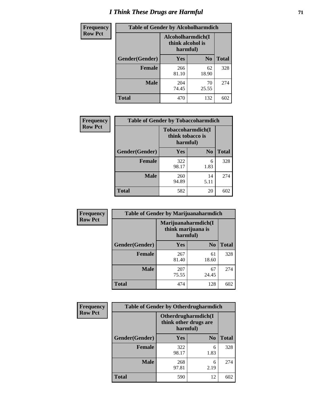# *I Think These Drugs are Harmful* **71**

| <b>Frequency</b> | <b>Table of Gender by Alcoholharmdich</b> |                                                   |                |              |  |
|------------------|-------------------------------------------|---------------------------------------------------|----------------|--------------|--|
| <b>Row Pct</b>   |                                           | Alcoholharmdich(I<br>think alcohol is<br>harmful) |                |              |  |
|                  | Gender(Gender)                            | Yes                                               | N <sub>0</sub> | <b>Total</b> |  |
|                  | <b>Female</b>                             | 266<br>81.10                                      | 62<br>18.90    | 328          |  |
|                  | <b>Male</b>                               | 204<br>74.45                                      | 70<br>25.55    | 274          |  |
|                  | Total                                     | 470                                               | 132            | 602          |  |

| Frequency      | <b>Table of Gender by Tobaccoharmdich</b> |                  |                               |              |
|----------------|-------------------------------------------|------------------|-------------------------------|--------------|
| <b>Row Pct</b> |                                           | think tobacco is | Tobaccoharmdich(I<br>harmful) |              |
|                | Gender(Gender)                            | <b>Yes</b>       | N <sub>0</sub>                | <b>Total</b> |
|                | <b>Female</b>                             | 322<br>98.17     | 6<br>1.83                     | 328          |
|                | <b>Male</b>                               | 260<br>94.89     | 14<br>5.11                    | 274          |
|                | <b>Total</b>                              | 582              | 20                            | 602          |

| Frequency      | <b>Table of Gender by Marijuanaharmdich</b> |                                |                     |              |  |
|----------------|---------------------------------------------|--------------------------------|---------------------|--------------|--|
| <b>Row Pct</b> |                                             | think marijuana is<br>harmful) | Marijuanaharmdich(I |              |  |
|                | Gender(Gender)                              | <b>Yes</b>                     | N <sub>0</sub>      | <b>Total</b> |  |
|                | <b>Female</b>                               | 267<br>81.40                   | 61<br>18.60         | 328          |  |
|                | <b>Male</b>                                 | 207<br>75.55                   | 67<br>24.45         | 274          |  |
|                | <b>Total</b>                                | 474                            | 128                 | 602          |  |

| Frequency      | <b>Table of Gender by Otherdrugharmdich</b> |                                   |                     |              |  |
|----------------|---------------------------------------------|-----------------------------------|---------------------|--------------|--|
| <b>Row Pct</b> |                                             | think other drugs are<br>harmful) | Otherdrugharmdich(I |              |  |
|                | Gender(Gender)                              | <b>Yes</b>                        | N <sub>0</sub>      | <b>Total</b> |  |
|                | Female                                      | 322<br>98.17                      | 6<br>1.83           | 328          |  |
|                | <b>Male</b>                                 | 268<br>97.81                      | 6<br>2.19           | 274          |  |
|                | <b>Total</b>                                | 590                               | 12                  | 602          |  |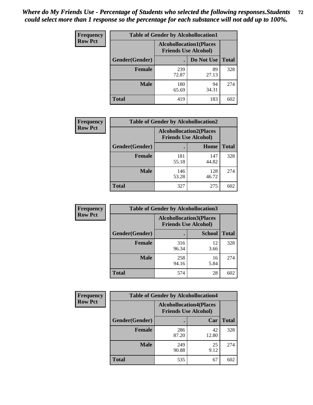| <b>Frequency</b> | <b>Table of Gender by Alcohollocation1</b> |                                                               |             |              |  |
|------------------|--------------------------------------------|---------------------------------------------------------------|-------------|--------------|--|
| <b>Row Pct</b>   |                                            | <b>Alcohollocation1(Places</b><br><b>Friends Use Alcohol)</b> |             |              |  |
|                  | <b>Gender</b> (Gender)                     |                                                               | Do Not Use  | <b>Total</b> |  |
|                  | <b>Female</b>                              | 239<br>72.87                                                  | 89<br>27.13 | 328          |  |
|                  | <b>Male</b>                                | 180<br>65.69                                                  | 94<br>34.31 | 274          |  |
|                  | <b>Total</b>                               | 419                                                           | 183         | 602          |  |

| <b>Frequency</b> | <b>Table of Gender by Alcohollocation2</b> |                                                               |              |              |  |
|------------------|--------------------------------------------|---------------------------------------------------------------|--------------|--------------|--|
| <b>Row Pct</b>   |                                            | <b>Alcohollocation2(Places</b><br><b>Friends Use Alcohol)</b> |              |              |  |
|                  | Gender(Gender)                             |                                                               | Home         | <b>Total</b> |  |
|                  | <b>Female</b>                              | 181<br>55.18                                                  | 147<br>44.82 | 328          |  |
|                  | <b>Male</b>                                | 146<br>53.28                                                  | 128<br>46.72 | 274          |  |
|                  | <b>Total</b>                               | 327                                                           | 275          | 602          |  |

| <b>Frequency</b> | <b>Table of Gender by Alcohollocation3</b> |              |                                                               |              |  |
|------------------|--------------------------------------------|--------------|---------------------------------------------------------------|--------------|--|
| <b>Row Pct</b>   |                                            |              | <b>Alcohollocation3(Places</b><br><b>Friends Use Alcohol)</b> |              |  |
|                  | Gender(Gender)                             |              | <b>School</b>                                                 | <b>Total</b> |  |
|                  | <b>Female</b>                              | 316<br>96.34 | 12<br>3.66                                                    | 328          |  |
|                  | <b>Male</b>                                | 258<br>94.16 | 16<br>5.84                                                    | 274          |  |
|                  | <b>Total</b>                               | 574          | 28                                                            | 602          |  |

| Frequency      | <b>Table of Gender by Alcohollocation4</b> |                                                               |             |              |
|----------------|--------------------------------------------|---------------------------------------------------------------|-------------|--------------|
| <b>Row Pct</b> |                                            | <b>Alcohollocation4(Places</b><br><b>Friends Use Alcohol)</b> |             |              |
|                | Gender(Gender)                             |                                                               | Car         | <b>Total</b> |
|                | <b>Female</b>                              | 286<br>87.20                                                  | 42<br>12.80 | 328          |
|                | <b>Male</b>                                | 249<br>90.88                                                  | 25<br>9.12  | 274          |
|                | <b>Total</b>                               | 535                                                           | 67          | 602          |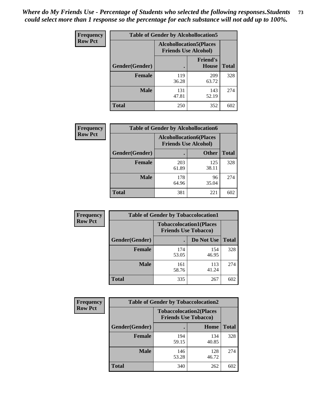| <b>Frequency</b> | <b>Table of Gender by Alcohollocation5</b> |                                                                |                                 |              |
|------------------|--------------------------------------------|----------------------------------------------------------------|---------------------------------|--------------|
| <b>Row Pct</b>   |                                            | <b>Alcohollocation5</b> (Places<br><b>Friends Use Alcohol)</b> |                                 |              |
|                  | Gender(Gender)                             |                                                                | <b>Friend's</b><br><b>House</b> | <b>Total</b> |
|                  | <b>Female</b>                              | 119<br>36.28                                                   | 209<br>63.72                    | 328          |
|                  | <b>Male</b>                                | 131<br>47.81                                                   | 143<br>52.19                    | 274          |
|                  | <b>Total</b>                               | 250                                                            | 352                             | 602          |

| Frequency      | <b>Table of Gender by Alcohollocation6</b> |                                                               |              |              |
|----------------|--------------------------------------------|---------------------------------------------------------------|--------------|--------------|
| <b>Row Pct</b> |                                            | <b>Alcohollocation6(Places</b><br><b>Friends Use Alcohol)</b> |              |              |
|                | Gender(Gender)                             |                                                               | <b>Other</b> | <b>Total</b> |
|                | <b>Female</b>                              | 203<br>61.89                                                  | 125<br>38.11 | 328          |
|                | <b>Male</b>                                | 178<br>64.96                                                  | 96<br>35.04  | 274          |
|                | <b>Total</b>                               | 381                                                           | 221          | 602          |

| Frequency      | <b>Table of Gender by Tobaccolocation1</b> |                                                               |              |              |  |
|----------------|--------------------------------------------|---------------------------------------------------------------|--------------|--------------|--|
| <b>Row Pct</b> |                                            | <b>Tobaccolocation1(Places</b><br><b>Friends Use Tobacco)</b> |              |              |  |
|                | Gender(Gender)                             |                                                               | Do Not Use   | <b>Total</b> |  |
|                | <b>Female</b>                              | 174<br>53.05                                                  | 154<br>46.95 | 328          |  |
|                | <b>Male</b>                                | 161<br>58.76                                                  | 113<br>41.24 | 274          |  |
|                | <b>Total</b>                               | 335                                                           | 267          | 602          |  |

| Frequency      | <b>Table of Gender by Tobaccolocation2</b> |                             |                                |              |
|----------------|--------------------------------------------|-----------------------------|--------------------------------|--------------|
| <b>Row Pct</b> |                                            | <b>Friends Use Tobacco)</b> | <b>Tobaccolocation2(Places</b> |              |
|                | Gender(Gender)                             |                             | Home                           | <b>Total</b> |
|                | Female                                     | 194<br>59.15                | 134<br>40.85                   | 328          |
|                | <b>Male</b>                                | 146<br>53.28                | 128<br>46.72                   | 274          |
|                | <b>Total</b>                               | 340                         | 262                            | 602          |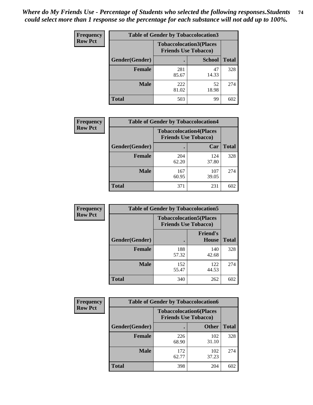| <b>Frequency</b> | <b>Table of Gender by Tobaccolocation3</b> |                             |                                |              |  |
|------------------|--------------------------------------------|-----------------------------|--------------------------------|--------------|--|
| <b>Row Pct</b>   |                                            | <b>Friends Use Tobacco)</b> | <b>Tobaccolocation3(Places</b> |              |  |
|                  | Gender(Gender)                             |                             | <b>School</b>                  | <b>Total</b> |  |
|                  | <b>Female</b>                              | 281<br>85.67                | 47<br>14.33                    | 328          |  |
|                  | <b>Male</b>                                | 222<br>81.02                | 52<br>18.98                    | 274          |  |
|                  | <b>Total</b>                               | 503                         | 99                             | 602          |  |

| <b>Frequency</b> | <b>Table of Gender by Tobaccolocation4</b> |              |                                                               |              |
|------------------|--------------------------------------------|--------------|---------------------------------------------------------------|--------------|
| <b>Row Pct</b>   |                                            |              | <b>Tobaccolocation4(Places</b><br><b>Friends Use Tobacco)</b> |              |
|                  | Gender(Gender)                             |              | Car                                                           | <b>Total</b> |
|                  | <b>Female</b>                              | 204<br>62.20 | 124<br>37.80                                                  | 328          |
|                  | <b>Male</b>                                | 167<br>60.95 | 107<br>39.05                                                  | 274          |
|                  | <b>Total</b>                               | 371          | 231                                                           | 602          |

| <b>Frequency</b> | <b>Table of Gender by Tobaccolocation5</b> |                                                               |                                 |              |  |
|------------------|--------------------------------------------|---------------------------------------------------------------|---------------------------------|--------------|--|
| <b>Row Pct</b>   |                                            | <b>Tobaccolocation5(Places</b><br><b>Friends Use Tobacco)</b> |                                 |              |  |
|                  | Gender(Gender)                             |                                                               | <b>Friend's</b><br><b>House</b> | <b>Total</b> |  |
|                  | <b>Female</b>                              | 188<br>57.32                                                  | 140<br>42.68                    | 328          |  |
|                  | <b>Male</b>                                | 152<br>55.47                                                  | 122<br>44.53                    | 274          |  |
|                  | <b>Total</b>                               | 340                                                           | 262                             | 602          |  |

| <b>Frequency</b> | <b>Table of Gender by Tobaccolocation6</b> |              |                                                               |              |
|------------------|--------------------------------------------|--------------|---------------------------------------------------------------|--------------|
| <b>Row Pct</b>   |                                            |              | <b>Tobaccolocation6(Places</b><br><b>Friends Use Tobacco)</b> |              |
|                  | Gender(Gender)                             |              | <b>Other</b>                                                  | <b>Total</b> |
|                  | <b>Female</b>                              | 226<br>68.90 | 102<br>31.10                                                  | 328          |
|                  | <b>Male</b>                                | 172<br>62.77 | 102<br>37.23                                                  | 274          |
|                  | <b>Total</b>                               | 398          | 204                                                           | 602          |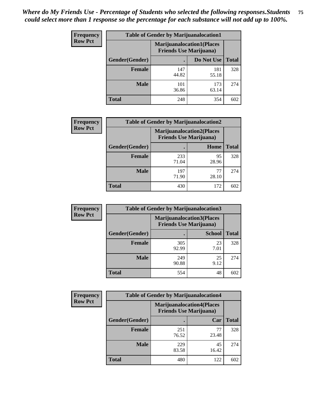| <b>Frequency</b> | <b>Table of Gender by Marijuanalocation1</b> |                                                                    |              |              |  |
|------------------|----------------------------------------------|--------------------------------------------------------------------|--------------|--------------|--|
| <b>Row Pct</b>   |                                              | <b>Marijuanalocation1(Places</b><br><b>Friends Use Marijuana</b> ) |              |              |  |
|                  | Gender(Gender)                               |                                                                    | Do Not Use   | <b>Total</b> |  |
|                  | <b>Female</b>                                | 147<br>44.82                                                       | 181<br>55.18 | 328          |  |
|                  | <b>Male</b>                                  | 101<br>36.86                                                       | 173<br>63.14 | 274          |  |
|                  | <b>Total</b>                                 | 248                                                                | 354          | 602          |  |

| <b>Frequency</b> | <b>Table of Gender by Marijuanalocation2</b> |                                                                    |             |              |  |
|------------------|----------------------------------------------|--------------------------------------------------------------------|-------------|--------------|--|
| <b>Row Pct</b>   |                                              | <b>Marijuanalocation2(Places</b><br><b>Friends Use Marijuana</b> ) |             |              |  |
|                  | Gender(Gender)                               |                                                                    | Home        | <b>Total</b> |  |
|                  | <b>Female</b>                                | 233<br>71.04                                                       | 95<br>28.96 | 328          |  |
|                  | <b>Male</b>                                  | 197<br>71.90                                                       | 77<br>28.10 | 274          |  |
|                  | <b>Total</b>                                 | 430                                                                | 172         | 602          |  |

| <b>Frequency</b> | <b>Table of Gender by Marijuanalocation3</b> |                                                                     |               |              |
|------------------|----------------------------------------------|---------------------------------------------------------------------|---------------|--------------|
| <b>Row Pct</b>   |                                              | <b>Marijuanalocation3</b> (Places<br><b>Friends Use Marijuana</b> ) |               |              |
|                  | Gender(Gender)                               |                                                                     | <b>School</b> | <b>Total</b> |
|                  | Female                                       | 305<br>92.99                                                        | 23<br>7.01    | 328          |
|                  | <b>Male</b>                                  | 249<br>90.88                                                        | 25<br>9.12    | 274          |
|                  | <b>Total</b>                                 | 554                                                                 | 48            | 602          |

| <b>Frequency</b> | <b>Table of Gender by Marijuanalocation4</b> |                                                                    |             |              |
|------------------|----------------------------------------------|--------------------------------------------------------------------|-------------|--------------|
| <b>Row Pct</b>   |                                              | <b>Marijuanalocation4(Places</b><br><b>Friends Use Marijuana</b> ) |             |              |
|                  | Gender(Gender)                               |                                                                    | Car         | <b>Total</b> |
|                  | <b>Female</b>                                | 251<br>76.52                                                       | 77<br>23.48 | 328          |
|                  | <b>Male</b>                                  | 229<br>83.58                                                       | 45<br>16.42 | 274          |
|                  | <b>Total</b>                                 | 480                                                                | 122         | 602          |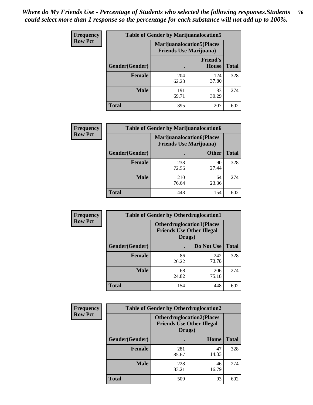| <b>Frequency</b> | <b>Table of Gender by Marijuanalocation5</b> |                                                                     |                                 |              |
|------------------|----------------------------------------------|---------------------------------------------------------------------|---------------------------------|--------------|
| <b>Row Pct</b>   |                                              | <b>Marijuanalocation5</b> (Places<br><b>Friends Use Marijuana</b> ) |                                 |              |
|                  | Gender(Gender)                               |                                                                     | <b>Friend's</b><br><b>House</b> | <b>Total</b> |
|                  | <b>Female</b>                                | 204<br>62.20                                                        | 124<br>37.80                    | 328          |
|                  | <b>Male</b>                                  | 191<br>69.71                                                        | 83<br>30.29                     | 274          |
|                  | <b>Total</b>                                 | 395                                                                 | 207                             | 602          |

| <b>Frequency</b> | <b>Table of Gender by Marijuanalocation6</b> |              |                                                                    |              |
|------------------|----------------------------------------------|--------------|--------------------------------------------------------------------|--------------|
| <b>Row Pct</b>   |                                              |              | <b>Marijuanalocation6(Places</b><br><b>Friends Use Marijuana</b> ) |              |
|                  | <b>Gender</b> (Gender)                       |              | <b>Other</b>                                                       | <b>Total</b> |
|                  | <b>Female</b>                                | 238<br>72.56 | 90<br>27.44                                                        | 328          |
|                  | <b>Male</b>                                  | 210<br>76.64 | 64<br>23.36                                                        | 274          |
|                  | Total                                        | 448          | 154                                                                | 602          |

| Frequency      | <b>Table of Gender by Otherdruglocation1</b> |                                                                                |              |              |
|----------------|----------------------------------------------|--------------------------------------------------------------------------------|--------------|--------------|
| <b>Row Pct</b> |                                              | <b>Otherdruglocation1(Places</b><br><b>Friends Use Other Illegal</b><br>Drugs) |              |              |
|                | Gender(Gender)                               |                                                                                | Do Not Use   | <b>Total</b> |
|                | <b>Female</b>                                | 86<br>26.22                                                                    | 242<br>73.78 | 328          |
|                | <b>Male</b>                                  | 68<br>24.82                                                                    | 206<br>75.18 | 274          |
|                | <b>Total</b>                                 | 154                                                                            | 448          | 602          |

| <b>Frequency</b> | <b>Table of Gender by Otherdruglocation2</b>                                   |              |             |              |
|------------------|--------------------------------------------------------------------------------|--------------|-------------|--------------|
| <b>Row Pct</b>   | <b>Otherdruglocation2(Places</b><br><b>Friends Use Other Illegal</b><br>Drugs) |              |             |              |
|                  | Gender(Gender)                                                                 |              | Home        | <b>Total</b> |
|                  | <b>Female</b>                                                                  | 281<br>85.67 | 47<br>14.33 | 328          |
|                  | <b>Male</b>                                                                    | 228<br>83.21 | 46<br>16.79 | 274          |
|                  | <b>Total</b>                                                                   | 509          | 93          | 602          |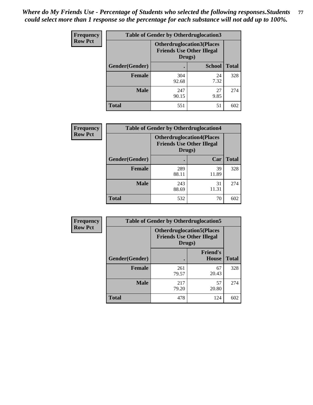| Frequency      | <b>Table of Gender by Otherdruglocation3</b> |                                                                                |               |              |
|----------------|----------------------------------------------|--------------------------------------------------------------------------------|---------------|--------------|
| <b>Row Pct</b> |                                              | <b>Otherdruglocation3(Places</b><br><b>Friends Use Other Illegal</b><br>Drugs) |               |              |
|                | Gender(Gender)                               |                                                                                | <b>School</b> | <b>Total</b> |
|                | <b>Female</b>                                | 304<br>92.68                                                                   | 24<br>7.32    | 328          |
|                | <b>Male</b>                                  | 247<br>90.15                                                                   | 27<br>9.85    | 274          |
|                | <b>Total</b>                                 | 551                                                                            | 51            | 602          |

| <b>Frequency</b> | <b>Table of Gender by Otherdruglocation4</b> |              |                                                                                |              |
|------------------|----------------------------------------------|--------------|--------------------------------------------------------------------------------|--------------|
| <b>Row Pct</b>   |                                              |              | <b>Otherdruglocation4(Places</b><br><b>Friends Use Other Illegal</b><br>Drugs) |              |
|                  | Gender(Gender)                               |              | Car                                                                            | <b>Total</b> |
|                  | Female                                       | 289<br>88.11 | 39<br>11.89                                                                    | 328          |
|                  | <b>Male</b>                                  | 243<br>88.69 | 31<br>11.31                                                                    | 274          |
|                  | <b>Total</b>                                 | 532          | 70                                                                             | 602          |

| <b>Frequency</b> | <b>Table of Gender by Otherdruglocation5</b> |              |                                                                                |              |
|------------------|----------------------------------------------|--------------|--------------------------------------------------------------------------------|--------------|
| <b>Row Pct</b>   |                                              |              | <b>Otherdruglocation5(Places</b><br><b>Friends Use Other Illegal</b><br>Drugs) |              |
|                  | Gender(Gender)                               |              | <b>Friend's</b><br><b>House</b>                                                | <b>Total</b> |
|                  | <b>Female</b>                                | 261<br>79.57 | 67<br>20.43                                                                    | 328          |
|                  | <b>Male</b>                                  | 217<br>79.20 | 57<br>20.80                                                                    | 274          |
|                  | <b>Total</b>                                 | 478          | 124                                                                            | 602          |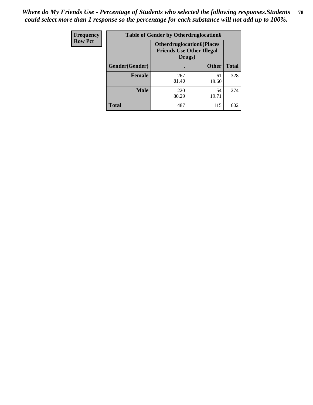| <b>Frequency</b> | <b>Table of Gender by Otherdruglocation6</b> |                                                                                |              |              |
|------------------|----------------------------------------------|--------------------------------------------------------------------------------|--------------|--------------|
| <b>Row Pct</b>   |                                              | <b>Otherdruglocation6(Places</b><br><b>Friends Use Other Illegal</b><br>Drugs) |              |              |
|                  | Gender(Gender)                               |                                                                                | <b>Other</b> | <b>Total</b> |
|                  | Female                                       | 267<br>81.40                                                                   | 61<br>18.60  | 328          |
|                  | <b>Male</b>                                  | 220<br>80.29                                                                   | 54<br>19.71  | 274          |
|                  | <b>Total</b>                                 | 487                                                                            | 115          | 602          |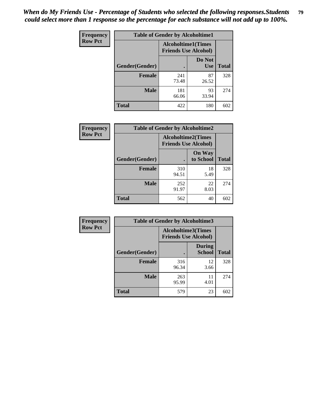| <b>Frequency</b> | <b>Table of Gender by Alcoholtime1</b> |                                                          |                      |              |
|------------------|----------------------------------------|----------------------------------------------------------|----------------------|--------------|
| <b>Row Pct</b>   |                                        | <b>Alcoholtime1(Times</b><br><b>Friends Use Alcohol)</b> |                      |              |
|                  | Gender(Gender)                         | $\bullet$                                                | Do Not<br><b>Use</b> | <b>Total</b> |
|                  | <b>Female</b>                          | 241<br>73.48                                             | 87<br>26.52          | 328          |
|                  | <b>Male</b>                            | 181<br>66.06                                             | 93<br>33.94          | 274          |
|                  | <b>Total</b>                           | 422                                                      | 180                  | 602          |

| Frequency      | <b>Table of Gender by Alcoholtime2</b> |                                                          |                            |              |
|----------------|----------------------------------------|----------------------------------------------------------|----------------------------|--------------|
| <b>Row Pct</b> |                                        | <b>Alcoholtime2(Times</b><br><b>Friends Use Alcohol)</b> |                            |              |
|                | Gender(Gender)                         |                                                          | <b>On Way</b><br>to School | <b>Total</b> |
|                | <b>Female</b>                          | 310<br>94.51                                             | 18<br>5.49                 | 328          |
|                | <b>Male</b>                            | 252<br>91.97                                             | 22<br>8.03                 | 274          |
|                | <b>Total</b>                           | 562                                                      | 40                         | 602          |

| Frequency      | <b>Table of Gender by Alcoholtime3</b> |                                                          |                                |              |
|----------------|----------------------------------------|----------------------------------------------------------|--------------------------------|--------------|
| <b>Row Pct</b> |                                        | <b>Alcoholtime3(Times</b><br><b>Friends Use Alcohol)</b> |                                |              |
|                | Gender(Gender)                         |                                                          | <b>During</b><br><b>School</b> | <b>Total</b> |
|                | <b>Female</b>                          | 316<br>96.34                                             | 12<br>3.66                     | 328          |
|                | <b>Male</b>                            | 263<br>95.99                                             | 11<br>4.01                     | 274          |
|                | <b>Total</b>                           | 579                                                      | 23                             | 602          |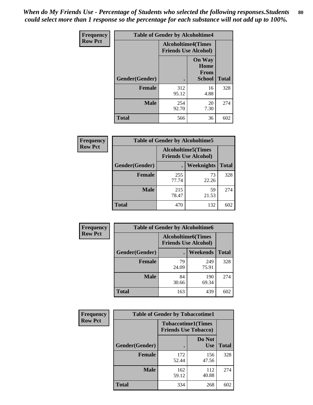*When do My Friends Use - Percentage of Students who selected the following responses.Students could select more than 1 response so the percentage for each substance will not add up to 100%.* **80**

| Frequency      | <b>Table of Gender by Alcoholtime4</b> |                                                          |                                         |              |
|----------------|----------------------------------------|----------------------------------------------------------|-----------------------------------------|--------------|
| <b>Row Pct</b> |                                        | <b>Alcoholtime4(Times</b><br><b>Friends Use Alcohol)</b> |                                         |              |
|                | Gender(Gender)                         |                                                          | <b>On Way</b><br>Home<br>From<br>School | <b>Total</b> |
|                | <b>Female</b>                          | 312<br>95.12                                             | 16<br>4.88                              | 328          |
|                | <b>Male</b>                            | 254<br>92.70                                             | 20<br>7.30                              | 274          |
|                | <b>Total</b>                           | 566                                                      | 36                                      | 602          |

| <b>Frequency</b> | <b>Table of Gender by Alcoholtime5</b> |                                                           |                   |              |
|------------------|----------------------------------------|-----------------------------------------------------------|-------------------|--------------|
| <b>Row Pct</b>   |                                        | <b>Alcoholtime5</b> (Times<br><b>Friends Use Alcohol)</b> |                   |              |
|                  | Gender(Gender)                         |                                                           | <b>Weeknights</b> | <b>Total</b> |
|                  | <b>Female</b>                          | 255<br>77.74                                              | 73<br>22.26       | 328          |
|                  | <b>Male</b>                            | 215<br>78.47                                              | 59<br>21.53       | 274          |
|                  | <b>Total</b>                           | 470                                                       | 132               | 602          |

| <b>Frequency</b> | <b>Table of Gender by Alcoholtime6</b> |             |                                                           |              |  |
|------------------|----------------------------------------|-------------|-----------------------------------------------------------|--------------|--|
| <b>Row Pct</b>   |                                        |             | <b>Alcoholtime6</b> (Times<br><b>Friends Use Alcohol)</b> |              |  |
|                  | Gender(Gender)                         |             | Weekends                                                  | <b>Total</b> |  |
|                  | Female                                 | 79<br>24.09 | 249<br>75.91                                              | 328          |  |
|                  | <b>Male</b>                            | 84<br>30.66 | 190<br>69.34                                              | 274          |  |
|                  | <b>Total</b>                           | 163         | 439                                                       | 602          |  |

| <b>Frequency</b> | <b>Table of Gender by Tobaccotime1</b> |                                                          |                      |              |
|------------------|----------------------------------------|----------------------------------------------------------|----------------------|--------------|
| <b>Row Pct</b>   |                                        | <b>Tobaccotime1(Times</b><br><b>Friends Use Tobacco)</b> |                      |              |
|                  | Gender(Gender)                         |                                                          | Do Not<br><b>Use</b> | <b>Total</b> |
|                  | <b>Female</b>                          | 172<br>52.44                                             | 156<br>47.56         | 328          |
|                  | <b>Male</b>                            | 162<br>59.12                                             | 112<br>40.88         | 274          |
|                  | <b>Total</b>                           | 334                                                      | 268                  | 602          |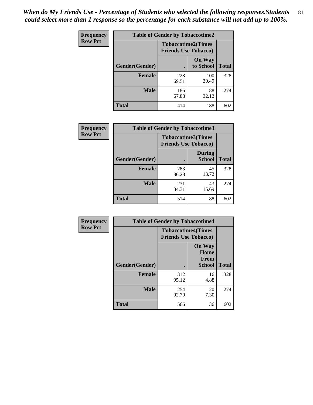*When do My Friends Use - Percentage of Students who selected the following responses.Students could select more than 1 response so the percentage for each substance will not add up to 100%.* **81**

| Frequency      | <b>Table of Gender by Tobaccotime2</b> |                                                          |                            |              |
|----------------|----------------------------------------|----------------------------------------------------------|----------------------------|--------------|
| <b>Row Pct</b> |                                        | <b>Tobaccotime2(Times</b><br><b>Friends Use Tobacco)</b> |                            |              |
|                | Gender(Gender)                         | $\bullet$                                                | <b>On Way</b><br>to School | <b>Total</b> |
|                | Female                                 | 228<br>69.51                                             | 100<br>30.49               | 328          |
|                | <b>Male</b>                            | 186<br>67.88                                             | 88<br>32.12                | 274          |
|                | Total                                  | 414                                                      | 188                        | 602          |

| Frequency      | <b>Table of Gender by Tobaccotime3</b> |                                                          |                                |              |
|----------------|----------------------------------------|----------------------------------------------------------|--------------------------------|--------------|
| <b>Row Pct</b> |                                        | <b>Tobaccotime3(Times</b><br><b>Friends Use Tobacco)</b> |                                |              |
|                | Gender(Gender)                         |                                                          | <b>During</b><br><b>School</b> | <b>Total</b> |
|                | Female                                 | 283<br>86.28                                             | 45<br>13.72                    | 328          |
|                | <b>Male</b>                            | 231<br>84.31                                             | 43<br>15.69                    | 274          |
|                | <b>Total</b>                           | 514                                                      | 88                             | 602          |

| Frequency      | <b>Table of Gender by Tobaccotime4</b> |                                                          |                                                       |              |
|----------------|----------------------------------------|----------------------------------------------------------|-------------------------------------------------------|--------------|
| <b>Row Pct</b> |                                        | <b>Tobaccotime4(Times</b><br><b>Friends Use Tobacco)</b> |                                                       |              |
|                | Gender(Gender)                         |                                                          | <b>On Way</b><br>Home<br><b>From</b><br><b>School</b> | <b>Total</b> |
|                | <b>Female</b>                          | 312<br>95.12                                             | 16<br>4.88                                            | 328          |
|                | <b>Male</b>                            | 254<br>92.70                                             | 20<br>7.30                                            | 274          |
|                | <b>Total</b>                           | 566                                                      | 36                                                    | 602          |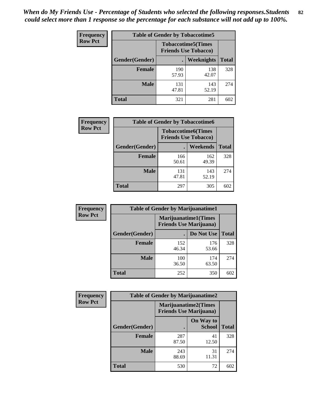| <b>Frequency</b> | <b>Table of Gender by Tobaccotime5</b> |                                                          |                   |              |  |
|------------------|----------------------------------------|----------------------------------------------------------|-------------------|--------------|--|
| <b>Row Pct</b>   |                                        | <b>Tobaccotime5(Times</b><br><b>Friends Use Tobacco)</b> |                   |              |  |
|                  | <b>Gender</b> (Gender)                 |                                                          | <b>Weeknights</b> | <b>Total</b> |  |
|                  | Female                                 | 190<br>57.93                                             | 138<br>42.07      | 328          |  |
|                  | <b>Male</b>                            | 131<br>47.81                                             | 143<br>52.19      | 274          |  |
|                  | <b>Total</b>                           | 321                                                      | 281               | 602          |  |

| <b>Frequency</b> | <b>Table of Gender by Tobaccotime6</b> |                                                          |                 |              |  |
|------------------|----------------------------------------|----------------------------------------------------------|-----------------|--------------|--|
| <b>Row Pct</b>   |                                        | <b>Tobaccotime6(Times</b><br><b>Friends Use Tobacco)</b> |                 |              |  |
|                  | Gender(Gender)                         |                                                          | <b>Weekends</b> | <b>Total</b> |  |
|                  | Female                                 | 166<br>50.61                                             | 162<br>49.39    | 328          |  |
|                  | <b>Male</b>                            | 131<br>47.81                                             | 143<br>52.19    | 274          |  |
|                  | <b>Total</b>                           | 297                                                      | 305             | 602          |  |

| <b>Frequency</b> | <b>Table of Gender by Marijuanatime1</b>                      |              |              |              |
|------------------|---------------------------------------------------------------|--------------|--------------|--------------|
| <b>Row Pct</b>   | <b>Marijuanatime1(Times</b><br><b>Friends Use Marijuana</b> ) |              |              |              |
|                  | Gender(Gender)                                                |              | Do Not Use   | <b>Total</b> |
|                  | <b>Female</b>                                                 | 152<br>46.34 | 176<br>53.66 | 328          |
|                  | <b>Male</b>                                                   | 100<br>36.50 | 174<br>63.50 | 274          |
|                  | <b>Total</b>                                                  | 252          | 350          | 602          |

| <b>Frequency</b> | <b>Table of Gender by Marijuanatime2</b> |                                                        |                            |              |
|------------------|------------------------------------------|--------------------------------------------------------|----------------------------|--------------|
| <b>Row Pct</b>   |                                          | Marijuanatime2(Times<br><b>Friends Use Marijuana</b> ) |                            |              |
|                  | Gender(Gender)                           |                                                        | On Way to<br><b>School</b> | <b>Total</b> |
|                  | <b>Female</b>                            | 287<br>87.50                                           | 41<br>12.50                | 328          |
|                  | <b>Male</b>                              | 243<br>88.69                                           | 31<br>11.31                | 274          |
|                  | <b>Total</b>                             | 530                                                    | 72                         | 602          |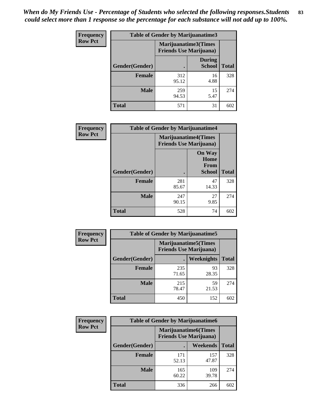*When do My Friends Use - Percentage of Students who selected the following responses.Students could select more than 1 response so the percentage for each substance will not add up to 100%.* **83**

| <b>Frequency</b> | Table of Gender by Marijuanatime3 |                                                        |                                |              |
|------------------|-----------------------------------|--------------------------------------------------------|--------------------------------|--------------|
| <b>Row Pct</b>   |                                   | Marijuanatime3(Times<br><b>Friends Use Marijuana</b> ) |                                |              |
|                  | Gender(Gender)                    |                                                        | <b>During</b><br><b>School</b> | <b>Total</b> |
|                  | <b>Female</b>                     | 312<br>95.12                                           | 16<br>4.88                     | 328          |
|                  | <b>Male</b>                       | 259<br>94.53                                           | 15<br>5.47                     | 274          |
|                  | <b>Total</b>                      | 571                                                    | 31                             | 602          |

| Frequency      | <b>Table of Gender by Marijuanatime4</b> |                                |                                                       |              |
|----------------|------------------------------------------|--------------------------------|-------------------------------------------------------|--------------|
| <b>Row Pct</b> |                                          | <b>Friends Use Marijuana</b> ) | <b>Marijuanatime4</b> (Times                          |              |
|                | <b>Gender</b> (Gender)                   |                                | <b>On Way</b><br>Home<br><b>From</b><br><b>School</b> | <b>Total</b> |
|                | <b>Female</b>                            | 281<br>85.67                   | 47<br>14.33                                           | 328          |
|                | <b>Male</b>                              | 247<br>90.15                   | 27<br>9.85                                            | 274          |
|                | <b>Total</b>                             | 528                            | 74                                                    | 602          |

| Frequency      | <b>Table of Gender by Marijuanatime5</b> |                                                                |             |              |  |
|----------------|------------------------------------------|----------------------------------------------------------------|-------------|--------------|--|
| <b>Row Pct</b> |                                          | <b>Marijuanatime5</b> (Times<br><b>Friends Use Marijuana</b> ) |             |              |  |
|                | Gender(Gender)                           | ٠                                                              | Weeknights  | <b>Total</b> |  |
|                | <b>Female</b>                            | 235<br>71.65                                                   | 93<br>28.35 | 328          |  |
|                | <b>Male</b>                              | 215<br>78.47                                                   | 59<br>21.53 | 274          |  |
|                | <b>Total</b>                             | 450                                                            | 152         | 602          |  |

| Frequency      | <b>Table of Gender by Marijuanatime6</b> |                                                                |              |              |  |
|----------------|------------------------------------------|----------------------------------------------------------------|--------------|--------------|--|
| <b>Row Pct</b> |                                          | <b>Marijuanatime6</b> (Times<br><b>Friends Use Marijuana</b> ) |              |              |  |
|                | <b>Gender</b> (Gender)                   |                                                                | Weekends     | <b>Total</b> |  |
|                | <b>Female</b>                            | 171<br>52.13                                                   | 157<br>47.87 | 328          |  |
|                | <b>Male</b>                              | 165<br>60.22                                                   | 109<br>39.78 | 274          |  |
|                | <b>Total</b>                             | 336                                                            | 266          | 602          |  |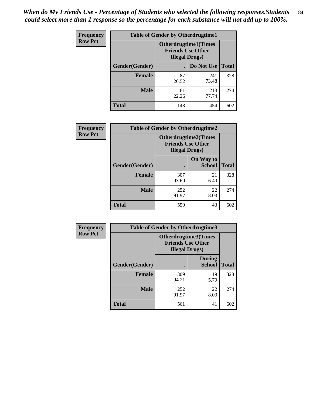*When do My Friends Use - Percentage of Students who selected the following responses.Students could select more than 1 response so the percentage for each substance will not add up to 100%.* **84**

| <b>Frequency</b> | <b>Table of Gender by Otherdrugtime1</b> |                                                                                   |                    |     |
|------------------|------------------------------------------|-----------------------------------------------------------------------------------|--------------------|-----|
| <b>Row Pct</b>   |                                          | <b>Otherdrugtime1(Times</b><br><b>Friends Use Other</b><br><b>Illegal Drugs</b> ) |                    |     |
|                  | Gender(Gender)                           |                                                                                   | Do Not Use   Total |     |
|                  | <b>Female</b>                            | 87<br>26.52                                                                       | 241<br>73.48       | 328 |
|                  | <b>Male</b>                              | 61<br>22.26                                                                       | 213<br>77.74       | 274 |
|                  | <b>Total</b>                             | 148                                                                               | 454                | 602 |

| <b>Frequency</b> | <b>Table of Gender by Otherdrugtime2</b> |              |                                                                                   |              |  |
|------------------|------------------------------------------|--------------|-----------------------------------------------------------------------------------|--------------|--|
| <b>Row Pct</b>   |                                          |              | <b>Otherdrugtime2(Times</b><br><b>Friends Use Other</b><br><b>Illegal Drugs</b> ) |              |  |
|                  | Gender(Gender)                           |              | On Way to<br><b>School</b>                                                        | <b>Total</b> |  |
|                  | <b>Female</b>                            | 307<br>93.60 | 21<br>6.40                                                                        | 328          |  |
|                  | <b>Male</b>                              | 252<br>91.97 | 22<br>8.03                                                                        | 274          |  |
|                  | <b>Total</b>                             | 559          | 43                                                                                | 602          |  |

| <b>Frequency</b> | <b>Table of Gender by Otherdrugtime3</b> |                                                                            |                                |              |  |
|------------------|------------------------------------------|----------------------------------------------------------------------------|--------------------------------|--------------|--|
| <b>Row Pct</b>   |                                          | Otherdrugtime3(Times<br><b>Friends Use Other</b><br><b>Illegal Drugs</b> ) |                                |              |  |
|                  | Gender(Gender)                           | $\bullet$                                                                  | <b>During</b><br><b>School</b> | <b>Total</b> |  |
|                  | <b>Female</b>                            | 309<br>94.21                                                               | 19<br>5.79                     | 328          |  |
|                  | <b>Male</b>                              | 252<br>91.97                                                               | 22<br>8.03                     | 274          |  |
|                  | <b>Total</b>                             | 561                                                                        | 41                             | 602          |  |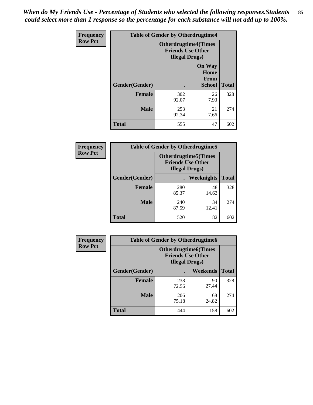*When do My Friends Use - Percentage of Students who selected the following responses.Students could select more than 1 response so the percentage for each substance will not add up to 100%.* **85**

| <b>Frequency</b> | <b>Table of Gender by Otherdrugtime4</b> |                                                                                   |                                                       |              |
|------------------|------------------------------------------|-----------------------------------------------------------------------------------|-------------------------------------------------------|--------------|
| <b>Row Pct</b>   |                                          | <b>Otherdrugtime4(Times</b><br><b>Friends Use Other</b><br><b>Illegal Drugs</b> ) |                                                       |              |
|                  | <b>Gender</b> (Gender)                   |                                                                                   | <b>On Way</b><br>Home<br><b>From</b><br><b>School</b> | <b>Total</b> |
|                  | <b>Female</b>                            | 302<br>92.07                                                                      | 26<br>7.93                                            | 328          |
|                  | <b>Male</b>                              | 253<br>92.34                                                                      | 21<br>7.66                                            | 274          |
|                  | Total                                    | 555                                                                               | 47                                                    | 602          |

| <b>Frequency</b> | <b>Table of Gender by Otherdrugtime5</b> |                                                                                    |             |              |
|------------------|------------------------------------------|------------------------------------------------------------------------------------|-------------|--------------|
| <b>Row Pct</b>   |                                          | <b>Otherdrugtime5</b> (Times<br><b>Friends Use Other</b><br><b>Illegal Drugs</b> ) |             |              |
|                  | Gender(Gender)                           |                                                                                    | Weeknights  | <b>Total</b> |
|                  | <b>Female</b>                            | 280<br>85.37                                                                       | 48<br>14.63 | 328          |
|                  | <b>Male</b>                              | 240<br>87.59                                                                       | 34<br>12.41 | 274          |
|                  | <b>Total</b>                             | 520                                                                                | 82          | 602          |

| <b>Frequency</b> | <b>Table of Gender by Otherdrugtime6</b> |                                                                                   |             |              |  |
|------------------|------------------------------------------|-----------------------------------------------------------------------------------|-------------|--------------|--|
| <b>Row Pct</b>   |                                          | <b>Otherdrugtime6(Times</b><br><b>Friends Use Other</b><br><b>Illegal Drugs</b> ) |             |              |  |
|                  | Gender(Gender)                           |                                                                                   | Weekends    | <b>Total</b> |  |
|                  | <b>Female</b>                            | 238<br>72.56                                                                      | 90<br>27.44 | 328          |  |
|                  | Male                                     | 206<br>75.18                                                                      | 68<br>24.82 | 274          |  |
|                  | <b>Total</b>                             | 444                                                                               | 158         | 602          |  |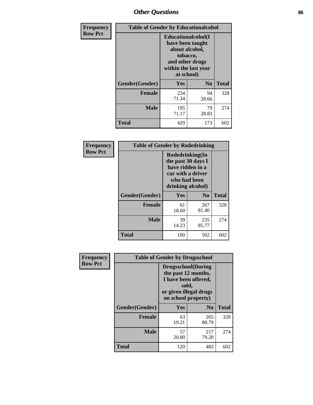# *Other Questions* **86**

| <b>Frequency</b> | <b>Table of Gender by Educationalcohol</b> |                                                                                                                                       |                |              |
|------------------|--------------------------------------------|---------------------------------------------------------------------------------------------------------------------------------------|----------------|--------------|
| <b>Row Pct</b>   |                                            | <b>Educationalcohol</b> (I<br>have been taught<br>about alcohol,<br>tobacco,<br>and other drugs<br>within the last year<br>at school) |                |              |
|                  | Gender(Gender)                             | <b>Yes</b>                                                                                                                            | N <sub>0</sub> | <b>Total</b> |
|                  | <b>Female</b>                              | 234<br>71.34                                                                                                                          | 94<br>28.66    | 328          |
|                  | <b>Male</b>                                | 195<br>71.17                                                                                                                          | 79<br>28.83    | 274          |
|                  | <b>Total</b>                               | 429                                                                                                                                   | 173            | 602          |

| Frequency      | <b>Table of Gender by Rodedrinking</b> |                                                                                                                     |                |              |
|----------------|----------------------------------------|---------------------------------------------------------------------------------------------------------------------|----------------|--------------|
| <b>Row Pct</b> |                                        | Rodedrinking(In<br>the past 30 days I<br>have ridden in a<br>car with a driver<br>who had been<br>drinking alcohol) |                |              |
|                | Gender(Gender)                         | Yes                                                                                                                 | N <sub>0</sub> | <b>Total</b> |
|                | <b>Female</b>                          | 61<br>18.60                                                                                                         | 267<br>81.40   | 328          |
|                | <b>Male</b>                            | 39<br>14.23                                                                                                         | 235<br>85.77   | 274          |
|                | <b>Total</b>                           | 100                                                                                                                 | 502            | 602          |

| Frequency      | <b>Table of Gender by Drugsschool</b> |                                                                                                                                     |                |              |  |
|----------------|---------------------------------------|-------------------------------------------------------------------------------------------------------------------------------------|----------------|--------------|--|
| <b>Row Pct</b> |                                       | <b>Drugsschool</b> (During<br>the past 12 months,<br>I have been offered,<br>sold,<br>or given illegal drugs<br>on school property) |                |              |  |
|                | Gender(Gender)                        | Yes                                                                                                                                 | N <sub>0</sub> | <b>Total</b> |  |
|                | <b>Female</b>                         | 63<br>19.21                                                                                                                         | 265<br>80.79   | 328          |  |
|                | <b>Male</b>                           | 57<br>20.80                                                                                                                         | 217<br>79.20   | 274          |  |
|                | <b>Total</b>                          | 120                                                                                                                                 | 482            | 602          |  |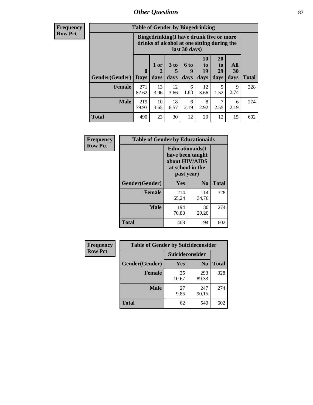# *Other Questions* **87**

**Frequency Row Pct**

| <b>Table of Gender by Bingedrinking</b> |                            |                                                                                                         |                   |                   |                        |                               |                   |              |
|-----------------------------------------|----------------------------|---------------------------------------------------------------------------------------------------------|-------------------|-------------------|------------------------|-------------------------------|-------------------|--------------|
|                                         |                            | Bingedrinking(I have drunk five or more<br>drinks of alcohol at one sitting during the<br>last 30 days) |                   |                   |                        |                               |                   |              |
| <b>Gender</b> (Gender)                  | $\mathbf 0$<br><b>Days</b> | 1 or<br>days                                                                                            | 3 to<br>5<br>days | 6 to<br>9<br>days | 10<br>to<br>19<br>days | <b>20</b><br>to<br>29<br>days | All<br>30<br>days | <b>Total</b> |
| <b>Female</b>                           | 271<br>82.62               | 13<br>3.96                                                                                              | 12<br>3.66        | 6<br>1.83         | 12<br>3.66             | 5<br>1.52                     | 9<br>2.74         | 328          |
| <b>Male</b>                             |                            |                                                                                                         |                   |                   |                        | 7                             |                   | 274          |
|                                         | 219<br>79.93               | 10<br>3.65                                                                                              | 18<br>6.57        | 6<br>2.19         | 8<br>2.92              | 2.55                          | 6<br>2.19         |              |

| Frequency      | <b>Table of Gender by Educationaids</b> |                                                                                                 |              |              |
|----------------|-----------------------------------------|-------------------------------------------------------------------------------------------------|--------------|--------------|
| <b>Row Pct</b> |                                         | <b>Educationaids</b> (I<br>have been taught<br>about HIV/AIDS<br>at school in the<br>past year) |              |              |
|                | Gender(Gender)                          | Yes                                                                                             | $\bf N_0$    | <b>Total</b> |
|                | <b>Female</b>                           | 214<br>65.24                                                                                    | 114<br>34.76 | 328          |
|                | <b>Male</b>                             | 194<br>70.80                                                                                    | 80<br>29.20  | 274          |
|                | <b>Total</b>                            | 408                                                                                             | 194          | 602          |

| <b>Frequency</b> | <b>Table of Gender by Suicideconsider</b> |                        |                |       |
|------------------|-------------------------------------------|------------------------|----------------|-------|
| <b>Row Pct</b>   |                                           | <b>Suicideconsider</b> |                |       |
|                  | Gender(Gender)                            | Yes                    | N <sub>0</sub> | Total |
|                  | Female                                    | 35<br>10.67            | 293<br>89.33   | 328   |
|                  | <b>Male</b>                               | 27<br>9.85             | 247<br>90.15   | 274   |
|                  | <b>Total</b>                              | 62                     | 540            | 602   |